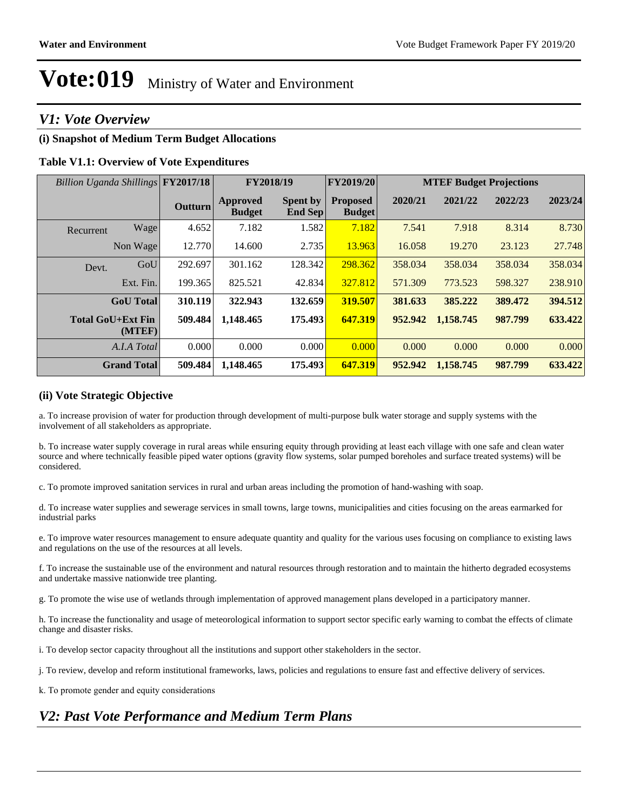### *V1: Vote Overview*

### **(i) Snapshot of Medium Term Budget Allocations**

### **Table V1.1: Overview of Vote Expenditures**

| Billion Uganda Shillings FY2017/18 |                |                                  | FY2019/20<br>FY2018/19     |                                  | <b>MTEF Budget Projections</b> |           |         |         |
|------------------------------------|----------------|----------------------------------|----------------------------|----------------------------------|--------------------------------|-----------|---------|---------|
|                                    | Outturn        | <b>Approved</b><br><b>Budget</b> | <b>Spent by</b><br>End Sep | <b>Proposed</b><br><b>Budget</b> | 2020/21                        | 2021/22   | 2022/23 | 2023/24 |
| Wage<br>Recurrent                  | 4.652          | 7.182                            | 1.582                      | 7.182                            | 7.541                          | 7.918     | 8.314   | 8.730   |
| Non Wage                           | 12.770         | 14.600                           | 2.735                      | 13.963                           | 16.058                         | 19.270    | 23.123  | 27.748  |
| Devt.                              | GoU<br>292.697 | 301.162                          | 128.342                    | 298.362                          | 358.034                        | 358.034   | 358.034 | 358.034 |
| Ext. Fin.                          | 199.365        | 825.521                          | 42.834                     | 327.812                          | 571.309                        | 773.523   | 598.327 | 238.910 |
| <b>GoU</b> Total                   | 310.119        | 322.943                          | 132.659                    | 319.507                          | 381.633                        | 385.222   | 389.472 | 394.512 |
| <b>Total GoU+Ext Fin</b><br>(MTEF) | 509.484        | 1,148.465                        | 175.493                    | 647.319                          | 952.942                        | 1,158.745 | 987.799 | 633.422 |
| A.I.A Total                        | 0.000          | 0.000                            | 0.000                      | 0.000                            | 0.000                          | 0.000     | 0.000   | 0.000   |
| <b>Grand Total</b>                 | 509.484        | 1,148.465                        | 175.493                    | 647.319                          | 952.942                        | 1,158.745 | 987.799 | 633.422 |

### **(ii) Vote Strategic Objective**

a. To increase provision of water for production through development of multi-purpose bulk water storage and supply systems with the involvement of all stakeholders as appropriate.

b. To increase water supply coverage in rural areas while ensuring equity through providing at least each village with one safe and clean water source and where technically feasible piped water options (gravity flow systems, solar pumped boreholes and surface treated systems) will be considered.

c. To promote improved sanitation services in rural and urban areas including the promotion of hand-washing with soap.

d. To increase water supplies and sewerage services in small towns, large towns, municipalities and cities focusing on the areas earmarked for industrial parks

e. To improve water resources management to ensure adequate quantity and quality for the various uses focusing on compliance to existing laws and regulations on the use of the resources at all levels.

f. To increase the sustainable use of the environment and natural resources through restoration and to maintain the hitherto degraded ecosystems and undertake massive nationwide tree planting.

g. To promote the wise use of wetlands through implementation of approved management plans developed in a participatory manner.

h. To increase the functionality and usage of meteorological information to support sector specific early warning to combat the effects of climate change and disaster risks.

i. To develop sector capacity throughout all the institutions and support other stakeholders in the sector.

j. To review, develop and reform institutional frameworks, laws, policies and regulations to ensure fast and effective delivery of services.

k. To promote gender and equity considerations

### *V2: Past Vote Performance and Medium Term Plans*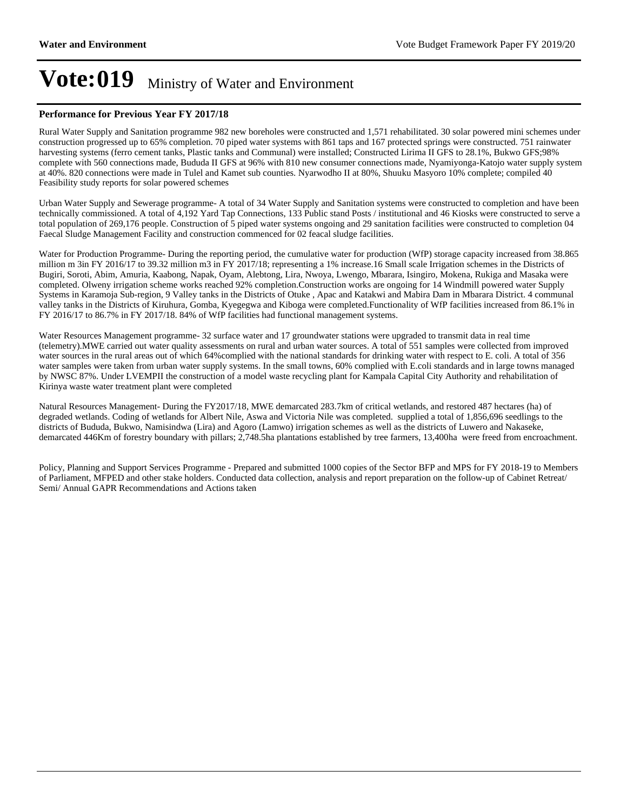#### **Performance for Previous Year FY 2017/18**

Rural Water Supply and Sanitation programme 982 new boreholes were constructed and 1,571 rehabilitated. 30 solar powered mini schemes under construction progressed up to 65% completion. 70 piped water systems with 861 taps and 167 protected springs were constructed. 751 rainwater harvesting systems (ferro cement tanks, Plastic tanks and Communal) were installed; Constructed Lirima II GFS to 28.1%, Bukwo GFS;98% complete with 560 connections made, Bududa II GFS at 96% with 810 new consumer connections made, Nyamiyonga-Katojo water supply system at 40%. 820 connections were made in Tulel and Kamet sub counties. Nyarwodho II at 80%, Shuuku Masyoro 10% complete; compiled 40 Feasibility study reports for solar powered schemes

Urban Water Supply and Sewerage programme- A total of 34 Water Supply and Sanitation systems were constructed to completion and have been technically commissioned. A total of 4,192 Yard Tap Connections, 133 Public stand Posts / institutional and 46 Kiosks were constructed to serve a total population of 269,176 people. Construction of 5 piped water systems ongoing and 29 sanitation facilities were constructed to completion 04 Faecal Sludge Management Facility and construction commenced for 02 feacal sludge facilities.

Water for Production Programme- During the reporting period, the cumulative water for production (WfP) storage capacity increased from 38.865 million m 3in FY 2016/17 to 39.32 million m3 in FY 2017/18; representing a 1% increase.16 Small scale Irrigation schemes in the Districts of Bugiri, Soroti, Abim, Amuria, Kaabong, Napak, Oyam, Alebtong, Lira, Nwoya, Lwengo, Mbarara, Isingiro, Mokena, Rukiga and Masaka were completed. Olweny irrigation scheme works reached 92% completion.Construction works are ongoing for 14 Windmill powered water Supply Systems in Karamoja Sub-region, 9 Valley tanks in the Districts of Otuke , Apac and Katakwi and Mabira Dam in Mbarara District. 4 communal valley tanks in the Districts of Kiruhura, Gomba, Kyegegwa and Kiboga were completed.Functionality of WfP facilities increased from 86.1% in FY 2016/17 to 86.7% in FY 2017/18. 84% of WfP facilities had functional management systems.

Water Resources Management programme- 32 surface water and 17 groundwater stations were upgraded to transmit data in real time (telemetry).MWE carried out water quality assessments on rural and urban water sources. A total of 551 samples were collected from improved water sources in the rural areas out of which 64%complied with the national standards for drinking water with respect to E. coli. A total of 356 water samples were taken from urban water supply systems. In the small towns, 60% complied with E.coli standards and in large towns managed by NWSC 87%. Under LVEMPII the construction of a model waste recycling plant for Kampala Capital City Authority and rehabilitation of Kirinya waste water treatment plant were completed

Natural Resources Management- During the FY2017/18, MWE demarcated 283.7km of critical wetlands, and restored 487 hectares (ha) of degraded wetlands. Coding of wetlands for Albert Nile, Aswa and Victoria Nile was completed. supplied a total of 1,856,696 seedlings to the districts of Bududa, Bukwo, Namisindwa (Lira) and Agoro (Lamwo) irrigation schemes as well as the districts of Luwero and Nakaseke, demarcated 446Km of forestry boundary with pillars; 2,748.5ha plantations established by tree farmers, 13,400ha were freed from encroachment.

Policy, Planning and Support Services Programme - Prepared and submitted 1000 copies of the Sector BFP and MPS for FY 2018-19 to Members of Parliament, MFPED and other stake holders. Conducted data collection, analysis and report preparation on the follow-up of Cabinet Retreat/ Semi/ Annual GAPR Recommendations and Actions taken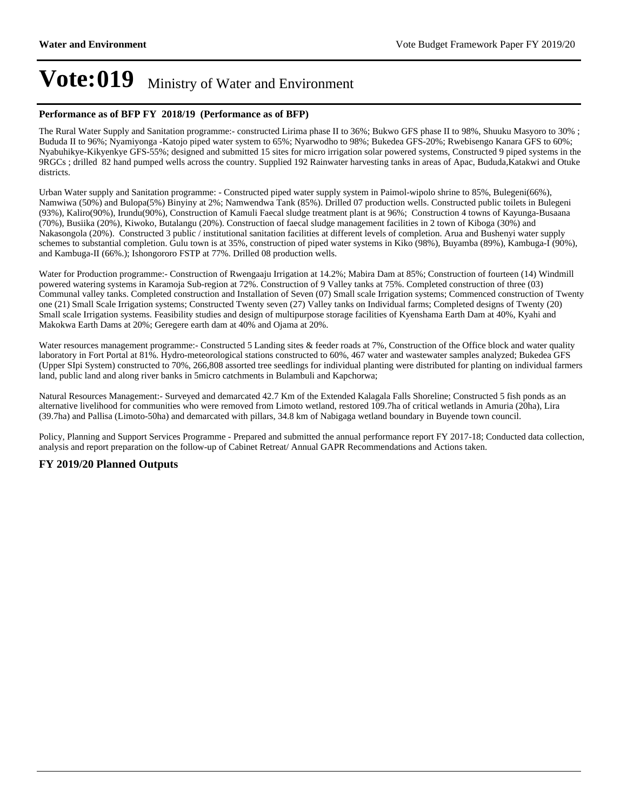#### **Performance as of BFP FY 2018/19 (Performance as of BFP)**

The Rural Water Supply and Sanitation programme:- constructed Lirima phase II to 36%; Bukwo GFS phase II to 98%, Shuuku Masyoro to 30% ; Bududa II to 96%; Nyamiyonga -Katojo piped water system to 65%; Nyarwodho to 98%; Bukedea GFS-20%; Rwebisengo Kanara GFS to 60%; Nyabuhikye-Kikyenkye GFS-55%; designed and submitted 15 sites for micro irrigation solar powered systems, Constructed 9 piped systems in the 9RGCs ; drilled 82 hand pumped wells across the country. Supplied 192 Rainwater harvesting tanks in areas of Apac, Bududa,Katakwi and Otuke districts.

Urban Water supply and Sanitation programme: - Constructed piped water supply system in Paimol-wipolo shrine to 85%, Bulegeni(66%), Namwiwa (50%) and Bulopa(5%) Binyiny at 2%; Namwendwa Tank (85%). Drilled 07 production wells. Constructed public toilets in Bulegeni (93%), Kaliro(90%), Irundu(90%), Construction of Kamuli Faecal sludge treatment plant is at 96%; Construction 4 towns of Kayunga-Busaana (70%), Busiika (20%), Kiwoko, Butalangu (20%). Construction of faecal sludge management facilities in 2 town of Kiboga (30%) and Nakasongola (20%). Constructed 3 public / institutional sanitation facilities at different levels of completion. Arua and Bushenyi water supply schemes to substantial completion. Gulu town is at 35%, construction of piped water systems in Kiko (98%), Buyamba (89%), Kambuga-I (90%), and Kambuga-II (66%.); Ishongororo FSTP at 77%. Drilled 08 production wells.

Water for Production programme:- Construction of Rwengaaju Irrigation at 14.2%; Mabira Dam at 85%; Construction of fourteen (14) Windmill powered watering systems in Karamoja Sub-region at 72%. Construction of 9 Valley tanks at 75%. Completed construction of three (03) Communal valley tanks. Completed construction and Installation of Seven (07) Small scale Irrigation systems; Commenced construction of Twenty one (21) Small Scale Irrigation systems; Constructed Twenty seven (27) Valley tanks on Individual farms; Completed designs of Twenty (20) Small scale Irrigation systems. Feasibility studies and design of multipurpose storage facilities of Kyenshama Earth Dam at 40%, Kyahi and Makokwa Earth Dams at 20%; Geregere earth dam at 40% and Ojama at 20%.

Water resources management programme:- Constructed 5 Landing sites & feeder roads at 7%, Construction of the Office block and water quality laboratory in Fort Portal at 81%. Hydro-meteorological stations constructed to 60%, 467 water and wastewater samples analyzed; Bukedea GFS (Upper SIpi System) constructed to 70%, 266,808 assorted tree seedlings for individual planting were distributed for planting on individual farmers land, public land and along river banks in 5micro catchments in Bulambuli and Kapchorwa;

Natural Resources Management:- Surveyed and demarcated 42.7 Km of the Extended Kalagala Falls Shoreline; Constructed 5 fish ponds as an alternative livelihood for communities who were removed from Limoto wetland, restored 109.7ha of critical wetlands in Amuria (20ha), Lira (39.7ha) and Pallisa (Limoto-50ha) and demarcated with pillars, 34.8 km of Nabigaga wetland boundary in Buyende town council.

Policy, Planning and Support Services Programme - Prepared and submitted the annual performance report FY 2017-18; Conducted data collection, analysis and report preparation on the follow-up of Cabinet Retreat/ Annual GAPR Recommendations and Actions taken.

### **FY 2019/20 Planned Outputs**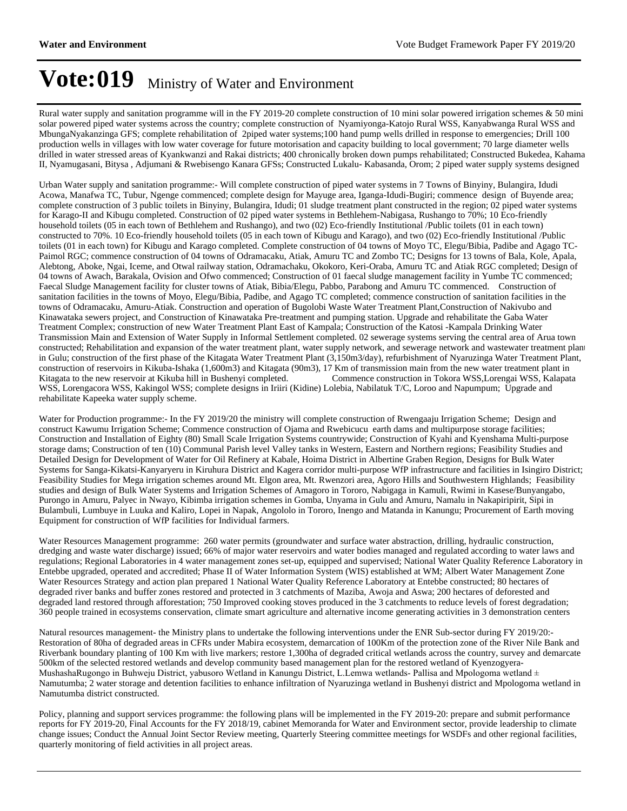Rural water supply and sanitation programme will in the FY 2019-20 complete construction of 10 mini solar powered irrigation schemes & 50 mini solar powered piped water systems across the country; complete construction of Nyamiyonga-Katojo Rural WSS, Kanyabwanga Rural WSS and MbungaNyakanzinga GFS; complete rehabilitation of 2piped water systems;100 hand pump wells drilled in response to emergencies; Drill 100 production wells in villages with low water coverage for future motorisation and capacity building to local government; 70 large diameter wells drilled in water stressed areas of Kyankwanzi and Rakai districts; 400 chronically broken down pumps rehabilitated; Constructed Bukedea, Kahama II, Nyamugasani, Bitysa , Adjumani & Rwebisengo Kanara GFSs; Constructed Lukalu- Kabasanda, Orom; 2 piped water supply systems designed

Urban Water supply and sanitation programme:- Will complete construction of piped water systems in 7 Towns of Binyiny, Bulangira, Idudi Acowa, Manafwa TC, Tubur, Ngenge commenced; complete design for Mayuge area, Iganga-Idudi-Bugiri; commence design of Buyende area; complete construction of 3 public toilets in Binyiny, Bulangira, Idudi; 01 sludge treatment plant constructed in the region; 02 piped water systems for Karago-II and Kibugu completed. Construction of 02 piped water systems in Bethlehem-Nabigasa, Rushango to 70%; 10 Eco-friendly household toilets (05 in each town of Bethlehem and Rushango), and two (02) Eco-friendly Institutional /Public toilets (01 in each town) constructed to 70%. 10 Eco-friendly household toilets (05 in each town of Kibugu and Karago), and two (02) Eco-friendly Institutional /Public toilets (01 in each town) for Kibugu and Karago completed. Complete construction of 04 towns of Moyo TC, Elegu/Bibia, Padibe and Agago TC-Paimol RGC; commence construction of 04 towns of Odramacaku, Atiak, Amuru TC and Zombo TC; Designs for 13 towns of Bala, Kole, Apala, Alebtong, Aboke, Ngai, Iceme, and Otwal railway station, Odramachaku, Okokoro, Keri-Oraba, Amuru TC and Atiak RGC completed; Design of 04 towns of Awach, Barakala, Ovision and Ofwo commenced; Construction of 01 faecal sludge management facility in Yumbe TC commenced; Faecal Sludge Management facility for cluster towns of Atiak, Bibia/Elegu, Pabbo, Parabong and Amuru TC commenced. Construction of sanitation facilities in the towns of Moyo, Elegu/Bibia, Padibe, and Agago TC completed; commence construction of sanitation facilities in the towns of Odramacaku, Amuru-Atiak. Construction and operation of Bugolobi Waste Water Treatment Plant,Construction of Nakivubo and Kinawataka sewers project, and Construction of Kinawataka Pre-treatment and pumping station. Upgrade and rehabilitate the Gaba Water Treatment Complex; construction of new Water Treatment Plant East of Kampala; Construction of the Katosi -Kampala Drinking Water Transmission Main and Extension of Water Supply in Informal Settlement completed. 02 sewerage systems serving the central area of Arua town constructed; Rehabilitation and expansion of the water treatment plant, water supply network, and sewerage network and wastewater treatment plant in Gulu; construction of the first phase of the Kitagata Water Treatment Plant (3,150m3/day), refurbishment of Nyaruzinga Water Treatment Plant, construction of reservoirs in Kikuba-Ishaka (1,600m3) and Kitagata (90m3), 17 Km of transmission main from the new water treatment plant in Kitagata to the new reservoir at Kikuba hill in Bushenyi completed. Commence construction in Tokora WSS,Lorengai WSS, Kalapata WSS, Lorengacora WSS, Kakingol WSS; complete designs in Iriiri (Kidine) Lolebia, Nabilatuk T/C, Loroo and Napumpum; Upgrade and rehabilitate Kapeeka water supply scheme.

Water for Production programme:- In the FY 2019/20 the ministry will complete construction of Rwengaaju Irrigation Scheme; Design and construct Kawumu Irrigation Scheme; Commence construction of Ojama and Rwebicucu earth dams and multipurpose storage facilities; Construction and Installation of Eighty (80) Small Scale Irrigation Systems countrywide; Construction of Kyahi and Kyenshama Multi-purpose storage dams; Construction of ten (10) Communal Parish level Valley tanks in Western, Eastern and Northern regions; Feasibility Studies and Detailed Design for Development of Water for Oil Refinery at Kabale, Hoima District in Albertine Graben Region, Designs for Bulk Water Systems for Sanga-Kikatsi-Kanyaryeru in Kiruhura District and Kagera corridor multi-purpose WfP infrastructure and facilities in Isingiro District; Feasibility Studies for Mega irrigation schemes around Mt. Elgon area, Mt. Rwenzori area, Agoro Hills and Southwestern Highlands; Feasibility studies and design of Bulk Water Systems and Irrigation Schemes of Amagoro in Tororo, Nabigaga in Kamuli, Rwimi in Kasese/Bunyangabo, Purongo in Amuru, Palyec in Nwayo, Kibimba irrigation schemes in Gomba, Unyama in Gulu and Amuru, Namalu in Nakapiripirit, Sipi in Bulambuli, Lumbuye in Luuka and Kaliro, Lopei in Napak, Angololo in Tororo, Inengo and Matanda in Kanungu; Procurement of Earth moving Equipment for construction of WfP facilities for Individual farmers.

Water Resources Management programme: 260 water permits (groundwater and surface water abstraction, drilling, hydraulic construction, dredging and waste water discharge) issued; 66% of major water reservoirs and water bodies managed and regulated according to water laws and regulations; Regional Laboratories in 4 water management zones set-up, equipped and supervised; National Water Quality Reference Laboratory in Entebbe upgraded, operated and accredited; Phase II of Water Information System (WIS) established at WM; Albert Water Management Zone Water Resources Strategy and action plan prepared 1 National Water Quality Reference Laboratory at Entebbe constructed; 80 hectares of degraded river banks and buffer zones restored and protected in 3 catchments of Maziba, Awoja and Aswa; 200 hectares of deforested and degraded land restored through afforestation; 750 Improved cooking stoves produced in the 3 catchments to reduce levels of forest degradation; 360 people trained in ecosystems conservation, climate smart agriculture and alternative income generating activities in 3 demonstration centers

Natural resources management- the Ministry plans to undertake the following interventions under the ENR Sub-sector during FY 2019/20:- Restoration of 80ha of degraded areas in CFRs under Mabira ecosystem, demarcation of 100Km of the protection zone of the River Nile Bank and Riverbank boundary planting of 100 Km with live markers; restore 1,300ha of degraded critical wetlands across the country, survey and demarcate 500km of the selected restored wetlands and develop community based management plan for the restored wetland of Kyenzogyera-MushashaRugongo in Buhweju District, yabusoro Wetland in Kanungu District, L.Lemwa wetlands-Pallisa and Mpologoma wetland  $\pm$ Namutumba; 2 water storage and detention facilities to enhance infiltration of Nyaruzinga wetland in Bushenyi district and Mpologoma wetland in Namutumba district constructed.

Policy, planning and support services programme: the following plans will be implemented in the FY 2019-20: prepare and submit performance reports for FY 2019-20, Final Accounts for the FY 2018/19, cabinet Memoranda for Water and Environment sector, provide leadership to climate change issues; Conduct the Annual Joint Sector Review meeting, Quarterly Steering committee meetings for WSDFs and other regional facilities, quarterly monitoring of field activities in all project areas.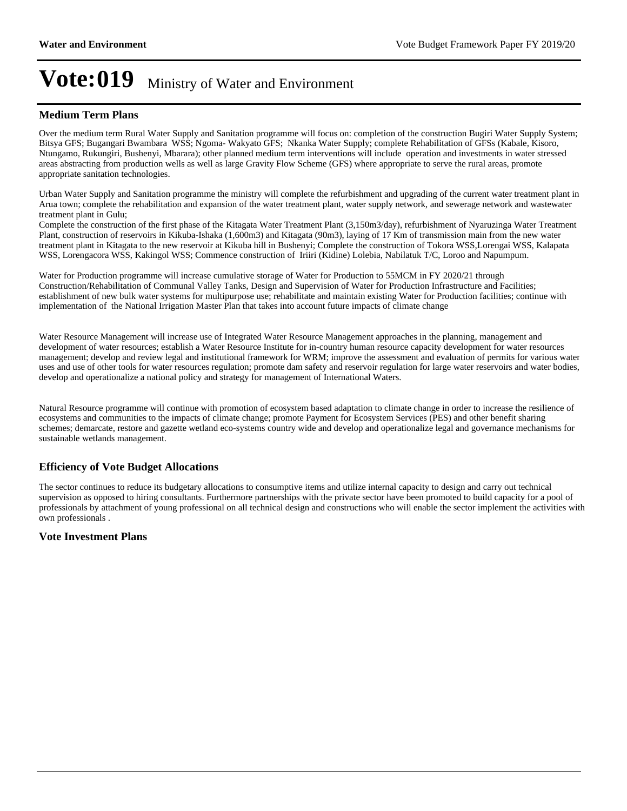### **Medium Term Plans**

Over the medium term Rural Water Supply and Sanitation programme will focus on: completion of the construction Bugiri Water Supply System; Bitsya GFS; Bugangari Bwambara WSS; Ngoma- Wakyato GFS; Nkanka Water Supply; complete Rehabilitation of GFSs (Kabale, Kisoro, Ntungamo, Rukungiri, Bushenyi, Mbarara); other planned medium term interventions will include operation and investments in water stressed areas abstracting from production wells as well as large Gravity Flow Scheme (GFS) where appropriate to serve the rural areas, promote appropriate sanitation technologies.

Urban Water Supply and Sanitation programme the ministry will complete the refurbishment and upgrading of the current water treatment plant in Arua town; complete the rehabilitation and expansion of the water treatment plant, water supply network, and sewerage network and wastewater treatment plant in Gulu;

Complete the construction of the first phase of the Kitagata Water Treatment Plant (3,150m3/day), refurbishment of Nyaruzinga Water Treatment Plant, construction of reservoirs in Kikuba-Ishaka (1,600m3) and Kitagata (90m3), laying of 17 Km of transmission main from the new water treatment plant in Kitagata to the new reservoir at Kikuba hill in Bushenyi; Complete the construction of Tokora WSS,Lorengai WSS, Kalapata WSS, Lorengacora WSS, Kakingol WSS; Commence construction of Iriiri (Kidine) Lolebia, Nabilatuk T/C, Loroo and Napumpum.

Water for Production programme will increase cumulative storage of Water for Production to 55MCM in FY 2020/21 through Construction/Rehabilitation of Communal Valley Tanks, Design and Supervision of Water for Production Infrastructure and Facilities; establishment of new bulk water systems for multipurpose use; rehabilitate and maintain existing Water for Production facilities; continue with implementation of the National Irrigation Master Plan that takes into account future impacts of climate change

Water Resource Management will increase use of Integrated Water Resource Management approaches in the planning, management and development of water resources; establish a Water Resource Institute for in-country human resource capacity development for water resources management; develop and review legal and institutional framework for WRM; improve the assessment and evaluation of permits for various water uses and use of other tools for water resources regulation; promote dam safety and reservoir regulation for large water reservoirs and water bodies, develop and operationalize a national policy and strategy for management of International Waters.

Natural Resource programme will continue with promotion of ecosystem based adaptation to climate change in order to increase the resilience of ecosystems and communities to the impacts of climate change; promote Payment for Ecosystem Services (PES) and other benefit sharing schemes; demarcate, restore and gazette wetland eco-systems country wide and develop and operationalize legal and governance mechanisms for sustainable wetlands management.

### **Efficiency of Vote Budget Allocations**

The sector continues to reduce its budgetary allocations to consumptive items and utilize internal capacity to design and carry out technical supervision as opposed to hiring consultants. Furthermore partnerships with the private sector have been promoted to build capacity for a pool of professionals by attachment of young professional on all technical design and constructions who will enable the sector implement the activities with own professionals .

#### **Vote Investment Plans**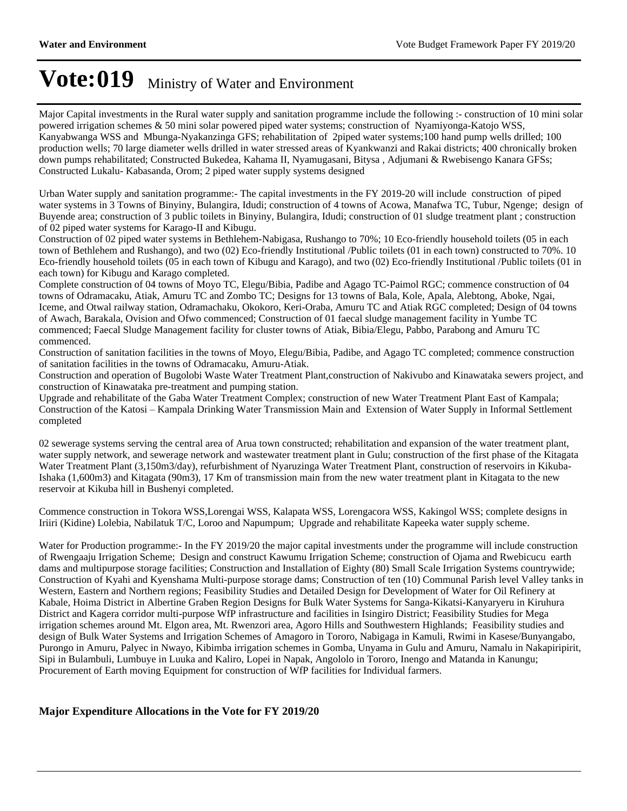Major Capital investments in the Rural water supply and sanitation programme include the following :- construction of 10 mini solar powered irrigation schemes & 50 mini solar powered piped water systems; construction of Nyamiyonga-Katojo WSS, Kanyabwanga WSS and Mbunga-Nyakanzinga GFS; rehabilitation of 2piped water systems;100 hand pump wells drilled; 100 production wells; 70 large diameter wells drilled in water stressed areas of Kyankwanzi and Rakai districts; 400 chronically broken down pumps rehabilitated; Constructed Bukedea, Kahama II, Nyamugasani, Bitysa , Adjumani & Rwebisengo Kanara GFSs; Constructed Lukalu- Kabasanda, Orom; 2 piped water supply systems designed

Urban Water supply and sanitation programme:- The capital investments in the FY 2019-20 will include construction of piped water systems in 3 Towns of Binyiny, Bulangira, Idudi; construction of 4 towns of Acowa, Manafwa TC, Tubur, Ngenge; design of Buyende area; construction of 3 public toilets in Binyiny, Bulangira, Idudi; construction of 01 sludge treatment plant ; construction of 02 piped water systems for Karago-II and Kibugu.

Construction of 02 piped water systems in Bethlehem-Nabigasa, Rushango to 70%; 10 Eco-friendly household toilets (05 in each town of Bethlehem and Rushango), and two (02) Eco-friendly Institutional /Public toilets (01 in each town) constructed to 70%. 10 Eco-friendly household toilets (05 in each town of Kibugu and Karago), and two (02) Eco-friendly Institutional /Public toilets (01 in each town) for Kibugu and Karago completed.

Complete construction of 04 towns of Moyo TC, Elegu/Bibia, Padibe and Agago TC-Paimol RGC; commence construction of 04 towns of Odramacaku, Atiak, Amuru TC and Zombo TC; Designs for 13 towns of Bala, Kole, Apala, Alebtong, Aboke, Ngai, Iceme, and Otwal railway station, Odramachaku, Okokoro, Keri-Oraba, Amuru TC and Atiak RGC completed; Design of 04 towns of Awach, Barakala, Ovision and Ofwo commenced; Construction of 01 faecal sludge management facility in Yumbe TC commenced; Faecal Sludge Management facility for cluster towns of Atiak, Bibia/Elegu, Pabbo, Parabong and Amuru TC commenced.

Construction of sanitation facilities in the towns of Moyo, Elegu/Bibia, Padibe, and Agago TC completed; commence construction of sanitation facilities in the towns of Odramacaku, Amuru-Atiak.

Construction and operation of Bugolobi Waste Water Treatment Plant,construction of Nakivubo and Kinawataka sewers project, and construction of Kinawataka pre-treatment and pumping station.

Upgrade and rehabilitate of the Gaba Water Treatment Complex; construction of new Water Treatment Plant East of Kampala; Construction of the Katosi – Kampala Drinking Water Transmission Main and Extension of Water Supply in Informal Settlement completed

02 sewerage systems serving the central area of Arua town constructed; rehabilitation and expansion of the water treatment plant, water supply network, and sewerage network and wastewater treatment plant in Gulu; construction of the first phase of the Kitagata Water Treatment Plant (3,150m3/day), refurbishment of Nyaruzinga Water Treatment Plant, construction of reservoirs in Kikuba-Ishaka (1,600m3) and Kitagata (90m3), 17 Km of transmission main from the new water treatment plant in Kitagata to the new reservoir at Kikuba hill in Bushenyi completed.

Commence construction in Tokora WSS,Lorengai WSS, Kalapata WSS, Lorengacora WSS, Kakingol WSS; complete designs in Iriiri (Kidine) Lolebia, Nabilatuk T/C, Loroo and Napumpum; Upgrade and rehabilitate Kapeeka water supply scheme.

Water for Production programme:- In the FY 2019/20 the major capital investments under the programme will include construction of Rwengaaju Irrigation Scheme; Design and construct Kawumu Irrigation Scheme; construction of Ojama and Rwebicucu earth dams and multipurpose storage facilities; Construction and Installation of Eighty (80) Small Scale Irrigation Systems countrywide; Construction of Kyahi and Kyenshama Multi-purpose storage dams; Construction of ten (10) Communal Parish level Valley tanks in Western, Eastern and Northern regions; Feasibility Studies and Detailed Design for Development of Water for Oil Refinery at Kabale, Hoima District in Albertine Graben Region Designs for Bulk Water Systems for Sanga-Kikatsi-Kanyaryeru in Kiruhura District and Kagera corridor multi-purpose WfP infrastructure and facilities in Isingiro District; Feasibility Studies for Mega irrigation schemes around Mt. Elgon area, Mt. Rwenzori area, Agoro Hills and Southwestern Highlands; Feasibility studies and design of Bulk Water Systems and Irrigation Schemes of Amagoro in Tororo, Nabigaga in Kamuli, Rwimi in Kasese/Bunyangabo, Purongo in Amuru, Palyec in Nwayo, Kibimba irrigation schemes in Gomba, Unyama in Gulu and Amuru, Namalu in Nakapiripirit, Sipi in Bulambuli, Lumbuye in Luuka and Kaliro, Lopei in Napak, Angololo in Tororo, Inengo and Matanda in Kanungu; Procurement of Earth moving Equipment for construction of WfP facilities for Individual farmers.

### **Major Expenditure Allocations in the Vote for FY 2019/20**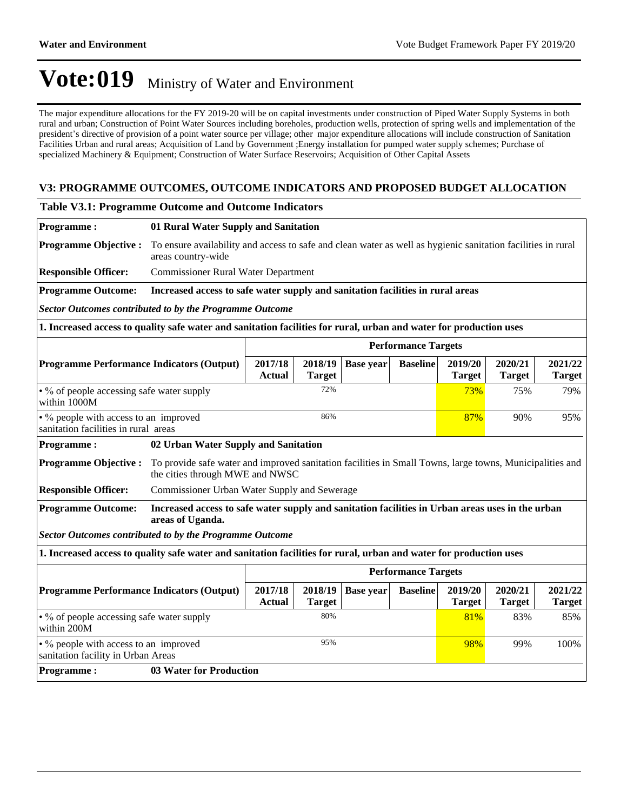The major expenditure allocations for the FY 2019-20 will be on capital investments under construction of Piped Water Supply Systems in both rural and urban; Construction of Point Water Sources including boreholes, production wells, protection of spring wells and implementation of the president's directive of provision of a point water source per village; other major expenditure allocations will include construction of Sanitation Facilities Urban and rural areas; Acquisition of Land by Government ;Energy installation for pumped water supply schemes; Purchase of specialized Machinery & Equipment; Construction of Water Surface Reservoirs; Acquisition of Other Capital Assets

### **V3: PROGRAMME OUTCOMES, OUTCOME INDICATORS AND PROPOSED BUDGET ALLOCATION**

#### **Table V3.1: Programme Outcome and Outcome Indicators**

| <b>Programme:</b>                                                                                                  | 01 Rural Water Supply and Sanitation                                                                                                        |                                                                                                              |                          |                  |                            |                          |                          |                          |
|--------------------------------------------------------------------------------------------------------------------|---------------------------------------------------------------------------------------------------------------------------------------------|--------------------------------------------------------------------------------------------------------------|--------------------------|------------------|----------------------------|--------------------------|--------------------------|--------------------------|
| <b>Programme Objective:</b>                                                                                        | areas country-wide                                                                                                                          | To ensure availability and access to safe and clean water as well as hygienic sanitation facilities in rural |                          |                  |                            |                          |                          |                          |
| <b>Responsible Officer:</b>                                                                                        | <b>Commissioner Rural Water Department</b>                                                                                                  |                                                                                                              |                          |                  |                            |                          |                          |                          |
| <b>Programme Outcome:</b>                                                                                          | Increased access to safe water supply and sanitation facilities in rural areas                                                              |                                                                                                              |                          |                  |                            |                          |                          |                          |
| Sector Outcomes contributed to by the Programme Outcome                                                            |                                                                                                                                             |                                                                                                              |                          |                  |                            |                          |                          |                          |
| 1. Increased access to quality safe water and sanitation facilities for rural, urban and water for production uses |                                                                                                                                             |                                                                                                              |                          |                  |                            |                          |                          |                          |
|                                                                                                                    |                                                                                                                                             |                                                                                                              |                          |                  | <b>Performance Targets</b> |                          |                          |                          |
| <b>Programme Performance Indicators (Output)</b>                                                                   |                                                                                                                                             | 2017/18<br><b>Actual</b>                                                                                     | 2018/19<br><b>Target</b> | <b>Base</b> year | <b>Baseline</b>            | 2019/20<br><b>Target</b> | 2020/21<br><b>Target</b> | 2021/22<br><b>Target</b> |
| • % of people accessing safe water supply<br>within 1000M                                                          |                                                                                                                                             | 72%<br>73%                                                                                                   |                          |                  |                            |                          | 75%                      | 79%                      |
| • % people with access to an improved<br>sanitation facilities in rural areas                                      | 86%                                                                                                                                         |                                                                                                              |                          |                  | 87%                        | 90%                      | 95%                      |                          |
| <b>Programme:</b><br>02 Urban Water Supply and Sanitation                                                          |                                                                                                                                             |                                                                                                              |                          |                  |                            |                          |                          |                          |
| <b>Programme Objective:</b>                                                                                        | To provide safe water and improved sanitation facilities in Small Towns, large towns, Municipalities and<br>the cities through MWE and NWSC |                                                                                                              |                          |                  |                            |                          |                          |                          |
| <b>Responsible Officer:</b>                                                                                        | Commissioner Urban Water Supply and Sewerage                                                                                                |                                                                                                              |                          |                  |                            |                          |                          |                          |
| <b>Programme Outcome:</b>                                                                                          | Increased access to safe water supply and sanitation facilities in Urban areas uses in the urban<br>areas of Uganda.                        |                                                                                                              |                          |                  |                            |                          |                          |                          |
| <b>Sector Outcomes contributed to by the Programme Outcome</b>                                                     |                                                                                                                                             |                                                                                                              |                          |                  |                            |                          |                          |                          |
| 1. Increased access to quality safe water and sanitation facilities for rural, urban and water for production uses |                                                                                                                                             |                                                                                                              |                          |                  |                            |                          |                          |                          |
|                                                                                                                    |                                                                                                                                             |                                                                                                              |                          |                  | <b>Performance Targets</b> |                          |                          |                          |
| <b>Programme Performance Indicators (Output)</b>                                                                   |                                                                                                                                             | 2017/18<br><b>Actual</b>                                                                                     | 2018/19<br><b>Target</b> | <b>Base year</b> | <b>Baseline</b>            | 2019/20<br><b>Target</b> | 2020/21<br><b>Target</b> | 2021/22<br><b>Target</b> |
| • % of people accessing safe water supply<br>within 200M                                                           |                                                                                                                                             |                                                                                                              | 80%                      |                  |                            | 81%                      | 83%                      | 85%                      |
| • % people with access to an improved<br>sanitation facility in Urban Areas                                        |                                                                                                                                             | 95%<br>98%<br>99%<br>100%                                                                                    |                          |                  |                            |                          |                          |                          |
| <b>Programme:</b>                                                                                                  |                                                                                                                                             | <b>03 Water for Production</b>                                                                               |                          |                  |                            |                          |                          |                          |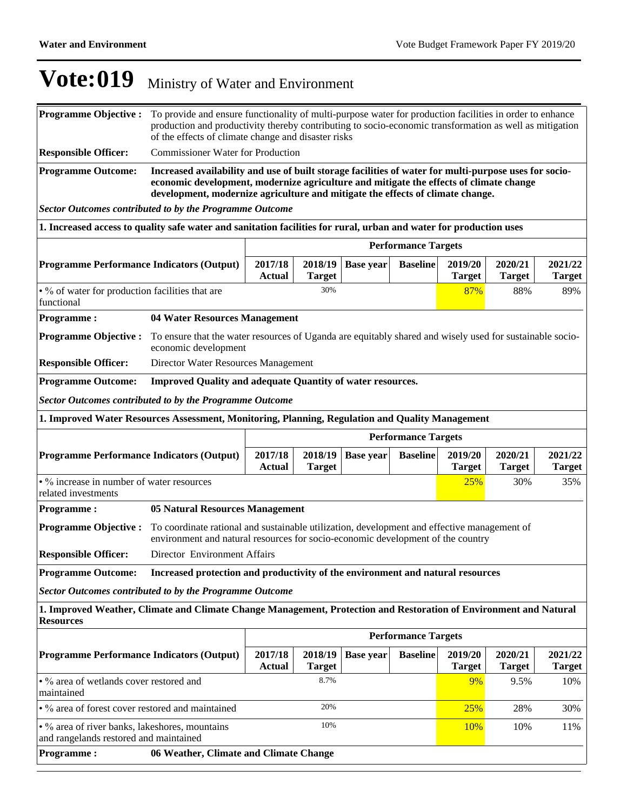| <b>Programme Objective:</b>                                                                                                           | To provide and ensure functionality of multi-purpose water for production facilities in order to enhance<br>production and productivity thereby contributing to socio-economic transformation as well as mitigation<br>of the effects of climate change and disaster risks        |                          |                          |                  |                            |                          |                          |                          |
|---------------------------------------------------------------------------------------------------------------------------------------|-----------------------------------------------------------------------------------------------------------------------------------------------------------------------------------------------------------------------------------------------------------------------------------|--------------------------|--------------------------|------------------|----------------------------|--------------------------|--------------------------|--------------------------|
| <b>Responsible Officer:</b>                                                                                                           | <b>Commissioner Water for Production</b>                                                                                                                                                                                                                                          |                          |                          |                  |                            |                          |                          |                          |
| <b>Programme Outcome:</b>                                                                                                             | Increased availability and use of built storage facilities of water for multi-purpose uses for socio-<br>economic development, modernize agriculture and mitigate the effects of climate change<br>development, modernize agriculture and mitigate the effects of climate change. |                          |                          |                  |                            |                          |                          |                          |
| <b>Sector Outcomes contributed to by the Programme Outcome</b>                                                                        |                                                                                                                                                                                                                                                                                   |                          |                          |                  |                            |                          |                          |                          |
| 1. Increased access to quality safe water and sanitation facilities for rural, urban and water for production uses                    |                                                                                                                                                                                                                                                                                   |                          |                          |                  |                            |                          |                          |                          |
|                                                                                                                                       |                                                                                                                                                                                                                                                                                   |                          |                          |                  | <b>Performance Targets</b> |                          |                          |                          |
| <b>Programme Performance Indicators (Output)</b>                                                                                      |                                                                                                                                                                                                                                                                                   | 2017/18<br><b>Actual</b> | 2018/19<br><b>Target</b> | <b>Base year</b> | <b>Baseline</b>            | 2019/20<br><b>Target</b> | 2020/21<br><b>Target</b> | 2021/22<br><b>Target</b> |
| • % of water for production facilities that are<br>functional                                                                         |                                                                                                                                                                                                                                                                                   |                          | 30%                      |                  |                            | 87%                      | 88%                      | 89%                      |
| <b>Programme:</b>                                                                                                                     | 04 Water Resources Management                                                                                                                                                                                                                                                     |                          |                          |                  |                            |                          |                          |                          |
| <b>Programme Objective:</b>                                                                                                           | To ensure that the water resources of Uganda are equitably shared and wisely used for sustainable socio-<br>economic development                                                                                                                                                  |                          |                          |                  |                            |                          |                          |                          |
| <b>Responsible Officer:</b>                                                                                                           | Director Water Resources Management                                                                                                                                                                                                                                               |                          |                          |                  |                            |                          |                          |                          |
| <b>Programme Outcome:</b><br><b>Improved Quality and adequate Quantity of water resources.</b>                                        |                                                                                                                                                                                                                                                                                   |                          |                          |                  |                            |                          |                          |                          |
| <b>Sector Outcomes contributed to by the Programme Outcome</b>                                                                        |                                                                                                                                                                                                                                                                                   |                          |                          |                  |                            |                          |                          |                          |
| 1. Improved Water Resources Assessment, Monitoring, Planning, Regulation and Quality Management                                       |                                                                                                                                                                                                                                                                                   |                          |                          |                  |                            |                          |                          |                          |
| <b>Performance Targets</b>                                                                                                            |                                                                                                                                                                                                                                                                                   |                          |                          |                  |                            |                          |                          |                          |
| <b>Programme Performance Indicators (Output)</b>                                                                                      |                                                                                                                                                                                                                                                                                   | 2017/18<br><b>Actual</b> | 2018/19<br><b>Target</b> | <b>Base year</b> | <b>Baseline</b>            | 2019/20<br><b>Target</b> | 2020/21<br><b>Target</b> | 2021/22<br><b>Target</b> |
| • % increase in number of water resources<br>related investments                                                                      |                                                                                                                                                                                                                                                                                   |                          |                          |                  |                            | 25%                      | 30%                      | 35%                      |
| <b>Programme:</b>                                                                                                                     | <b>05 Natural Resources Management</b>                                                                                                                                                                                                                                            |                          |                          |                  |                            |                          |                          |                          |
| <b>Programme Objective:</b>                                                                                                           | To coordinate rational and sustainable utilization, development and effective management of<br>environment and natural resources for socio-economic development of the country                                                                                                    |                          |                          |                  |                            |                          |                          |                          |
| <b>Responsible Officer:</b>                                                                                                           | Director Environment Affairs                                                                                                                                                                                                                                                      |                          |                          |                  |                            |                          |                          |                          |
| <b>Programme Outcome:</b>                                                                                                             | Increased protection and productivity of the environment and natural resources                                                                                                                                                                                                    |                          |                          |                  |                            |                          |                          |                          |
| <b>Sector Outcomes contributed to by the Programme Outcome</b>                                                                        |                                                                                                                                                                                                                                                                                   |                          |                          |                  |                            |                          |                          |                          |
| 1. Improved Weather, Climate and Climate Change Management, Protection and Restoration of Environment and Natural<br><b>Resources</b> |                                                                                                                                                                                                                                                                                   |                          |                          |                  |                            |                          |                          |                          |
|                                                                                                                                       |                                                                                                                                                                                                                                                                                   |                          |                          |                  | <b>Performance Targets</b> |                          |                          |                          |
| <b>Programme Performance Indicators (Output)</b>                                                                                      |                                                                                                                                                                                                                                                                                   | 2017/18<br><b>Actual</b> | 2018/19<br><b>Target</b> | <b>Base year</b> | <b>Baseline</b>            | 2019/20<br><b>Target</b> | 2020/21<br><b>Target</b> | 2021/22<br><b>Target</b> |
| • % area of wetlands cover restored and<br>maintained                                                                                 |                                                                                                                                                                                                                                                                                   |                          | 8.7%                     |                  |                            | 9%                       | 9.5%                     | 10%                      |
| • % area of forest cover restored and maintained                                                                                      |                                                                                                                                                                                                                                                                                   |                          | 20%                      |                  |                            | 25%                      | 28%                      | 30%                      |
|                                                                                                                                       | 10%<br>• % area of river banks, lakeshores, mountains<br><b>10%</b><br>10%<br>11%<br>and rangelands restored and maintained                                                                                                                                                       |                          |                          |                  |                            |                          |                          |                          |
| <b>Programme:</b>                                                                                                                     | 06 Weather, Climate and Climate Change                                                                                                                                                                                                                                            |                          |                          |                  |                            |                          |                          |                          |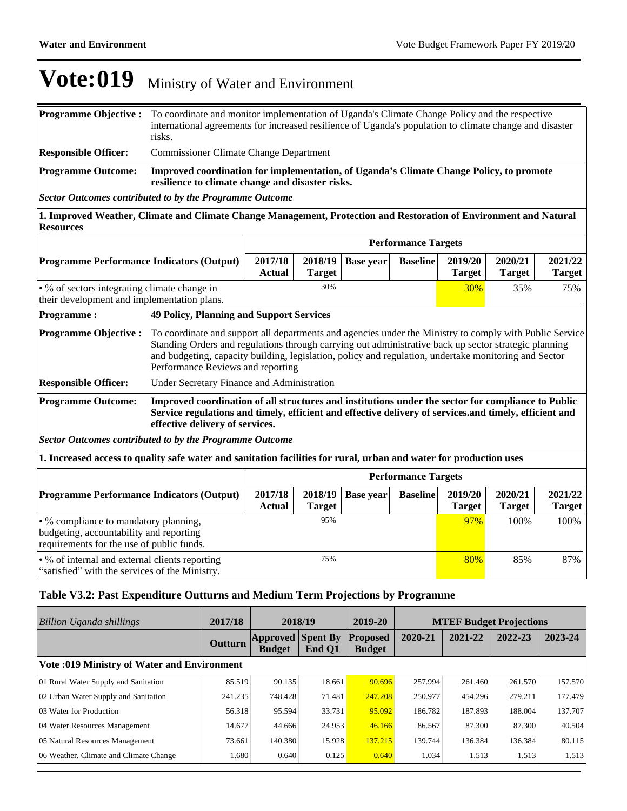| <b>Programme Outcome:</b>   | Improved coordination for implementation, of Uganda's Climate Change Policy, to promote<br>resilience to climate change and disaster risks.                                                                                                     |
|-----------------------------|-------------------------------------------------------------------------------------------------------------------------------------------------------------------------------------------------------------------------------------------------|
| <b>Responsible Officer:</b> | <b>Commissioner Climate Change Department</b>                                                                                                                                                                                                   |
|                             | <b>Programme Objective :</b> To coordinate and monitor implementation of Uganda's Climate Change Policy and the respective<br>international agreements for increased resilience of Uganda's population to climate change and disaster<br>risks. |

*Sector Outcomes contributed to by the Programme Outcome*

**1. Improved Weather, Climate and Climate Change Management, Protection and Restoration of Environment and Natural Resources** 

|                                                                                                                               |                                                                                                                                                                                                                                                  | <b>Performance Targets</b>                                                                                                                                                                                                                                                                                                                                     |                          |                  |                            |                          |                          |                          |
|-------------------------------------------------------------------------------------------------------------------------------|--------------------------------------------------------------------------------------------------------------------------------------------------------------------------------------------------------------------------------------------------|----------------------------------------------------------------------------------------------------------------------------------------------------------------------------------------------------------------------------------------------------------------------------------------------------------------------------------------------------------------|--------------------------|------------------|----------------------------|--------------------------|--------------------------|--------------------------|
| <b>Programme Performance Indicators (Output)</b>                                                                              | 2017/18<br><b>Actual</b>                                                                                                                                                                                                                         | 2018/19<br><b>Target</b>                                                                                                                                                                                                                                                                                                                                       | <b>Base year</b>         | <b>Baseline</b>  | 2019/20<br><b>Target</b>   | 2020/21<br><b>Target</b> | 2021/22<br><b>Target</b> |                          |
| 30%<br>• % of sectors integrating climate change in<br>their development and implementation plans.                            |                                                                                                                                                                                                                                                  |                                                                                                                                                                                                                                                                                                                                                                |                          |                  |                            | 30%                      | 35%                      | 75%                      |
| <b>Programme:</b>                                                                                                             |                                                                                                                                                                                                                                                  | <b>49 Policy, Planning and Support Services</b>                                                                                                                                                                                                                                                                                                                |                          |                  |                            |                          |                          |                          |
| <b>Programme Objective:</b>                                                                                                   |                                                                                                                                                                                                                                                  | To coordinate and support all departments and agencies under the Ministry to comply with Public Service<br>Standing Orders and regulations through carrying out administrative back up sector strategic planning<br>and budgeting, capacity building, legislation, policy and regulation, undertake monitoring and Sector<br>Performance Reviews and reporting |                          |                  |                            |                          |                          |                          |
| <b>Responsible Officer:</b>                                                                                                   | Under Secretary Finance and Administration                                                                                                                                                                                                       |                                                                                                                                                                                                                                                                                                                                                                |                          |                  |                            |                          |                          |                          |
| <b>Programme Outcome:</b><br><b>Sector Outcomes contributed to by the Programme Outcome</b>                                   | Improved coordination of all structures and institutions under the sector for compliance to Public<br>Service regulations and timely, efficient and effective delivery of services. and timely, efficient and<br>effective delivery of services. |                                                                                                                                                                                                                                                                                                                                                                |                          |                  |                            |                          |                          |                          |
| 1. Increased access to quality safe water and sanitation facilities for rural, urban and water for production uses            |                                                                                                                                                                                                                                                  |                                                                                                                                                                                                                                                                                                                                                                |                          |                  |                            |                          |                          |                          |
|                                                                                                                               |                                                                                                                                                                                                                                                  |                                                                                                                                                                                                                                                                                                                                                                |                          |                  | <b>Performance Targets</b> |                          |                          |                          |
| <b>Programme Performance Indicators (Output)</b>                                                                              |                                                                                                                                                                                                                                                  | 2017/18<br>Actual                                                                                                                                                                                                                                                                                                                                              | 2018/19<br><b>Target</b> | <b>Base year</b> | <b>Baseline</b>            | 2019/20<br><b>Target</b> | 2020/21<br><b>Target</b> | 2021/22<br><b>Target</b> |
| • % compliance to mandatory planning,<br>budgeting, accountability and reporting<br>requirements for the use of public funds. |                                                                                                                                                                                                                                                  |                                                                                                                                                                                                                                                                                                                                                                | 95%                      |                  |                            | 97%                      | 100%                     | 100%                     |
| • % of internal and external clients reporting                                                                                |                                                                                                                                                                                                                                                  |                                                                                                                                                                                                                                                                                                                                                                | 75%                      |                  |                            | 80%                      | 85%                      | 87%                      |

"satisfied" with the services of the Ministry.

### **Table V3.2: Past Expenditure Outturns and Medium Term Projections by Programme**

| Billion Uganda shillings                    | 2017/18 | 2018/19                      |                           | 2019-20                          | <b>MTEF Budget Projections</b> |         |         |         |  |
|---------------------------------------------|---------|------------------------------|---------------------------|----------------------------------|--------------------------------|---------|---------|---------|--|
|                                             | Outturn | Approved   <br><b>Budget</b> | <b>Spent By</b><br>End Q1 | <b>Proposed</b><br><b>Budget</b> | 2020-21                        | 2021-22 | 2022-23 | 2023-24 |  |
| Vote: 019 Ministry of Water and Environment |         |                              |                           |                                  |                                |         |         |         |  |
| 01 Rural Water Supply and Sanitation        | 85.519  | 90.135                       | 18.661                    | 90.696                           | 257.994                        | 261.460 | 261.570 | 157.570 |  |
| 02 Urban Water Supply and Sanitation        | 241.235 | 748.428                      | 71.481                    | 247.208                          | 250.977                        | 454.296 | 279.211 | 177.479 |  |
| 03 Water for Production                     | 56.318  | 95.594                       | 33.731                    | 95.092                           | 186.782                        | 187.893 | 188.004 | 137.707 |  |
| 04 Water Resources Management               | 14.677  | 44.666                       | 24.953                    | 46.166                           | 86.567                         | 87.300  | 87.300  | 40.504  |  |
| 05 Natural Resources Management             | 73.661  | 140.380                      | 15.928                    | 137.215                          | 139.744                        | 136.384 | 136.384 | 80.115  |  |
| 06 Weather, Climate and Climate Change      | 1.680   | 0.640                        | 0.125                     | 0.640                            | 1.034                          | 1.513   | 1.513   | 1.513   |  |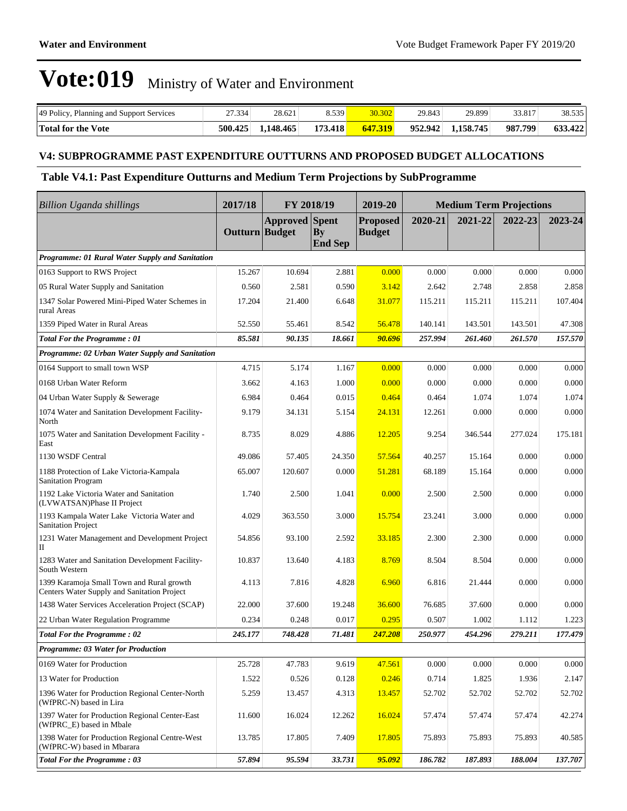| 49 Policy, Planning and Support Services | 27.334  | 28.621    | 8.539 <mark> </mark> | 30.302  | 29.843  | 29.899    | 33.817  | 38.535  |
|------------------------------------------|---------|-----------|----------------------|---------|---------|-----------|---------|---------|
| <b>Total for the Vote</b>                | 500.425 | 1.148.465 | 173.418              | 647.319 | 952.942 | 1.158.745 | 987.799 | 633.422 |

### **V4: SUBPROGRAMME PAST EXPENDITURE OUTTURNS AND PROPOSED BUDGET ALLOCATIONS**

### **Table V4.1: Past Expenditure Outturns and Medium Term Projections by SubProgramme**

| <b>Billion Uganda shillings</b>                                                          | 2017/18        | FY 2018/19            |                      | 2019-20                          | <b>Medium Term Projections</b> |         |         |         |
|------------------------------------------------------------------------------------------|----------------|-----------------------|----------------------|----------------------------------|--------------------------------|---------|---------|---------|
|                                                                                          | Outturn Budget | <b>Approved Spent</b> | By<br><b>End Sep</b> | <b>Proposed</b><br><b>Budget</b> | 2020-21                        | 2021-22 | 2022-23 | 2023-24 |
| Programme: 01 Rural Water Supply and Sanitation                                          |                |                       |                      |                                  |                                |         |         |         |
| 0163 Support to RWS Project                                                              | 15.267         | 10.694                | 2.881                | 0.000                            | 0.000                          | 0.000   | 0.000   | 0.000   |
| 05 Rural Water Supply and Sanitation                                                     | 0.560          | 2.581                 | 0.590                | 3.142                            | 2.642                          | 2.748   | 2.858   | 2.858   |
| 1347 Solar Powered Mini-Piped Water Schemes in<br>rural Areas                            | 17.204         | 21.400                | 6.648                | 31.077                           | 115.211                        | 115.211 | 115.211 | 107.404 |
| 1359 Piped Water in Rural Areas                                                          | 52.550         | 55.461                | 8.542                | 56.478                           | 140.141                        | 143.501 | 143.501 | 47.308  |
| Total For the Programme: 01                                                              | 85.581         | 90.135                | 18.661               | 90.696                           | 257.994                        | 261.460 | 261.570 | 157.570 |
| Programme: 02 Urban Water Supply and Sanitation                                          |                |                       |                      |                                  |                                |         |         |         |
| 0164 Support to small town WSP                                                           | 4.715          | 5.174                 | 1.167                | 0.000                            | 0.000                          | 0.000   | 0.000   | 0.000   |
| 0168 Urban Water Reform                                                                  | 3.662          | 4.163                 | 1.000                | 0.000                            | 0.000                          | 0.000   | 0.000   | 0.000   |
| 04 Urban Water Supply & Sewerage                                                         | 6.984          | 0.464                 | 0.015                | 0.464                            | 0.464                          | 1.074   | 1.074   | 1.074   |
| 1074 Water and Sanitation Development Facility-<br>North                                 | 9.179          | 34.131                | 5.154                | 24.131                           | 12.261                         | 0.000   | 0.000   | 0.000   |
| 1075 Water and Sanitation Development Facility -<br>East                                 | 8.735          | 8.029                 | 4.886                | 12.205                           | 9.254                          | 346.544 | 277.024 | 175.181 |
| 1130 WSDF Central                                                                        | 49.086         | 57.405                | 24.350               | 57.564                           | 40.257                         | 15.164  | 0.000   | 0.000   |
| 1188 Protection of Lake Victoria-Kampala<br><b>Sanitation Program</b>                    | 65.007         | 120.607               | 0.000                | 51.281                           | 68.189                         | 15.164  | 0.000   | 0.000   |
| 1192 Lake Victoria Water and Sanitation<br>(LVWATSAN)Phase II Project                    | 1.740          | 2.500                 | 1.041                | 0.000                            | 2.500                          | 2.500   | 0.000   | 0.000   |
| 1193 Kampala Water Lake Victoria Water and<br><b>Sanitation Project</b>                  | 4.029          | 363.550               | 3.000                | 15.754                           | 23.241                         | 3.000   | 0.000   | 0.000   |
| 1231 Water Management and Development Project<br>П                                       | 54.856         | 93.100                | 2.592                | 33.185                           | 2.300                          | 2.300   | 0.000   | 0.000   |
| 1283 Water and Sanitation Development Facility-<br>South Western                         | 10.837         | 13.640                | 4.183                | 8.769                            | 8.504                          | 8.504   | 0.000   | 0.000   |
| 1399 Karamoja Small Town and Rural growth<br>Centers Water Supply and Sanitation Project | 4.113          | 7.816                 | 4.828                | 6.960                            | 6.816                          | 21.444  | 0.000   | 0.000   |
| 1438 Water Services Acceleration Project (SCAP)                                          | 22.000         | 37.600                | 19.248               | 36.600                           | 76.685                         | 37.600  | 0.000   | 0.000   |
| 22 Urban Water Regulation Programme                                                      | 0.234          | 0.248                 | 0.017                | 0.295                            | 0.507                          | 1.002   | 1.112   | 1.223   |
| <b>Total For the Programme: 02</b>                                                       | 245.177        | 748.428               | 71.481               | 247.208                          | 250.977                        | 454.296 | 279.211 | 177.479 |
| Programme: 03 Water for Production                                                       |                |                       |                      |                                  |                                |         |         |         |
| 0169 Water for Production                                                                | 25.728         | 47.783                | 9.619                | 47.561                           | 0.000                          | 0.000   | 0.000   | 0.000   |
| 13 Water for Production                                                                  | 1.522          | 0.526                 | 0.128                | 0.246                            | 0.714                          | 1.825   | 1.936   | 2.147   |
| 1396 Water for Production Regional Center-North<br>(WfPRC-N) based in Lira               | 5.259          | 13.457                | 4.313                | 13.457                           | 52.702                         | 52.702  | 52.702  | 52.702  |
| 1397 Water for Production Regional Center-East<br>(WfPRC_E) based in Mbale               | 11.600         | 16.024                | 12.262               | 16.024                           | 57.474                         | 57.474  | 57.474  | 42.274  |
| 1398 Water for Production Regional Centre-West<br>(WfPRC-W) based in Mbarara             | 13.785         | 17.805                | 7.409                | 17.805                           | 75.893                         | 75.893  | 75.893  | 40.585  |
| <b>Total For the Programme: 03</b>                                                       | 57.894         | 95.594                | 33.731               | 95.092                           | 186.782                        | 187.893 | 188.004 | 137.707 |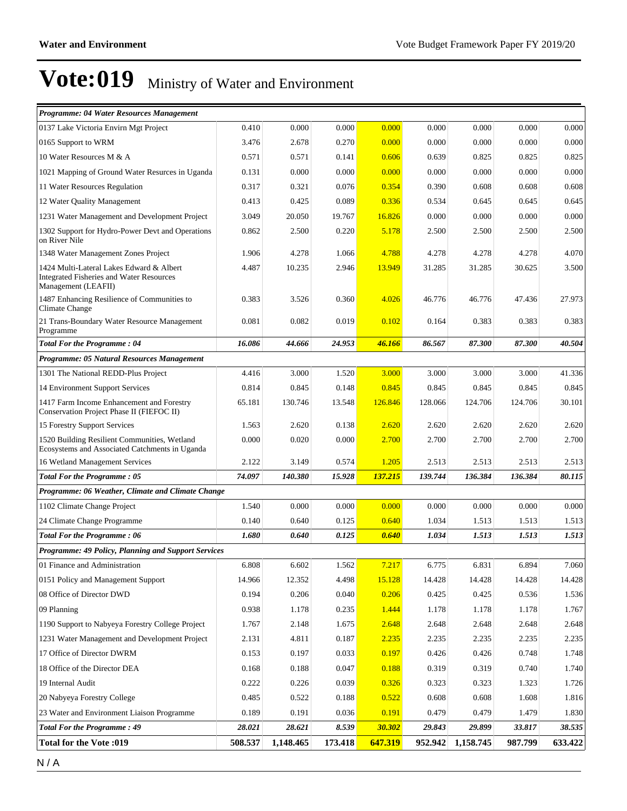| Programme: 04 Water Resources Management                                                                           |         |           |         |         |         |           |         |         |
|--------------------------------------------------------------------------------------------------------------------|---------|-----------|---------|---------|---------|-----------|---------|---------|
| 0137 Lake Victoria Envirn Mgt Project                                                                              | 0.410   | 0.000     | 0.000   | 0.000   | 0.000   | 0.000     | 0.000   | 0.000   |
| 0165 Support to WRM                                                                                                | 3.476   | 2.678     | 0.270   | 0.000   | 0.000   | 0.000     | 0.000   | 0.000   |
| 10 Water Resources M & A                                                                                           | 0.571   | 0.571     | 0.141   | 0.606   | 0.639   | 0.825     | 0.825   | 0.825   |
| 1021 Mapping of Ground Water Resurces in Uganda                                                                    | 0.131   | 0.000     | 0.000   | 0.000   | 0.000   | 0.000     | 0.000   | 0.000   |
| 11 Water Resources Regulation                                                                                      | 0.317   | 0.321     | 0.076   | 0.354   | 0.390   | 0.608     | 0.608   | 0.608   |
| 12 Water Quality Management                                                                                        | 0.413   | 0.425     | 0.089   | 0.336   | 0.534   | 0.645     | 0.645   | 0.645   |
| 1231 Water Management and Development Project                                                                      | 3.049   | 20.050    | 19.767  | 16.826  | 0.000   | 0.000     | 0.000   | 0.000   |
| 1302 Support for Hydro-Power Devt and Operations<br>on River Nile                                                  | 0.862   | 2.500     | 0.220   | 5.178   | 2.500   | 2.500     | 2.500   | 2.500   |
| 1348 Water Management Zones Project                                                                                | 1.906   | 4.278     | 1.066   | 4.788   | 4.278   | 4.278     | 4.278   | 4.070   |
| 1424 Multi-Lateral Lakes Edward & Albert<br><b>Integrated Fisheries and Water Resources</b><br>Management (LEAFII) | 4.487   | 10.235    | 2.946   | 13.949  | 31.285  | 31.285    | 30.625  | 3.500   |
| 1487 Enhancing Resilience of Communities to<br><b>Climate Change</b>                                               | 0.383   | 3.526     | 0.360   | 4.026   | 46.776  | 46.776    | 47.436  | 27.973  |
| 21 Trans-Boundary Water Resource Management<br>Programme                                                           | 0.081   | 0.082     | 0.019   | 0.102   | 0.164   | 0.383     | 0.383   | 0.383   |
| <b>Total For the Programme: 04</b>                                                                                 | 16.086  | 44.666    | 24.953  | 46.166  | 86.567  | 87.300    | 87.300  | 40.504  |
| Programme: 05 Natural Resources Management                                                                         |         |           |         |         |         |           |         |         |
| 1301 The National REDD-Plus Project                                                                                | 4.416   | 3.000     | 1.520   | 3.000   | 3.000   | 3.000     | 3.000   | 41.336  |
| 14 Environment Support Services                                                                                    | 0.814   | 0.845     | 0.148   | 0.845   | 0.845   | 0.845     | 0.845   | 0.845   |
| 1417 Farm Income Enhancement and Forestry<br>Conservation Project Phase II (FIEFOC II)                             | 65.181  | 130.746   | 13.548  | 126.846 | 128.066 | 124.706   | 124.706 | 30.101  |
| 15 Forestry Support Services                                                                                       | 1.563   | 2.620     | 0.138   | 2.620   | 2.620   | 2.620     | 2.620   | 2.620   |
| 1520 Building Resilient Communities, Wetland<br>Ecosystems and Associated Catchments in Uganda                     | 0.000   | 0.020     | 0.000   | 2.700   | 2.700   | 2.700     | 2.700   | 2.700   |
| 16 Wetland Management Services                                                                                     | 2.122   | 3.149     | 0.574   | 1.205   | 2.513   | 2.513     | 2.513   | 2.513   |
| Total For the Programme: 05                                                                                        | 74.097  | 140.380   | 15.928  | 137.215 | 139.744 | 136.384   | 136.384 | 80.115  |
| Programme: 06 Weather, Climate and Climate Change                                                                  |         |           |         |         |         |           |         |         |
| 1102 Climate Change Project                                                                                        | 1.540   | 0.000     | 0.000   | 0.000   | 0.000   | 0.000     | 0.000   | 0.000   |
| 24 Climate Change Programme                                                                                        | 0.140   | 0.640     | 0.125   | 0.640   | 1.034   | 1.513     | 1.513   | 1.513   |
| <b>Total For the Programme: 06</b>                                                                                 | 1.680   | 0.640     | 0.125   | 0.640   | 1.034   | 1.513     | 1.513   | 1.513   |
| Programme: 49 Policy, Planning and Support Services                                                                |         |           |         |         |         |           |         |         |
| 01 Finance and Administration                                                                                      | 6.808   | 6.602     | 1.562   | 7.217   | 6.775   | 6.831     | 6.894   | 7.060   |
| 0151 Policy and Management Support                                                                                 | 14.966  | 12.352    | 4.498   | 15.128  | 14.428  | 14.428    | 14.428  | 14.428  |
| 08 Office of Director DWD                                                                                          | 0.194   | 0.206     | 0.040   | 0.206   | 0.425   | 0.425     | 0.536   | 1.536   |
| 09 Planning                                                                                                        | 0.938   | 1.178     | 0.235   | 1.444   | 1.178   | 1.178     | 1.178   | 1.767   |
| 1190 Support to Nabyeya Forestry College Project                                                                   | 1.767   | 2.148     | 1.675   | 2.648   | 2.648   | 2.648     | 2.648   | 2.648   |
| 1231 Water Management and Development Project                                                                      | 2.131   | 4.811     | 0.187   | 2.235   | 2.235   | 2.235     | 2.235   | 2.235   |
| 17 Office of Director DWRM                                                                                         | 0.153   | 0.197     | 0.033   | 0.197   | 0.426   | 0.426     | 0.748   | 1.748   |
| 18 Office of the Director DEA                                                                                      | 0.168   | 0.188     | 0.047   | 0.188   | 0.319   | 0.319     | 0.740   | 1.740   |
| 19 Internal Audit                                                                                                  | 0.222   | 0.226     | 0.039   | 0.326   | 0.323   | 0.323     | 1.323   | 1.726   |
| 20 Nabyeya Forestry College                                                                                        | 0.485   | 0.522     | 0.188   | 0.522   | 0.608   | 0.608     | 1.608   | 1.816   |
| 23 Water and Environment Liaison Programme                                                                         | 0.189   | 0.191     | 0.036   | 0.191   | 0.479   | 0.479     | 1.479   | 1.830   |
| <b>Total For the Programme: 49</b>                                                                                 | 28.021  | 28.621    | 8.539   | 30.302  | 29.843  | 29.899    | 33.817  | 38.535  |
| Total for the Vote:019                                                                                             | 508.537 | 1,148.465 | 173.418 | 647.319 | 952.942 | 1,158.745 | 987.799 | 633.422 |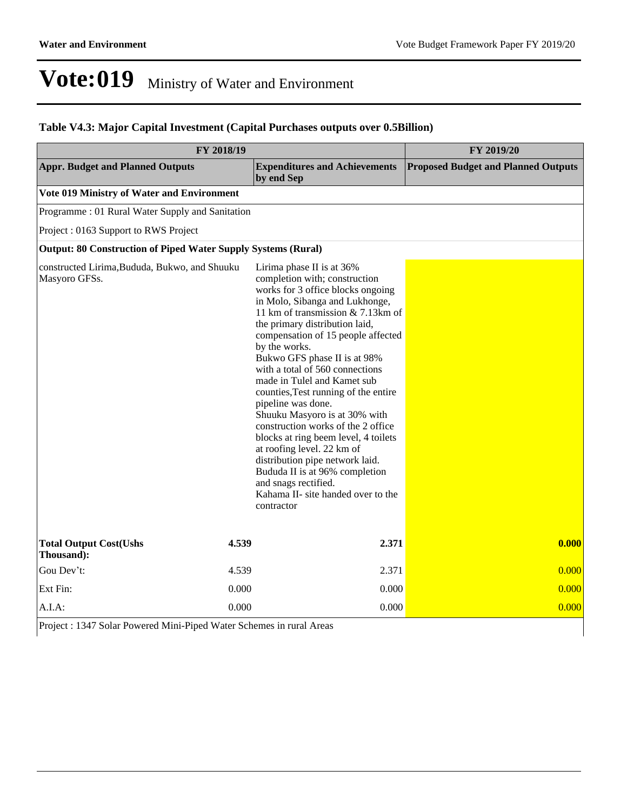### **Table V4.3: Major Capital Investment (Capital Purchases outputs over 0.5Billion)**

| FY 2018/19                                                     | FY 2019/20                                                                                                                                                                                                                                                                                                                                                                                                                                                                                                                                                                                                                                                                                                                    |                                            |  |  |  |  |  |  |  |
|----------------------------------------------------------------|-------------------------------------------------------------------------------------------------------------------------------------------------------------------------------------------------------------------------------------------------------------------------------------------------------------------------------------------------------------------------------------------------------------------------------------------------------------------------------------------------------------------------------------------------------------------------------------------------------------------------------------------------------------------------------------------------------------------------------|--------------------------------------------|--|--|--|--|--|--|--|
| <b>Appr. Budget and Planned Outputs</b>                        | <b>Expenditures and Achievements</b><br>by end Sep                                                                                                                                                                                                                                                                                                                                                                                                                                                                                                                                                                                                                                                                            | <b>Proposed Budget and Planned Outputs</b> |  |  |  |  |  |  |  |
| Vote 019 Ministry of Water and Environment                     |                                                                                                                                                                                                                                                                                                                                                                                                                                                                                                                                                                                                                                                                                                                               |                                            |  |  |  |  |  |  |  |
| Programme: 01 Rural Water Supply and Sanitation                |                                                                                                                                                                                                                                                                                                                                                                                                                                                                                                                                                                                                                                                                                                                               |                                            |  |  |  |  |  |  |  |
| Project: 0163 Support to RWS Project                           |                                                                                                                                                                                                                                                                                                                                                                                                                                                                                                                                                                                                                                                                                                                               |                                            |  |  |  |  |  |  |  |
| Output: 80 Construction of Piped Water Supply Systems (Rural)  |                                                                                                                                                                                                                                                                                                                                                                                                                                                                                                                                                                                                                                                                                                                               |                                            |  |  |  |  |  |  |  |
| constructed Lirima, Bududa, Bukwo, and Shuuku<br>Masyoro GFSs. | Lirima phase II is at 36%<br>completion with; construction<br>works for 3 office blocks ongoing<br>in Molo, Sibanga and Lukhonge,<br>11 km of transmission & 7.13km of<br>the primary distribution laid,<br>compensation of 15 people affected<br>by the works.<br>Bukwo GFS phase II is at 98%<br>with a total of 560 connections<br>made in Tulel and Kamet sub<br>counties, Test running of the entire<br>pipeline was done.<br>Shuuku Masyoro is at 30% with<br>construction works of the 2 office<br>blocks at ring beem level, 4 toilets<br>at roofing level. 22 km of<br>distribution pipe network laid.<br>Bududa II is at 96% completion<br>and snags rectified.<br>Kahama II- site handed over to the<br>contractor |                                            |  |  |  |  |  |  |  |
| <b>Total Output Cost(Ushs</b><br>Thousand):                    | 2.371<br>4.539                                                                                                                                                                                                                                                                                                                                                                                                                                                                                                                                                                                                                                                                                                                | 0.000                                      |  |  |  |  |  |  |  |
| Gou Dev't:                                                     | 2.371<br>4.539                                                                                                                                                                                                                                                                                                                                                                                                                                                                                                                                                                                                                                                                                                                | 0.000                                      |  |  |  |  |  |  |  |
| Ext Fin:                                                       | 0.000<br>0.000                                                                                                                                                                                                                                                                                                                                                                                                                                                                                                                                                                                                                                                                                                                | 0.000                                      |  |  |  |  |  |  |  |
| $A.I.A$ :                                                      | 0.000<br>0.000                                                                                                                                                                                                                                                                                                                                                                                                                                                                                                                                                                                                                                                                                                                | 0.000                                      |  |  |  |  |  |  |  |

Project : 1347 Solar Powered Mini-Piped Water Schemes in rural Areas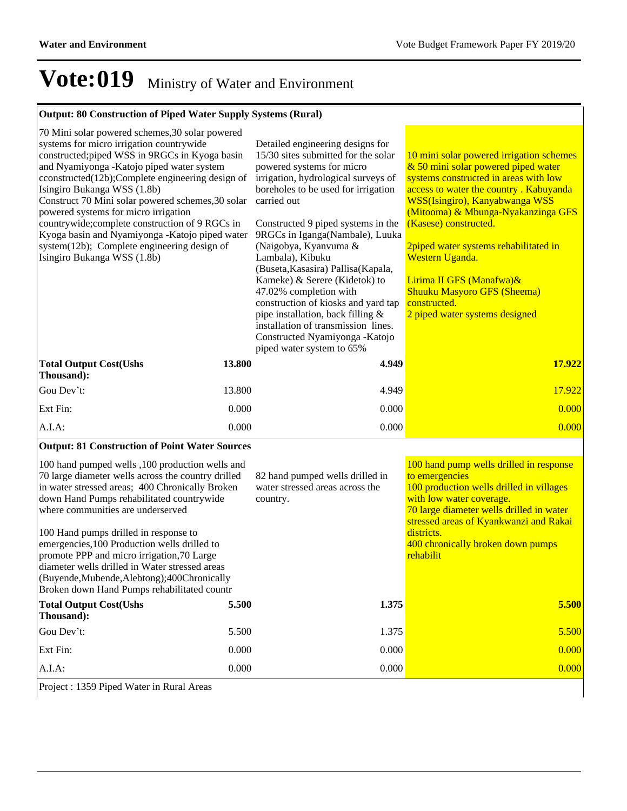### **Output: 80 Construction of Piped Water Supply Systems (Rural)**

| 70 Mini solar powered schemes, 30 solar powered<br>systems for micro irrigation countrywide<br>constructed; piped WSS in 9RGCs in Kyoga basin<br>and Nyamiyonga - Katojo piped water system<br>cconstructed(12b);Complete engineering design of<br>Isingiro Bukanga WSS (1.8b)<br>Construct 70 Mini solar powered schemes, 30 solar<br>powered systems for micro irrigation<br>countrywide; complete construction of 9 RGCs in<br>Kyoga basin and Nyamiyonga - Katojo piped water<br>system(12b); Complete engineering design of<br>Isingiro Bukanga WSS (1.8b) | Detailed engineering designs for<br>15/30 sites submitted for the solar<br>powered systems for micro<br>irrigation, hydrological surveys of<br>boreholes to be used for irrigation<br>carried out<br>Constructed 9 piped systems in the<br>9RGCs in Iganga(Nambale), Luuka<br>(Naigobya, Kyanvuma &<br>Lambala), Kibuku<br>(Buseta, Kasasira) Pallisa (Kapala,<br>Kameke) & Serere (Kidetok) to<br>47.02% completion with<br>construction of kiosks and yard tap<br>pipe installation, back filling &<br>installation of transmission lines.<br>Constructed Nyamiyonga - Katojo<br>piped water system to 65% | 10 mini solar powered irrigation schemes<br>& 50 mini solar powered piped water<br>systems constructed in areas with low<br>access to water the country. Kabuyanda<br>WSS(Isingiro), Kanyabwanga WSS<br>(Mitooma) & Mbunga-Nyakanzinga GFS<br>(Kasese) constructed.<br>2piped water systems rehabilitated in<br>Western Uganda.<br>Lirima II GFS (Manafwa)&<br><b>Shuuku Masyoro GFS (Sheema)</b><br>constructed.<br>2 piped water systems designed |
|-----------------------------------------------------------------------------------------------------------------------------------------------------------------------------------------------------------------------------------------------------------------------------------------------------------------------------------------------------------------------------------------------------------------------------------------------------------------------------------------------------------------------------------------------------------------|--------------------------------------------------------------------------------------------------------------------------------------------------------------------------------------------------------------------------------------------------------------------------------------------------------------------------------------------------------------------------------------------------------------------------------------------------------------------------------------------------------------------------------------------------------------------------------------------------------------|-----------------------------------------------------------------------------------------------------------------------------------------------------------------------------------------------------------------------------------------------------------------------------------------------------------------------------------------------------------------------------------------------------------------------------------------------------|
| 13.800<br><b>Total Output Cost(Ushs</b><br>Thousand):                                                                                                                                                                                                                                                                                                                                                                                                                                                                                                           | 4.949                                                                                                                                                                                                                                                                                                                                                                                                                                                                                                                                                                                                        | 17.922                                                                                                                                                                                                                                                                                                                                                                                                                                              |
| Gou Dev't:<br>13.800                                                                                                                                                                                                                                                                                                                                                                                                                                                                                                                                            | 4.949                                                                                                                                                                                                                                                                                                                                                                                                                                                                                                                                                                                                        | 17.922                                                                                                                                                                                                                                                                                                                                                                                                                                              |
| Ext Fin:<br>0.000                                                                                                                                                                                                                                                                                                                                                                                                                                                                                                                                               | 0.000                                                                                                                                                                                                                                                                                                                                                                                                                                                                                                                                                                                                        | 0.000                                                                                                                                                                                                                                                                                                                                                                                                                                               |
| A.I.A:<br>0.000                                                                                                                                                                                                                                                                                                                                                                                                                                                                                                                                                 | 0.000                                                                                                                                                                                                                                                                                                                                                                                                                                                                                                                                                                                                        | 0.000                                                                                                                                                                                                                                                                                                                                                                                                                                               |
| <b>Output: 81 Construction of Point Water Sources</b>                                                                                                                                                                                                                                                                                                                                                                                                                                                                                                           |                                                                                                                                                                                                                                                                                                                                                                                                                                                                                                                                                                                                              |                                                                                                                                                                                                                                                                                                                                                                                                                                                     |
| 100 hand pumped wells ,100 production wells and<br>70 large diameter wells across the country drilled<br>in water stressed areas; 400 Chronically Broken<br>down Hand Pumps rehabilitated countrywide<br>where communities are underserved                                                                                                                                                                                                                                                                                                                      | 82 hand pumped wells drilled in<br>water stressed areas across the<br>country.                                                                                                                                                                                                                                                                                                                                                                                                                                                                                                                               | 100 hand pump wells drilled in response<br>to emergencies<br>100 production wells drilled in villages<br>with low water coverage.<br>70 large diameter wells drilled in water<br>stressed areas of Kyankwanzi and Rakai                                                                                                                                                                                                                             |

100 Hand pumps drilled in response to emergencies,100 Production wells drilled to promote PPP and micro irrigation,70 Large diameter wells drilled in Water stressed areas (Buyende,Mubende,Alebtong);400Chronically

Broken down Hand Pumps rehabilitated countr **Total Output Cost(Ushs Thousand): 5.500 1.375 5.500** Gou Dev't: 5.500 5.500 5.500 5.500 5.500 5.500 5.500 5.500 5.500 5.500 5.500 5.500 5.500 5.500 5.500 5.500 5.500 5.500 5.500 5.500 5.500 5.500 5.500 5.500 5.500 5.500 5.500 5.500 5.500 5.500 5.500 5.500 5.500 5.500 5.500 5 Ext Fin: 2000 0.000 0.000 0.000 0.000 0.000 0.000 0.000 0.000 0.000 0.000 0.000 0.000 0.000 0.000 0.000 0.000 0 A.I.A: 0.000 0.000 0.000

districts.

rehabilit

400 chronically broken down pumps

Project : 1359 Piped Water in Rural Areas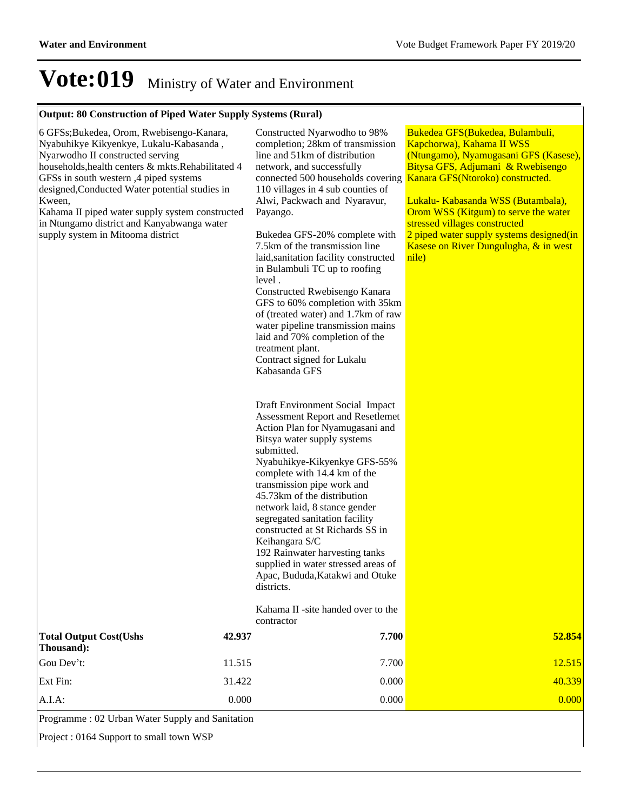### **Output: 80 Construction of Piped Water Supply Systems (Rural)**

| 6 GFSs;Bukedea, Orom, Rwebisengo-Kanara,<br>Nyabuhikye Kikyenkye, Lukalu-Kabasanda,<br>Nyarwodho II constructed serving<br>households, health centers & mkts. Rehabilitated 4<br>GFSs in south western, 4 piped systems<br>designed, Conducted Water potential studies in<br>Kween,<br>Kahama II piped water supply system constructed<br>in Ntungamo district and Kanyabwanga water<br>supply system in Mitooma district |        | Constructed Nyarwodho to 98%<br>completion; 28km of transmission<br>line and 51km of distribution<br>network, and successfully<br>connected 500 households covering<br>110 villages in 4 sub counties of<br>Alwi, Packwach and Nyaravur,<br>Payango.<br>Bukedea GFS-20% complete with<br>7.5km of the transmission line<br>laid, sanitation facility constructed<br>in Bulambuli TC up to roofing<br>level.<br>Constructed Rwebisengo Kanara<br>GFS to 60% completion with 35km<br>of (treated water) and 1.7km of raw<br>water pipeline transmission mains<br>laid and 70% completion of the<br>treatment plant.<br>Contract signed for Lukalu<br>Kabasanda GFS<br>Draft Environment Social Impact<br>Assessment Report and Resetlemet<br>Action Plan for Nyamugasani and<br>Bitsya water supply systems<br>submitted.<br>Nyabuhikye-Kikyenkye GFS-55%<br>complete with 14.4 km of the<br>transmission pipe work and<br>45.73km of the distribution<br>network laid, 8 stance gender<br>segregated sanitation facility<br>constructed at St Richards SS in<br>Keihangara S/C<br>192 Rainwater harvesting tanks<br>supplied in water stressed areas of<br>Apac, Bududa, Katakwi and Otuke<br>districts.<br>Kahama II -site handed over to the<br>contractor | Bukedea GFS(Bukedea, Bulambuli,<br>Kapchorwa), Kahama II WSS<br>(Ntungamo), Nyamugasani GFS (Kasese),<br>Bitysa GFS, Adjumani & Rwebisengo<br>Kanara GFS(Ntoroko) constructed.<br>Lukalu- Kabasanda WSS (Butambala),<br>Orom WSS (Kitgum) to serve the water<br>stressed villages constructed<br>2 piped water supply systems designed(in<br>Kasese on River Dungulugha, & in west<br>nile) |
|---------------------------------------------------------------------------------------------------------------------------------------------------------------------------------------------------------------------------------------------------------------------------------------------------------------------------------------------------------------------------------------------------------------------------|--------|-------------------------------------------------------------------------------------------------------------------------------------------------------------------------------------------------------------------------------------------------------------------------------------------------------------------------------------------------------------------------------------------------------------------------------------------------------------------------------------------------------------------------------------------------------------------------------------------------------------------------------------------------------------------------------------------------------------------------------------------------------------------------------------------------------------------------------------------------------------------------------------------------------------------------------------------------------------------------------------------------------------------------------------------------------------------------------------------------------------------------------------------------------------------------------------------------------------------------------------------------------------|---------------------------------------------------------------------------------------------------------------------------------------------------------------------------------------------------------------------------------------------------------------------------------------------------------------------------------------------------------------------------------------------|
| <b>Total Output Cost(Ushs</b><br>Thousand):                                                                                                                                                                                                                                                                                                                                                                               | 42.937 | 7.700                                                                                                                                                                                                                                                                                                                                                                                                                                                                                                                                                                                                                                                                                                                                                                                                                                                                                                                                                                                                                                                                                                                                                                                                                                                       | 52.854                                                                                                                                                                                                                                                                                                                                                                                      |
| Gou Dev't:                                                                                                                                                                                                                                                                                                                                                                                                                | 11.515 | 7.700                                                                                                                                                                                                                                                                                                                                                                                                                                                                                                                                                                                                                                                                                                                                                                                                                                                                                                                                                                                                                                                                                                                                                                                                                                                       | 12.515                                                                                                                                                                                                                                                                                                                                                                                      |
| Ext Fin:                                                                                                                                                                                                                                                                                                                                                                                                                  | 31.422 | 0.000                                                                                                                                                                                                                                                                                                                                                                                                                                                                                                                                                                                                                                                                                                                                                                                                                                                                                                                                                                                                                                                                                                                                                                                                                                                       | 40.339                                                                                                                                                                                                                                                                                                                                                                                      |
| A.I.A:                                                                                                                                                                                                                                                                                                                                                                                                                    | 0.000  | 0.000                                                                                                                                                                                                                                                                                                                                                                                                                                                                                                                                                                                                                                                                                                                                                                                                                                                                                                                                                                                                                                                                                                                                                                                                                                                       | 0.000                                                                                                                                                                                                                                                                                                                                                                                       |

Programme : 02 Urban Water Supply and Sanitation

Project : 0164 Support to small town WSP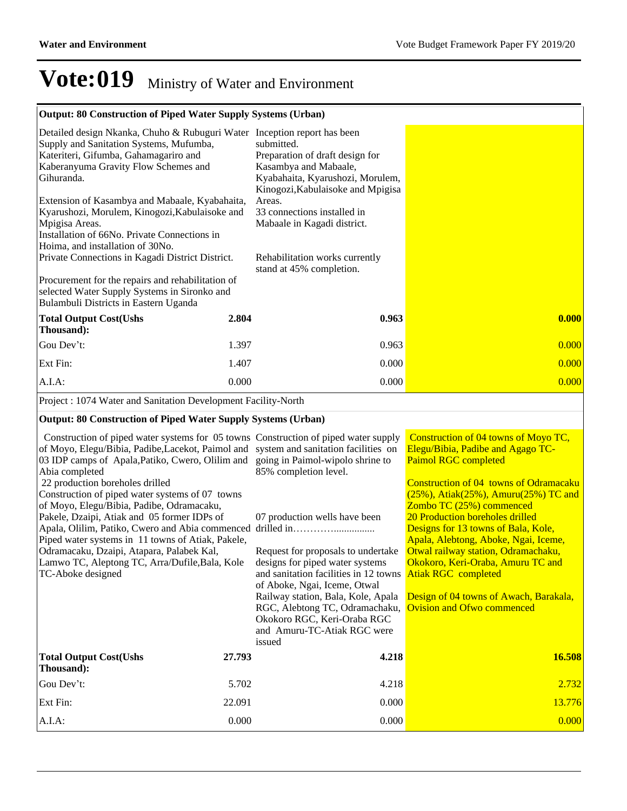### **Output: 80 Construction of Piped Water Supply Systems (Urban)**

| Detailed design Nkanka, Chuho & Rubuguri Water Inception report has been<br>Supply and Sanitation Systems, Mufumba,<br>Kateriteri, Gifumba, Gahamagariro and<br>Kaberanyuma Gravity Flow Schemes and<br>Gihuranda.<br>Extension of Kasambya and Mabaale, Kyabahaita, | submitted.<br>Preparation of draft design for<br>Kasambya and Mabaale,<br>Kyabahaita, Kyarushozi, Morulem,<br>Kinogozi, Kabulaisoke and Mpigisa<br>Areas.<br>33 connections installed in |       |
|----------------------------------------------------------------------------------------------------------------------------------------------------------------------------------------------------------------------------------------------------------------------|------------------------------------------------------------------------------------------------------------------------------------------------------------------------------------------|-------|
| Kyarushozi, Morulem, Kinogozi, Kabulaisoke and<br>Mpigisa Areas.                                                                                                                                                                                                     | Mabaale in Kagadi district.                                                                                                                                                              |       |
| Installation of 66No. Private Connections in                                                                                                                                                                                                                         |                                                                                                                                                                                          |       |
| Hoima, and installation of 30No.                                                                                                                                                                                                                                     |                                                                                                                                                                                          |       |
| Private Connections in Kagadi District District.                                                                                                                                                                                                                     | Rehabilitation works currently<br>stand at 45% completion.                                                                                                                               |       |
| Procurement for the repairs and rehabilitation of<br>selected Water Supply Systems in Sironko and<br>Bulambuli Districts in Eastern Uganda                                                                                                                           |                                                                                                                                                                                          |       |
| <b>Total Output Cost(Ushs</b><br>2.804<br>Thousand):                                                                                                                                                                                                                 | 0.963                                                                                                                                                                                    | 0.000 |
| Gou Dev't:<br>1.397                                                                                                                                                                                                                                                  | 0.963                                                                                                                                                                                    | 0.000 |
| Ext Fin:<br>1.407                                                                                                                                                                                                                                                    | 0.000                                                                                                                                                                                    | 0.000 |
| $A.I.A$ :<br>0.000                                                                                                                                                                                                                                                   | 0.000                                                                                                                                                                                    | 0.000 |
| Project : 1074 Water and Sanitation Development Facility-North                                                                                                                                                                                                       |                                                                                                                                                                                          |       |

### **Output: 80 Construction of Piped Water Supply Systems (Urban)**

| Construction of piped water systems for 05 towns Construction of piped water supply<br>of Moyo, Elegu/Bibia, Padibe, Lacekot, Paimol and system and sanitation facilities on<br>03 IDP camps of Apala, Patiko, Cwero, Olilim and going in Paimol-wipolo shrine to<br>Abia completed<br>22 production boreholes drilled<br>Construction of piped water systems of 07 towns<br>of Moyo, Elegu/Bibia, Padibe, Odramacaku, |        | 85% completion level.                                                                                                                                                                                                                                                                          | Construction of 04 towns of Moyo TC,<br>Elegu/Bibia, Padibe and Agago TC-<br><b>Paimol RGC completed</b><br>Construction of 04 towns of Odramacaku<br>$(25\%)$ , Atiak $(25\%)$ , Amuru $(25\%)$ TC and<br>Zombo TC (25%) commenced |
|------------------------------------------------------------------------------------------------------------------------------------------------------------------------------------------------------------------------------------------------------------------------------------------------------------------------------------------------------------------------------------------------------------------------|--------|------------------------------------------------------------------------------------------------------------------------------------------------------------------------------------------------------------------------------------------------------------------------------------------------|-------------------------------------------------------------------------------------------------------------------------------------------------------------------------------------------------------------------------------------|
| Pakele, Dzaipi, Atiak and 05 former IDPs of<br>Piped water systems in 11 towns of Atiak, Pakele,                                                                                                                                                                                                                                                                                                                       |        | 07 production wells have been                                                                                                                                                                                                                                                                  | 20 Production boreholes drilled<br>Designs for 13 towns of Bala, Kole,<br>Apala, Alebtong, Aboke, Ngai, Iceme,                                                                                                                      |
| Odramacaku, Dzaipi, Atapara, Palabek Kal,<br>Lamwo TC, Aleptong TC, Arra/Dufile, Bala, Kole<br>TC-Aboke designed                                                                                                                                                                                                                                                                                                       |        | Request for proposals to undertake<br>designs for piped water systems<br>and sanitation facilities in 12 towns<br>of Aboke, Ngai, Iceme, Otwal<br>Railway station, Bala, Kole, Apala<br>RGC, Alebtong TC, Odramachaku,<br>Okokoro RGC, Keri-Oraba RGC<br>and Amuru-TC-Atiak RGC were<br>issued | Otwal railway station, Odramachaku,<br>Okokoro, Keri-Oraba, Amuru TC and<br><b>Atiak RGC</b> completed<br>Design of 04 towns of Awach, Barakala,<br><b>Ovision and Ofwo commenced</b>                                               |
| <b>Total Output Cost(Ushs</b><br>Thousand):                                                                                                                                                                                                                                                                                                                                                                            | 27.793 | 4.218                                                                                                                                                                                                                                                                                          | 16.508                                                                                                                                                                                                                              |
| Gou Dev't:                                                                                                                                                                                                                                                                                                                                                                                                             | 5.702  | 4.218                                                                                                                                                                                                                                                                                          | 2.732                                                                                                                                                                                                                               |
| Ext Fin:                                                                                                                                                                                                                                                                                                                                                                                                               | 22.091 | 0.000                                                                                                                                                                                                                                                                                          | 13.776                                                                                                                                                                                                                              |
| $A.I.A$ :                                                                                                                                                                                                                                                                                                                                                                                                              | 0.000  | 0.000                                                                                                                                                                                                                                                                                          | 0.000                                                                                                                                                                                                                               |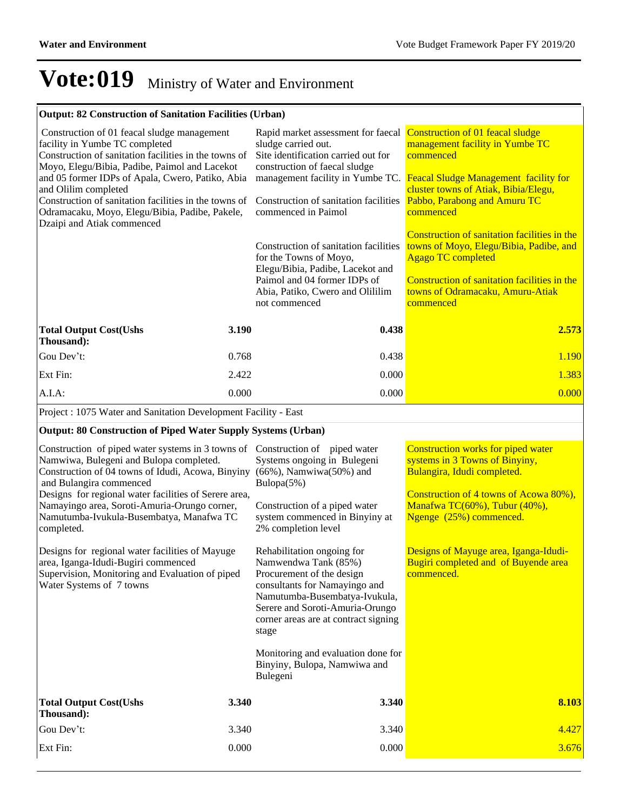Construction of 4 towns of Acowa 80%), Manafwa TC(60%), Tubur (40%), Ngenge (25%) commenced.

### **Vote:019** Ministry of Water and Environment

#### **Output: 82 Construction of Sanitation Facilities (Urban)**

| Construction of 01 feacal sludge management<br>facility in Yumbe TC completed<br>Construction of sanitation facilities in the towns of<br>Moyo, Elegu/Bibia, Padibe, Paimol and Lacekot<br>and 05 former IDPs of Apala, Cwero, Patiko, Abia<br>and Olilim completed<br>Construction of sanitation facilities in the towns of<br>Odramacaku, Moyo, Elegu/Bibia, Padibe, Pakele,<br>Dzaipi and Atiak commenced |       | Rapid market assessment for faecal<br>sludge carried out.<br>Site identification carried out for<br>construction of faecal sludge<br>management facility in Yumbe TC.<br>Construction of sanitation facilities<br>commenced in Paimol<br>Construction of sanitation facilities<br>for the Towns of Moyo,<br>Elegu/Bibia, Padibe, Lacekot and<br>Paimol and 04 former IDPs of<br>Abia, Patiko, Cwero and Olililim<br>not commenced | Construction of 01 feacal sludge<br>management facility in Yumbe TC<br>commenced<br><b>Feacal Sludge Management facility for</b><br>cluster towns of Atiak, Bibia/Elegu,<br>Pabbo, Parabong and Amuru TC<br>commenced<br>Construction of sanitation facilities in the<br>towns of Moyo, Elegu/Bibia, Padibe, and<br><b>Agago TC completed</b><br>Construction of sanitation facilities in the<br>towns of Odramacaku, Amuru-Atiak<br>commenced |
|--------------------------------------------------------------------------------------------------------------------------------------------------------------------------------------------------------------------------------------------------------------------------------------------------------------------------------------------------------------------------------------------------------------|-------|-----------------------------------------------------------------------------------------------------------------------------------------------------------------------------------------------------------------------------------------------------------------------------------------------------------------------------------------------------------------------------------------------------------------------------------|------------------------------------------------------------------------------------------------------------------------------------------------------------------------------------------------------------------------------------------------------------------------------------------------------------------------------------------------------------------------------------------------------------------------------------------------|
| <b>Total Output Cost(Ushs</b><br>Thousand):                                                                                                                                                                                                                                                                                                                                                                  | 3.190 | 0.438                                                                                                                                                                                                                                                                                                                                                                                                                             | 2.573                                                                                                                                                                                                                                                                                                                                                                                                                                          |
| Gou Dev't:                                                                                                                                                                                                                                                                                                                                                                                                   | 0.768 | 0.438                                                                                                                                                                                                                                                                                                                                                                                                                             | 1.190                                                                                                                                                                                                                                                                                                                                                                                                                                          |
| Ext Fin:                                                                                                                                                                                                                                                                                                                                                                                                     | 2.422 | 0.000                                                                                                                                                                                                                                                                                                                                                                                                                             | 1.383                                                                                                                                                                                                                                                                                                                                                                                                                                          |
| A.I.A.                                                                                                                                                                                                                                                                                                                                                                                                       | 0.000 | 0.000                                                                                                                                                                                                                                                                                                                                                                                                                             | 0.000                                                                                                                                                                                                                                                                                                                                                                                                                                          |
| Project : 1075 Water and Sanitation Development Facility - East                                                                                                                                                                                                                                                                                                                                              |       |                                                                                                                                                                                                                                                                                                                                                                                                                                   |                                                                                                                                                                                                                                                                                                                                                                                                                                                |
| <b>Output: 80 Construction of Piped Water Supply Systems (Urban)</b>                                                                                                                                                                                                                                                                                                                                         |       |                                                                                                                                                                                                                                                                                                                                                                                                                                   |                                                                                                                                                                                                                                                                                                                                                                                                                                                |
| Construction of piped water systems in 3 towns of Construction of piped water<br>Namwiwa, Bulegeni and Bulopa completed.<br>Construction of 04 towns of Idudi, Acowa, Binyiny (66%), Namwiwa(50%) and                                                                                                                                                                                                        |       | Systems ongoing in Bulegeni                                                                                                                                                                                                                                                                                                                                                                                                       | Construction works for piped water<br>systems in 3 Towns of Binyiny,<br>Bulangira, Idudi completed.                                                                                                                                                                                                                                                                                                                                            |

Bulopa(5%)

 and Bulangira commenced Designs for regional water facilities of Serere area, Namayingo area, Soroti-Amuria-Orungo corner, Namutumba-Ivukula-Busembatya, Manafwa TC completed.

Designs for regional water facilities of Mayuge area, Iganga-Idudi-Bugiri commenced Supervision, Monitoring and Evaluation of piped Water Systems of 7 towns

2% completion level Rehabilitation ongoing for Namwendwa Tank (85%) Procurement of the design consultants for Namayingo and Namutumba-Busembatya-Ivukula, Serere and Soroti-Amuria-Orungo corner areas are at contract signing stage Designs of Mayuge area, Iganga-Idudi-Bugiri completed and of Buyende area commenced.

Construction of a piped water system commenced in Binyiny at

Monitoring and evaluation done for Binyiny, Bulopa, Namwiwa and Bulegeni

| <b>Total Output Cost(Ushs</b><br>Thousand): | 3.340 | 3.340 | 8.103 |
|---------------------------------------------|-------|-------|-------|
| Gou Dev't:                                  | 3.340 | 3.340 | 4.427 |
| Ext Fin:                                    | 0.000 | 0.000 | 3.676 |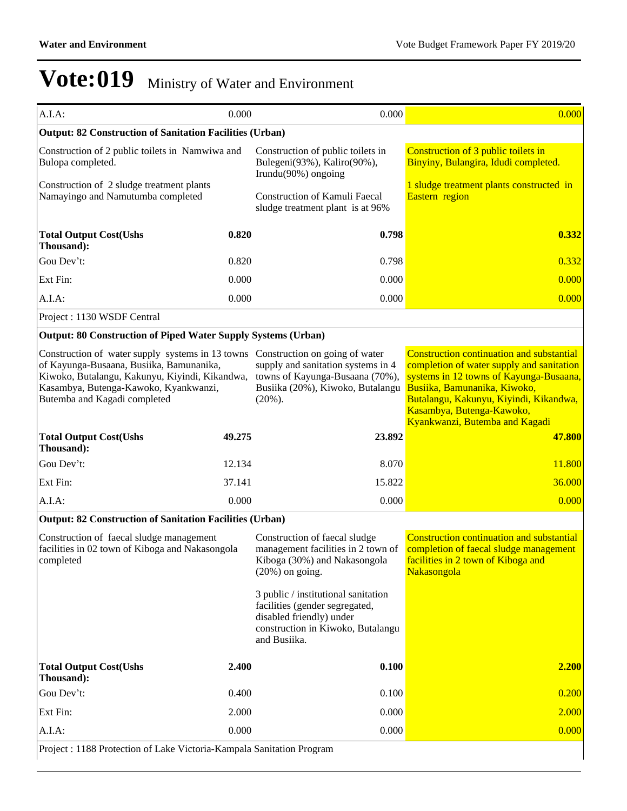| A.I.A:                                                                                                                                                                                                                                                 | 0.000  | 0.000                                                                                                                                                  | 0.000                                                                                                                                                                                                                                                                             |
|--------------------------------------------------------------------------------------------------------------------------------------------------------------------------------------------------------------------------------------------------------|--------|--------------------------------------------------------------------------------------------------------------------------------------------------------|-----------------------------------------------------------------------------------------------------------------------------------------------------------------------------------------------------------------------------------------------------------------------------------|
| <b>Output: 82 Construction of Sanitation Facilities (Urban)</b>                                                                                                                                                                                        |        |                                                                                                                                                        |                                                                                                                                                                                                                                                                                   |
| Construction of 2 public toilets in Namwiwa and<br>Bulopa completed.                                                                                                                                                                                   |        | Construction of public toilets in<br>Bulegeni(93%), Kaliro(90%),<br>Irundu $(90\%)$ ongoing                                                            | Construction of 3 public toilets in<br>Binyiny, Bulangira, Idudi completed.                                                                                                                                                                                                       |
| Construction of 2 sludge treatment plants<br>Namayingo and Namutumba completed                                                                                                                                                                         |        | Construction of Kamuli Faecal<br>sludge treatment plant is at 96%                                                                                      | 1 sludge treatment plants constructed in<br>Eastern region                                                                                                                                                                                                                        |
| <b>Total Output Cost(Ushs</b><br>Thousand):                                                                                                                                                                                                            | 0.820  | 0.798                                                                                                                                                  | 0.332                                                                                                                                                                                                                                                                             |
| Gou Dev't:                                                                                                                                                                                                                                             | 0.820  | 0.798                                                                                                                                                  | 0.332                                                                                                                                                                                                                                                                             |
| Ext Fin:                                                                                                                                                                                                                                               | 0.000  | 0.000                                                                                                                                                  | 0.000                                                                                                                                                                                                                                                                             |
| A.I.A:                                                                                                                                                                                                                                                 | 0.000  | 0.000                                                                                                                                                  | 0.000                                                                                                                                                                                                                                                                             |
| Project: 1130 WSDF Central                                                                                                                                                                                                                             |        |                                                                                                                                                        |                                                                                                                                                                                                                                                                                   |
| <b>Output: 80 Construction of Piped Water Supply Systems (Urban)</b>                                                                                                                                                                                   |        |                                                                                                                                                        |                                                                                                                                                                                                                                                                                   |
| Construction of water supply systems in 13 towns Construction on going of water<br>of Kayunga-Busaana, Busiika, Bamunanika,<br>Kiwoko, Butalangu, Kakunyu, Kiyindi, Kikandwa,<br>Kasambya, Butenga-Kawoko, Kyankwanzi,<br>Butemba and Kagadi completed |        | supply and sanitation systems in 4<br>towns of Kayunga-Busaana (70%),<br>Busiika (20%), Kiwoko, Butalangu<br>$(20\%)$ .                                | <b>Construction continuation and substantial</b><br>completion of water supply and sanitation<br>systems in 12 towns of Kayunga-Busaana,<br>Busiika, Bamunanika, Kiwoko,<br>Butalangu, Kakunyu, Kiyindi, Kikandwa,<br>Kasambya, Butenga-Kawoko,<br>Kyankwanzi, Butemba and Kagadi |
| <b>Total Output Cost(Ushs</b><br>Thousand):                                                                                                                                                                                                            | 49.275 | 23.892                                                                                                                                                 | 47.800                                                                                                                                                                                                                                                                            |
| Gou Dev't:                                                                                                                                                                                                                                             | 12.134 | 8.070                                                                                                                                                  | 11.800                                                                                                                                                                                                                                                                            |
| Ext Fin:                                                                                                                                                                                                                                               | 37.141 | 15.822                                                                                                                                                 | 36.000                                                                                                                                                                                                                                                                            |
| A.I.A.                                                                                                                                                                                                                                                 | 0.000  | 0.000                                                                                                                                                  | 0.000                                                                                                                                                                                                                                                                             |
| <b>Output: 82 Construction of Sanitation Facilities (Urban)</b>                                                                                                                                                                                        |        |                                                                                                                                                        |                                                                                                                                                                                                                                                                                   |
| Construction of faecal sludge management<br>facilities in 02 town of Kiboga and Nakasongola<br>completed                                                                                                                                               |        | Construction of faecal sludge<br>management facilities in 2 town of<br>Kiboga (30%) and Nakasongola<br>$(20\%)$ on going.                              | <b>Construction continuation and substantial</b><br>completion of faecal sludge management<br>facilities in 2 town of Kiboga and<br>Nakasongola                                                                                                                                   |
|                                                                                                                                                                                                                                                        |        | 3 public / institutional sanitation<br>facilities (gender segregated,<br>disabled friendly) under<br>construction in Kiwoko, Butalangu<br>and Busiika. |                                                                                                                                                                                                                                                                                   |
| <b>Total Output Cost(Ushs</b><br>Thousand):                                                                                                                                                                                                            | 2.400  | 0.100                                                                                                                                                  | 2.200                                                                                                                                                                                                                                                                             |
| Gou Dev't:                                                                                                                                                                                                                                             | 0.400  | 0.100                                                                                                                                                  | 0.200                                                                                                                                                                                                                                                                             |
| Ext Fin:                                                                                                                                                                                                                                               | 2.000  | 0.000                                                                                                                                                  | 2.000                                                                                                                                                                                                                                                                             |
| A.I.A:                                                                                                                                                                                                                                                 |        |                                                                                                                                                        | 0.000                                                                                                                                                                                                                                                                             |
|                                                                                                                                                                                                                                                        | 0.000  | 0.000                                                                                                                                                  |                                                                                                                                                                                                                                                                                   |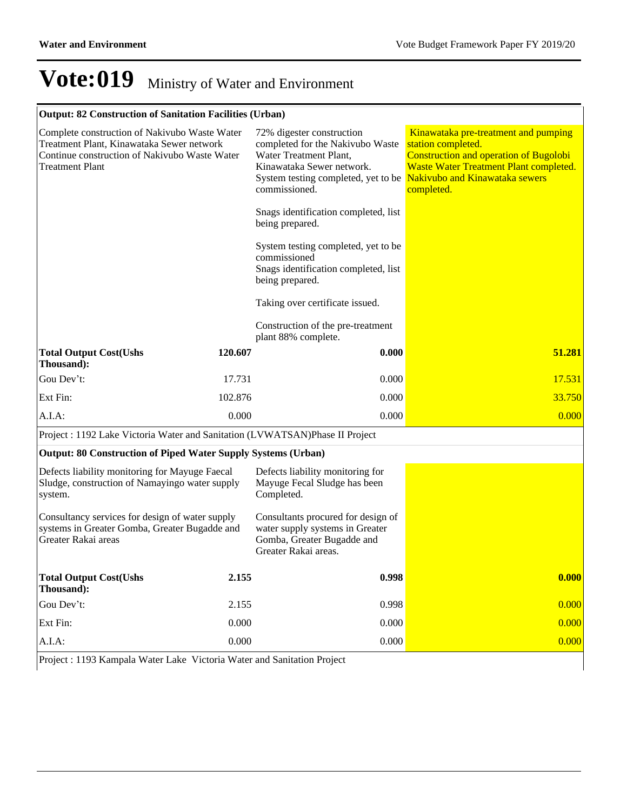|  | <b>Output: 82 Construction of Sanitation Facilities (Urban)</b> |  |  |  |
|--|-----------------------------------------------------------------|--|--|--|
|--|-----------------------------------------------------------------|--|--|--|

| Complete construction of Nakivubo Waste Water<br>Treatment Plant, Kinawataka Sewer network<br>Continue construction of Nakivubo Waste Water<br><b>Treatment Plant</b> |         | 72% digester construction<br>completed for the Nakivubo Waste<br>Water Treatment Plant,<br>Kinawataka Sewer network.<br>System testing completed, yet to be Nakivubo and Kinawataka sewers<br>commissioned. | Kinawataka pre-treatment and pumping<br>station completed.<br><b>Construction and operation of Bugolobi</b><br>Waste Water Treatment Plant completed.<br>completed. |
|-----------------------------------------------------------------------------------------------------------------------------------------------------------------------|---------|-------------------------------------------------------------------------------------------------------------------------------------------------------------------------------------------------------------|---------------------------------------------------------------------------------------------------------------------------------------------------------------------|
|                                                                                                                                                                       |         | Snags identification completed, list<br>being prepared.                                                                                                                                                     |                                                                                                                                                                     |
|                                                                                                                                                                       |         | System testing completed, yet to be<br>commissioned<br>Snags identification completed, list<br>being prepared.                                                                                              |                                                                                                                                                                     |
|                                                                                                                                                                       |         | Taking over certificate issued.                                                                                                                                                                             |                                                                                                                                                                     |
|                                                                                                                                                                       |         | Construction of the pre-treatment<br>plant 88% complete.                                                                                                                                                    |                                                                                                                                                                     |
| <b>Total Output Cost(Ushs</b><br>Thousand):                                                                                                                           | 120.607 | 0.000                                                                                                                                                                                                       | 51.281                                                                                                                                                              |
| Gou Dev't:                                                                                                                                                            | 17.731  | 0.000                                                                                                                                                                                                       | 17.531                                                                                                                                                              |
| Ext Fin:                                                                                                                                                              | 102.876 | 0.000                                                                                                                                                                                                       | 33.750                                                                                                                                                              |
| $A.I.A$ :                                                                                                                                                             | 0.000   | 0.000                                                                                                                                                                                                       | 0.000                                                                                                                                                               |
| Project : 1192 Lake Victoria Water and Sanitation (LVWATSAN)Phase II Project                                                                                          |         |                                                                                                                                                                                                             |                                                                                                                                                                     |
| <b>Output: 80 Construction of Piped Water Supply Systems (Urban)</b>                                                                                                  |         |                                                                                                                                                                                                             |                                                                                                                                                                     |
| Defects liability monitoring for Mayuge Faecal<br>Sludge, construction of Namayingo water supply<br>system.                                                           |         | Defects liability monitoring for<br>Mayuge Fecal Sludge has been<br>Completed.                                                                                                                              |                                                                                                                                                                     |
| Consultancy services for design of water supply<br>systems in Greater Gomba, Greater Bugadde and<br>Greater Rakai areas                                               |         | Consultants procured for design of<br>water supply systems in Greater<br>Gomba, Greater Bugadde and<br>Greater Rakai areas.                                                                                 |                                                                                                                                                                     |
| <b>Total Output Cost(Ushs</b><br>Thousand):                                                                                                                           | 2.155   | 0.998                                                                                                                                                                                                       | 0.000                                                                                                                                                               |
| Gou Dev't:                                                                                                                                                            | 2.155   | 0.998                                                                                                                                                                                                       | 0.000                                                                                                                                                               |
| Ext Fin:                                                                                                                                                              | 0.000   | 0.000                                                                                                                                                                                                       | 0.000                                                                                                                                                               |
| A.I.A.                                                                                                                                                                | 0.000   | 0.000                                                                                                                                                                                                       | 0.000                                                                                                                                                               |

Project : 1193 Kampala Water Lake Victoria Water and Sanitation Project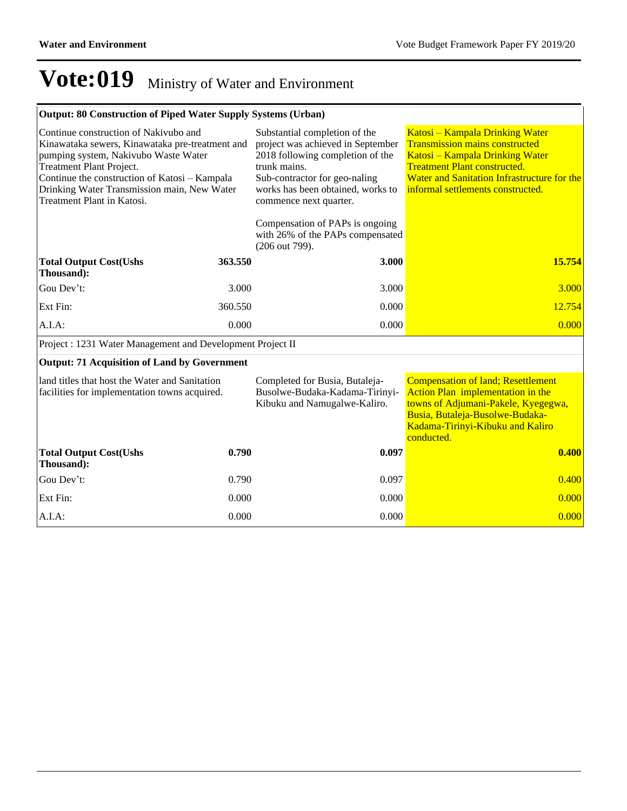| <b>Output: 80 Construction of Piped Water Supply Systems (Urban)</b>                                                                                                                                                                                                                       |         |                                                                                                                                                                                                                        |                                                                                                                                                                                                                                        |  |
|--------------------------------------------------------------------------------------------------------------------------------------------------------------------------------------------------------------------------------------------------------------------------------------------|---------|------------------------------------------------------------------------------------------------------------------------------------------------------------------------------------------------------------------------|----------------------------------------------------------------------------------------------------------------------------------------------------------------------------------------------------------------------------------------|--|
| Continue construction of Nakivubo and<br>Kinawataka sewers, Kinawataka pre-treatment and<br>pumping system, Nakivubo Waste Water<br>Treatment Plant Project.<br>Continue the construction of Katosi - Kampala<br>Drinking Water Transmission main, New Water<br>Treatment Plant in Katosi. |         | Substantial completion of the<br>project was achieved in September<br>2018 following completion of the<br>trunk mains.<br>Sub-contractor for geo-naling<br>works has been obtained, works to<br>commence next quarter. | Katosi – Kampala Drinking Water<br><b>Transmission mains constructed</b><br>Katosi - Kampala Drinking Water<br><b>Treatment Plant constructed.</b><br>Water and Sanitation Infrastructure for the<br>informal settlements constructed. |  |
|                                                                                                                                                                                                                                                                                            |         | Compensation of PAPs is ongoing<br>with 26% of the PAPs compensated<br>(206 out 799).                                                                                                                                  |                                                                                                                                                                                                                                        |  |
| <b>Total Output Cost(Ushs</b><br>Thousand):                                                                                                                                                                                                                                                | 363.550 | 3.000                                                                                                                                                                                                                  | 15.754                                                                                                                                                                                                                                 |  |
| Gou Dev't:                                                                                                                                                                                                                                                                                 | 3.000   | 3.000                                                                                                                                                                                                                  | 3.000                                                                                                                                                                                                                                  |  |
| Ext Fin:                                                                                                                                                                                                                                                                                   | 360.550 | 0.000                                                                                                                                                                                                                  | 12.754                                                                                                                                                                                                                                 |  |
| A.I.A.                                                                                                                                                                                                                                                                                     | 0.000   | 0.000                                                                                                                                                                                                                  | 0.000                                                                                                                                                                                                                                  |  |
| Project : 1231 Water Management and Development Project II                                                                                                                                                                                                                                 |         |                                                                                                                                                                                                                        |                                                                                                                                                                                                                                        |  |
| <b>Output: 71 Acquisition of Land by Government</b>                                                                                                                                                                                                                                        |         |                                                                                                                                                                                                                        |                                                                                                                                                                                                                                        |  |
| land titles that host the Water and Sanitation<br>facilities for implementation towns acquired.                                                                                                                                                                                            |         | Completed for Busia, Butaleja-<br>Busolwe-Budaka-Kadama-Tirinyi-<br>Kibuku and Namugalwe-Kaliro.                                                                                                                       | <b>Compensation of land; Resettlement</b><br>Action Plan implementation in the<br>towns of Adjumani-Pakele, Kyegegwa,<br>Busia, Butaleja-Busolwe-Budaka-<br>Kadama-Tirinyi-Kibuku and Kaliro<br>conducted.                             |  |
| <b>Total Output Cost(Ushs</b><br>Thousand):                                                                                                                                                                                                                                                | 0.790   | 0.097                                                                                                                                                                                                                  | 0.400                                                                                                                                                                                                                                  |  |
| Gou Dev't:                                                                                                                                                                                                                                                                                 | 0.790   | 0.097                                                                                                                                                                                                                  | 0.400                                                                                                                                                                                                                                  |  |
| Ext Fin:                                                                                                                                                                                                                                                                                   | 0.000   | 0.000                                                                                                                                                                                                                  | 0.000                                                                                                                                                                                                                                  |  |
| A.I.A:                                                                                                                                                                                                                                                                                     | 0.000   | 0.000                                                                                                                                                                                                                  | 0.000                                                                                                                                                                                                                                  |  |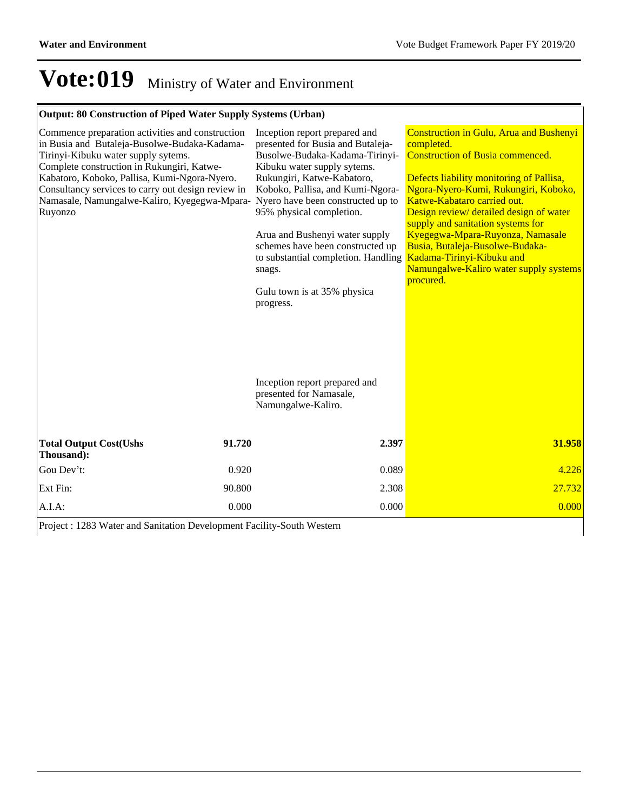### **Output: 80 Construction of Piped Water Supply Systems (Urban)**

| Commence preparation activities and construction<br>in Busia and Butaleja-Busolwe-Budaka-Kadama-<br>Tirinyi-Kibuku water supply sytems.<br>Complete construction in Rukungiri, Katwe-<br>Kabatoro, Koboko, Pallisa, Kumi-Ngora-Nyero.<br>Consultancy services to carry out design review in<br>Namasale, Namungalwe-Kaliro, Kyegegwa-Mpara- Nyero have been constructed up to<br>Ruyonzo |        | Inception report prepared and<br>presented for Busia and Butaleja-<br>Busolwe-Budaka-Kadama-Tirinyi-<br>Kibuku water supply sytems.<br>Rukungiri, Katwe-Kabatoro,<br>Koboko, Pallisa, and Kumi-Ngora-<br>95% physical completion.<br>Arua and Bushenyi water supply<br>schemes have been constructed up<br>to substantial completion. Handling<br>snags.<br>Gulu town is at 35% physica<br>progress.<br>Inception report prepared and<br>presented for Namasale,<br>Namungalwe-Kaliro. | <b>Construction in Gulu, Arua and Bushenyi</b><br>completed.<br><b>Construction of Busia commenced.</b><br>Defects liability monitoring of Pallisa,<br>Ngora-Nyero-Kumi, Rukungiri, Koboko,<br>Katwe-Kabataro carried out.<br>Design review/ detailed design of water<br>supply and sanitation systems for<br>Kyegegwa-Mpara-Ruyonza, Namasale<br>Busia, Butaleja-Busolwe-Budaka-<br>Kadama-Tirinyi-Kibuku and<br>Namungalwe-Kaliro water supply systems<br>procured. |
|------------------------------------------------------------------------------------------------------------------------------------------------------------------------------------------------------------------------------------------------------------------------------------------------------------------------------------------------------------------------------------------|--------|----------------------------------------------------------------------------------------------------------------------------------------------------------------------------------------------------------------------------------------------------------------------------------------------------------------------------------------------------------------------------------------------------------------------------------------------------------------------------------------|-----------------------------------------------------------------------------------------------------------------------------------------------------------------------------------------------------------------------------------------------------------------------------------------------------------------------------------------------------------------------------------------------------------------------------------------------------------------------|
| <b>Total Output Cost(Ushs</b><br>Thousand):                                                                                                                                                                                                                                                                                                                                              | 91.720 | 2.397                                                                                                                                                                                                                                                                                                                                                                                                                                                                                  | 31.958                                                                                                                                                                                                                                                                                                                                                                                                                                                                |
| Gou Dev't:                                                                                                                                                                                                                                                                                                                                                                               | 0.920  | 0.089                                                                                                                                                                                                                                                                                                                                                                                                                                                                                  | 4.226                                                                                                                                                                                                                                                                                                                                                                                                                                                                 |
| Ext Fin:                                                                                                                                                                                                                                                                                                                                                                                 | 90.800 | 2.308                                                                                                                                                                                                                                                                                                                                                                                                                                                                                  | 27.732                                                                                                                                                                                                                                                                                                                                                                                                                                                                |
| A.I.A.                                                                                                                                                                                                                                                                                                                                                                                   | 0.000  | 0.000                                                                                                                                                                                                                                                                                                                                                                                                                                                                                  | 0.000                                                                                                                                                                                                                                                                                                                                                                                                                                                                 |

Project : 1283 Water and Sanitation Development Facility-South Western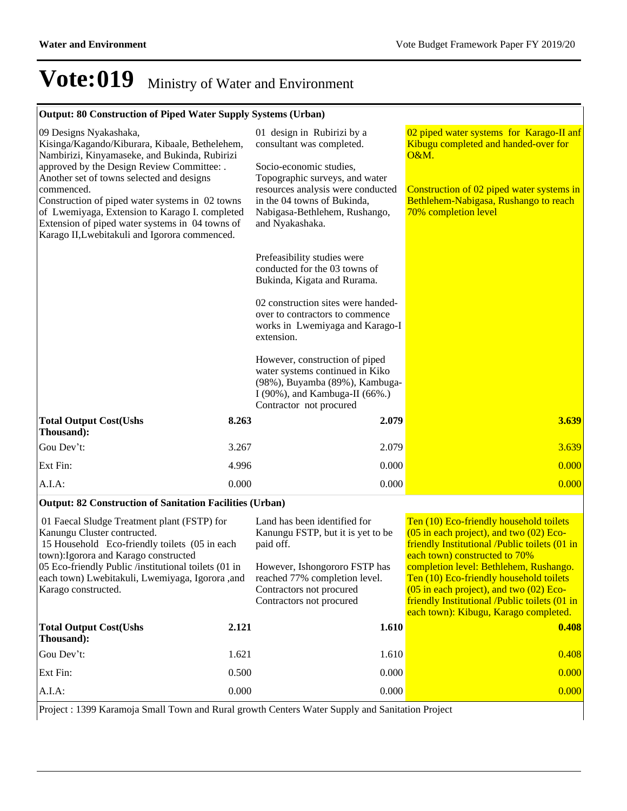### **Output: 80 Construction of Piped Water Supply Systems (Urban)**

| 09 Designs Nyakashaka,<br>Kisinga/Kagando/Kiburara, Kibaale, Bethelehem,<br>Nambirizi, Kinyamaseke, and Bukinda, Rubirizi<br>approved by the Design Review Committee: .<br>Another set of towns selected and designs<br>commenced.<br>Construction of piped water systems in 02 towns<br>of Lwemiyaga, Extension to Karago I. completed<br>Extension of piped water systems in 04 towns of<br>Karago II, Lwebitakuli and Igorora commenced. |       | 01 design in Rubirizi by a<br>consultant was completed.<br>Socio-economic studies,<br>Topographic surveys, and water<br>resources analysis were conducted<br>in the 04 towns of Bukinda,<br>Nabigasa-Bethlehem, Rushango,<br>and Nyakashaka.<br>Prefeasibility studies were<br>conducted for the 03 towns of<br>Bukinda, Kigata and Rurama. | 02 piped water systems for Karago-II anf<br>Kibugu completed and handed-over for<br>O&M.<br>Construction of 02 piped water systems in<br>Bethlehem-Nabigasa, Rushango to reach<br>70% completion level                                                                                                                                                                                                 |
|---------------------------------------------------------------------------------------------------------------------------------------------------------------------------------------------------------------------------------------------------------------------------------------------------------------------------------------------------------------------------------------------------------------------------------------------|-------|---------------------------------------------------------------------------------------------------------------------------------------------------------------------------------------------------------------------------------------------------------------------------------------------------------------------------------------------|--------------------------------------------------------------------------------------------------------------------------------------------------------------------------------------------------------------------------------------------------------------------------------------------------------------------------------------------------------------------------------------------------------|
|                                                                                                                                                                                                                                                                                                                                                                                                                                             |       | 02 construction sites were handed-<br>over to contractors to commence<br>works in Lwemiyaga and Karago-I<br>extension.                                                                                                                                                                                                                      |                                                                                                                                                                                                                                                                                                                                                                                                        |
|                                                                                                                                                                                                                                                                                                                                                                                                                                             |       | However, construction of piped<br>water systems continued in Kiko<br>(98%), Buyamba (89%), Kambuga-<br>I (90%), and Kambuga-II (66%.)<br>Contractor not procured                                                                                                                                                                            |                                                                                                                                                                                                                                                                                                                                                                                                        |
| <b>Total Output Cost(Ushs</b><br>Thousand):                                                                                                                                                                                                                                                                                                                                                                                                 | 8.263 | 2.079                                                                                                                                                                                                                                                                                                                                       | 3.639                                                                                                                                                                                                                                                                                                                                                                                                  |
| Gou Dev't:                                                                                                                                                                                                                                                                                                                                                                                                                                  | 3.267 | 2.079                                                                                                                                                                                                                                                                                                                                       | 3.639                                                                                                                                                                                                                                                                                                                                                                                                  |
| Ext Fin:                                                                                                                                                                                                                                                                                                                                                                                                                                    | 4.996 | 0.000                                                                                                                                                                                                                                                                                                                                       | 0.000                                                                                                                                                                                                                                                                                                                                                                                                  |
| A.I.A.                                                                                                                                                                                                                                                                                                                                                                                                                                      | 0.000 | 0.000                                                                                                                                                                                                                                                                                                                                       | 0.000                                                                                                                                                                                                                                                                                                                                                                                                  |
| <b>Output: 82 Construction of Sanitation Facilities (Urban)</b>                                                                                                                                                                                                                                                                                                                                                                             |       |                                                                                                                                                                                                                                                                                                                                             |                                                                                                                                                                                                                                                                                                                                                                                                        |
| 01 Faecal Sludge Treatment plant (FSTP) for<br>Kanungu Cluster contructed.<br>15 Household Eco-friendly toilets (05 in each<br>town): Igorora and Karago constructed<br>05 Eco-friendly Public /institutional toilets (01 in<br>each town) Lwebitakuli, Lwemiyaga, Igorora ,and<br>Karago constructed.                                                                                                                                      |       | Land has been identified for<br>Kanungu FSTP, but it is yet to be<br>paid off.<br>However, Ishongororo FSTP has<br>reached 77% completion level.<br>Contractors not procured<br>Contractors not procured                                                                                                                                    | Ten (10) Eco-friendly household toilets<br>$(05$ in each project), and two $(02)$ Eco-<br>friendly Institutional /Public toilets (01 in<br>each town) constructed to 70%<br>completion level: Bethlehem, Rushango.<br>Ten (10) Eco-friendly household toilets<br>$(05$ in each project), and two $(02)$ Eco-<br>friendly Institutional /Public toilets (01 in<br>each town): Kibugu, Karago completed. |
| <b>Total Output Cost(Ushs</b><br>Thousand):                                                                                                                                                                                                                                                                                                                                                                                                 | 2.121 | 1.610                                                                                                                                                                                                                                                                                                                                       | 0.408                                                                                                                                                                                                                                                                                                                                                                                                  |
| Gou Dev't:                                                                                                                                                                                                                                                                                                                                                                                                                                  | 1.621 | 1.610                                                                                                                                                                                                                                                                                                                                       | 0.408                                                                                                                                                                                                                                                                                                                                                                                                  |
| Ext Fin:                                                                                                                                                                                                                                                                                                                                                                                                                                    | 0.500 | 0.000                                                                                                                                                                                                                                                                                                                                       | 0.000                                                                                                                                                                                                                                                                                                                                                                                                  |
|                                                                                                                                                                                                                                                                                                                                                                                                                                             |       |                                                                                                                                                                                                                                                                                                                                             |                                                                                                                                                                                                                                                                                                                                                                                                        |

Project : 1399 Karamoja Small Town and Rural growth Centers Water Supply and Sanitation Project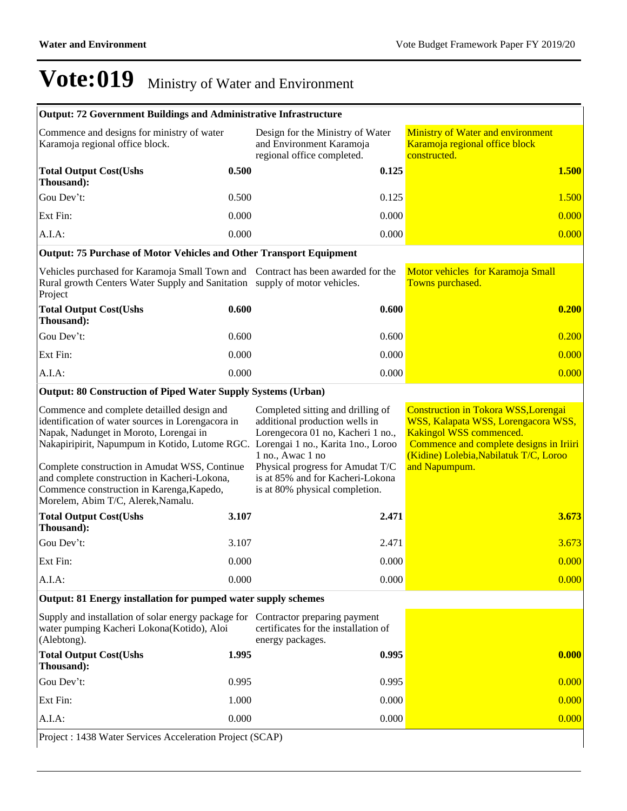|                                                                                                                                                                                                                                                                                                                                                                                                                    | <b>Output: 72 Government Buildings and Administrative Infrastructure</b> |                                                                                                                                                                                                                                        |                                                                                                                                                                                                                     |  |  |  |
|--------------------------------------------------------------------------------------------------------------------------------------------------------------------------------------------------------------------------------------------------------------------------------------------------------------------------------------------------------------------------------------------------------------------|--------------------------------------------------------------------------|----------------------------------------------------------------------------------------------------------------------------------------------------------------------------------------------------------------------------------------|---------------------------------------------------------------------------------------------------------------------------------------------------------------------------------------------------------------------|--|--|--|
| Commence and designs for ministry of water<br>Karamoja regional office block.                                                                                                                                                                                                                                                                                                                                      |                                                                          | Design for the Ministry of Water<br>and Environment Karamoja<br>regional office completed.                                                                                                                                             | <b>Ministry of Water and environment</b><br>Karamoja regional office block<br>constructed.                                                                                                                          |  |  |  |
| <b>Total Output Cost(Ushs</b><br>Thousand):                                                                                                                                                                                                                                                                                                                                                                        | 0.500                                                                    | 0.125                                                                                                                                                                                                                                  | 1.500                                                                                                                                                                                                               |  |  |  |
| Gou Dev't:                                                                                                                                                                                                                                                                                                                                                                                                         | 0.500                                                                    | 0.125                                                                                                                                                                                                                                  | 1.500                                                                                                                                                                                                               |  |  |  |
| Ext Fin:                                                                                                                                                                                                                                                                                                                                                                                                           | 0.000                                                                    | 0.000                                                                                                                                                                                                                                  | 0.000                                                                                                                                                                                                               |  |  |  |
| A.I.A.                                                                                                                                                                                                                                                                                                                                                                                                             | 0.000                                                                    | 0.000                                                                                                                                                                                                                                  | 0.000                                                                                                                                                                                                               |  |  |  |
| <b>Output: 75 Purchase of Motor Vehicles and Other Transport Equipment</b>                                                                                                                                                                                                                                                                                                                                         |                                                                          |                                                                                                                                                                                                                                        |                                                                                                                                                                                                                     |  |  |  |
| Vehicles purchased for Karamoja Small Town and Contract has been awarded for the<br>Rural growth Centers Water Supply and Sanitation supply of motor vehicles.<br>Project                                                                                                                                                                                                                                          |                                                                          |                                                                                                                                                                                                                                        | Motor vehicles for Karamoja Small<br>Towns purchased.                                                                                                                                                               |  |  |  |
| <b>Total Output Cost(Ushs</b><br>Thousand):                                                                                                                                                                                                                                                                                                                                                                        | 0.600                                                                    | 0.600                                                                                                                                                                                                                                  | 0.200                                                                                                                                                                                                               |  |  |  |
| Gou Dev't:                                                                                                                                                                                                                                                                                                                                                                                                         | 0.600                                                                    | 0.600                                                                                                                                                                                                                                  | 0.200                                                                                                                                                                                                               |  |  |  |
| Ext Fin:                                                                                                                                                                                                                                                                                                                                                                                                           | 0.000                                                                    | 0.000                                                                                                                                                                                                                                  | 0.000                                                                                                                                                                                                               |  |  |  |
| A.I.A:                                                                                                                                                                                                                                                                                                                                                                                                             | 0.000                                                                    | 0.000                                                                                                                                                                                                                                  | 0.000                                                                                                                                                                                                               |  |  |  |
| <b>Output: 80 Construction of Piped Water Supply Systems (Urban)</b>                                                                                                                                                                                                                                                                                                                                               |                                                                          |                                                                                                                                                                                                                                        |                                                                                                                                                                                                                     |  |  |  |
| Commence and complete detailled design and<br>identification of water sources in Lorengacora in<br>Napak, Nadunget in Moroto, Lorengai in<br>Nakapiripirit, Napumpum in Kotido, Lutome RGC. Lorengai 1 no., Karita 1no., Loroo<br>Complete construction in Amudat WSS, Continue<br>and complete construction in Kacheri-Lokona,<br>Commence construction in Karenga, Kapedo,<br>Morelem, Abim T/C, Alerek, Namalu. |                                                                          | Completed sitting and drilling of<br>additional production wells in<br>Lorengecora 01 no, Kacheri 1 no.,<br>1 no., Awac 1 no<br>Physical progress for Amudat T/C<br>is at 85% and for Kacheri-Lokona<br>is at 80% physical completion. | <b>Construction in Tokora WSS, Lorengai</b><br>WSS, Kalapata WSS, Lorengacora WSS,<br>Kakingol WSS commenced.<br>Commence and complete designs in Iriiri<br>(Kidine) Lolebia, Nabilatuk T/C, Loroo<br>and Napumpum. |  |  |  |
| <b>Total Output Cost(Ushs</b><br>Thousand):                                                                                                                                                                                                                                                                                                                                                                        | 3.107                                                                    | 2.471                                                                                                                                                                                                                                  | 3.673                                                                                                                                                                                                               |  |  |  |
| Gou Dev't:                                                                                                                                                                                                                                                                                                                                                                                                         | 3.107                                                                    | 2.471                                                                                                                                                                                                                                  | 3.673                                                                                                                                                                                                               |  |  |  |
| Ext Fin:                                                                                                                                                                                                                                                                                                                                                                                                           | 0.000                                                                    | 0.000                                                                                                                                                                                                                                  | 0.000                                                                                                                                                                                                               |  |  |  |
| A.I.A.                                                                                                                                                                                                                                                                                                                                                                                                             | 0.000                                                                    | 0.000                                                                                                                                                                                                                                  | 0.000                                                                                                                                                                                                               |  |  |  |
| Output: 81 Energy installation for pumped water supply schemes                                                                                                                                                                                                                                                                                                                                                     |                                                                          |                                                                                                                                                                                                                                        |                                                                                                                                                                                                                     |  |  |  |
| Supply and installation of solar energy package for Contractor preparing payment<br>water pumping Kacheri Lokona(Kotido), Aloi<br>(Alebtong).                                                                                                                                                                                                                                                                      |                                                                          | certificates for the installation of<br>energy packages.                                                                                                                                                                               |                                                                                                                                                                                                                     |  |  |  |
| <b>Total Output Cost(Ushs</b><br>Thousand):                                                                                                                                                                                                                                                                                                                                                                        | 1.995                                                                    | 0.995                                                                                                                                                                                                                                  | 0.000                                                                                                                                                                                                               |  |  |  |
| Gou Dev't:                                                                                                                                                                                                                                                                                                                                                                                                         | 0.995                                                                    | 0.995                                                                                                                                                                                                                                  | 0.000                                                                                                                                                                                                               |  |  |  |
| Ext Fin:                                                                                                                                                                                                                                                                                                                                                                                                           | 1.000                                                                    | 0.000                                                                                                                                                                                                                                  | 0.000                                                                                                                                                                                                               |  |  |  |
| A.I.A:                                                                                                                                                                                                                                                                                                                                                                                                             | 0.000                                                                    | 0.000                                                                                                                                                                                                                                  | 0.000                                                                                                                                                                                                               |  |  |  |

Project : 1438 Water Services Acceleration Project (SCAP)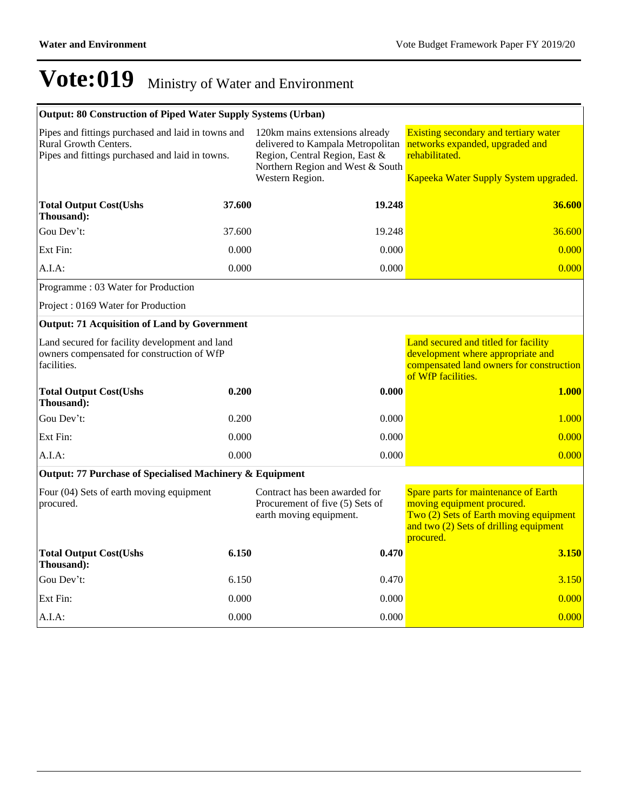| <b>Output: 80 Construction of Piped Water Supply Systems (Urban)</b>                                                           |        |                                                                                                                                                              |                                                                                                                                                                     |  |  |
|--------------------------------------------------------------------------------------------------------------------------------|--------|--------------------------------------------------------------------------------------------------------------------------------------------------------------|---------------------------------------------------------------------------------------------------------------------------------------------------------------------|--|--|
| Pipes and fittings purchased and laid in towns and<br>Rural Growth Centers.<br>Pipes and fittings purchased and laid in towns. |        | 120km mains extensions already<br>delivered to Kampala Metropolitan<br>Region, Central Region, East &<br>Northern Region and West & South<br>Western Region. | Existing secondary and tertiary water<br>networks expanded, upgraded and<br>rehabilitated.<br>Kapeeka Water Supply System upgraded.                                 |  |  |
|                                                                                                                                |        |                                                                                                                                                              |                                                                                                                                                                     |  |  |
| <b>Total Output Cost(Ushs</b><br>Thousand):                                                                                    | 37.600 | 19.248                                                                                                                                                       | 36.600                                                                                                                                                              |  |  |
| Gou Dev't:                                                                                                                     | 37.600 | 19.248                                                                                                                                                       | 36.600                                                                                                                                                              |  |  |
| Ext Fin:                                                                                                                       | 0.000  | 0.000                                                                                                                                                        | 0.000                                                                                                                                                               |  |  |
| A.I.A:                                                                                                                         | 0.000  | 0.000                                                                                                                                                        | 0.000                                                                                                                                                               |  |  |
| Programme: 03 Water for Production                                                                                             |        |                                                                                                                                                              |                                                                                                                                                                     |  |  |
| Project: 0169 Water for Production                                                                                             |        |                                                                                                                                                              |                                                                                                                                                                     |  |  |
| <b>Output: 71 Acquisition of Land by Government</b>                                                                            |        |                                                                                                                                                              |                                                                                                                                                                     |  |  |
| Land secured for facility development and land<br>owners compensated for construction of WfP<br>facilities.                    |        |                                                                                                                                                              | Land secured and titled for facility<br>development where appropriate and<br>compensated land owners for construction<br>of WfP facilities.                         |  |  |
| <b>Total Output Cost(Ushs</b><br>Thousand):                                                                                    | 0.200  | 0.000                                                                                                                                                        | <b>1.000</b>                                                                                                                                                        |  |  |
| Gou Dev't:                                                                                                                     | 0.200  | 0.000                                                                                                                                                        | 1.000                                                                                                                                                               |  |  |
| Ext Fin:                                                                                                                       | 0.000  | 0.000                                                                                                                                                        | 0.000                                                                                                                                                               |  |  |
| A.I.A:                                                                                                                         | 0.000  | 0.000                                                                                                                                                        | 0.000                                                                                                                                                               |  |  |
| Output: 77 Purchase of Specialised Machinery & Equipment                                                                       |        |                                                                                                                                                              |                                                                                                                                                                     |  |  |
| Four (04) Sets of earth moving equipment<br>procured.                                                                          |        | Contract has been awarded for<br>Procurement of five (5) Sets of<br>earth moving equipment.                                                                  | Spare parts for maintenance of Earth<br>moving equipment procured.<br>Two (2) Sets of Earth moving equipment<br>and two (2) Sets of drilling equipment<br>procured. |  |  |
| <b>Total Output Cost(Ushs</b><br>Thousand):                                                                                    | 6.150  | 0.470                                                                                                                                                        | 3.150                                                                                                                                                               |  |  |
| Gou Dev't:                                                                                                                     | 6.150  | 0.470                                                                                                                                                        | 3.150                                                                                                                                                               |  |  |
| Ext Fin:                                                                                                                       | 0.000  | 0.000                                                                                                                                                        | 0.000                                                                                                                                                               |  |  |
| A.I.A:                                                                                                                         | 0.000  | 0.000                                                                                                                                                        | 0.000                                                                                                                                                               |  |  |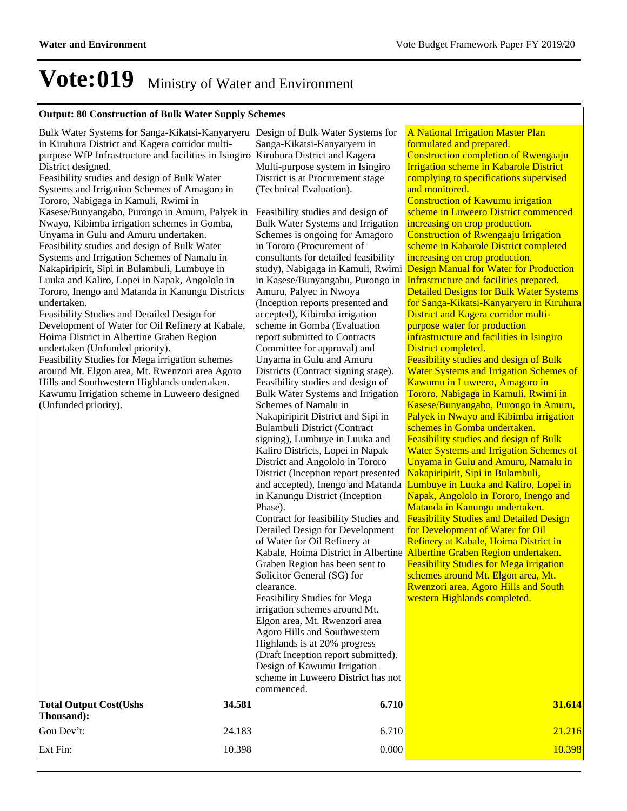#### **Output: 80 Construction of Bulk Water Supply Schemes**

Bulk Water Systems for Sanga-Kikatsi-Kanyaryeru Design of Bulk Water Systems for in Kiruhura District and Kagera corridor multipurpose WfP Infrastructure and facilities in Isingiro Kiruhura District and Kagera District designed.

Feasibility studies and design of Bulk Water Systems and Irrigation Schemes of Amagoro in Tororo, Nabigaga in Kamuli, Rwimi in Kasese/Bunyangabo, Purongo in Amuru, Palyek in Nwayo, Kibimba irrigation schemes in Gomba, Unyama in Gulu and Amuru undertaken. Feasibility studies and design of Bulk Water Systems and Irrigation Schemes of Namalu in Nakapiripirit, Sipi in Bulambuli, Lumbuye in Luuka and Kaliro, Lopei in Napak, Angololo in Tororo, Inengo and Matanda in Kanungu Districts undertaken.

Feasibility Studies and Detailed Design for Development of Water for Oil Refinery at Kabale, Hoima District in Albertine Graben Region undertaken (Unfunded priority).

Feasibility Studies for Mega irrigation schemes around Mt. Elgon area, Mt. Rwenzori area Agoro Hills and Southwestern Highlands undertaken. Kawumu Irrigation scheme in Luweero designed (Unfunded priority).

Sanga-Kikatsi-Kanyaryeru in Multi-purpose system in Isingiro District is at Procurement stage (Technical Evaluation).

Feasibility studies and design of Bulk Water Systems and Irrigation Schemes is ongoing for Amagoro in Tororo (Procurement of consultants for detailed feasibility study), Nabigaga in Kamuli, Rwimi in Kasese/Bunyangabu, Purongo in Amuru, Palyec in Nwoya (Inception reports presented and accepted), Kibimba irrigation scheme in Gomba (Evaluation report submitted to Contracts Committee for approval) and Unyama in Gulu and Amuru Districts (Contract signing stage). Feasibility studies and design of Bulk Water Systems and Irrigation Schemes of Namalu in Nakapiripirit District and Sipi in Bulambuli District (Contract signing), Lumbuye in Luuka and Kaliro Districts, Lopei in Napak District and Angololo in Tororo District (Inception report presented and accepted), Inengo and Matanda in Kanungu District (Inception Phase). Contract for feasibility Studies and Detailed Design for Development of Water for Oil Refinery at Graben Region has been sent to Solicitor General (SG) for clearance. Feasibility Studies for Mega

irrigation schemes around Mt. Elgon area, Mt. Rwenzori area Agoro Hills and Southwestern Highlands is at 20% progress (Draft Inception report submitted). Design of Kawumu Irrigation scheme in Luweero District has not commenced.

A National Irrigation Master Plan formulated and prepared. Construction completion of Rwengaaju Irrigation scheme in Kabarole District complying to specifications supervised and monitored. Construction of Kawumu irrigation scheme in Luweero District commenced increasing on crop production. Construction of Rwengaaju Irrigation scheme in Kabarole District completed increasing on crop production. Design Manual for Water for Production Infrastructure and facilities prepared. Detailed Designs for Bulk Water Systems for Sanga-Kikatsi-Kanyaryeru in Kiruhura District and Kagera corridor multipurpose water for production infrastructure and facilities in Isingiro District completed. Feasibility studies and design of Bulk Water Systems and Irrigation Schemes of Kawumu in Luweero, Amagoro in Tororo, Nabigaga in Kamuli, Rwimi in

Kabale, Hoima District in Albertine <mark>Albertine Graben Region undertaken.</mark> Kasese/Bunyangabo, Purongo in Amuru, Palyek in Nwayo and Kibimba irrigation schemes in Gomba undertaken. Feasibility studies and design of Bulk Water Systems and Irrigation Schemes of Unyama in Gulu and Amuru, Namalu in Nakapiripirit, Sipi in Bulambuli, Lumbuye in Luuka and Kaliro, Lopei in Napak, Angololo in Tororo, Inengo and Matanda in Kanungu undertaken. Feasibility Studies and Detailed Design for Development of Water for Oil Refinery at Kabale, Hoima District in Feasibility Studies for Mega irrigation schemes around Mt. Elgon area, Mt. Rwenzori area, Agoro Hills and South western Highlands completed.

| <b>Total Output Cost (Ushs)</b><br>Thousand: | 34.581 | 6.710 | 31.614 |
|----------------------------------------------|--------|-------|--------|
| Gou Dev't:                                   | 24.183 | 6.710 | 21.216 |
| Ext Fin:                                     | 10.398 | 0.000 | 10.398 |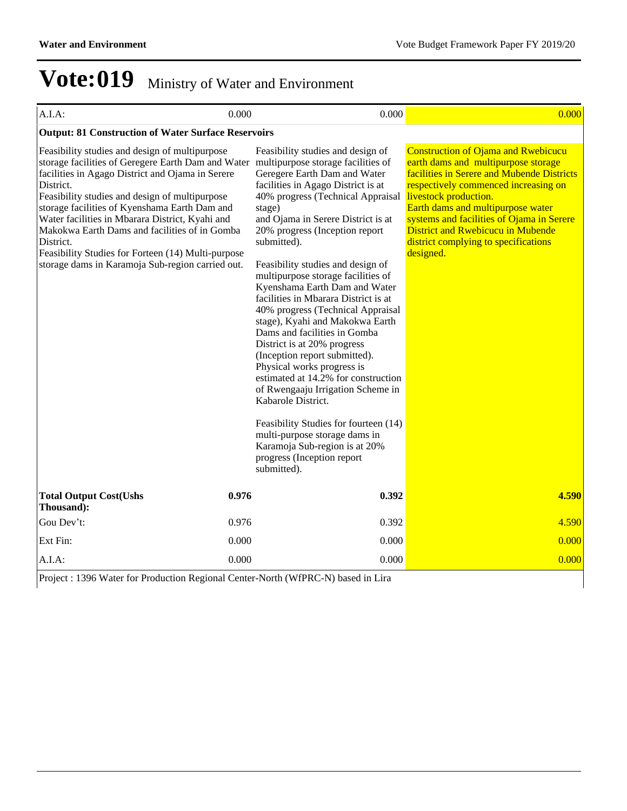| A.I.A:                                                                                                                                                                                                                                                                                                                                                                                                                                                                                                                                 | 0.000 | 0.000                                                                                                                                                                                                                                                                                                                                                                                                                                                                                                                                                                                                                                                                                                                                                                                                                                                             | 0.000                                                                                                                                                                                                                                                                                                                                                                               |
|----------------------------------------------------------------------------------------------------------------------------------------------------------------------------------------------------------------------------------------------------------------------------------------------------------------------------------------------------------------------------------------------------------------------------------------------------------------------------------------------------------------------------------------|-------|-------------------------------------------------------------------------------------------------------------------------------------------------------------------------------------------------------------------------------------------------------------------------------------------------------------------------------------------------------------------------------------------------------------------------------------------------------------------------------------------------------------------------------------------------------------------------------------------------------------------------------------------------------------------------------------------------------------------------------------------------------------------------------------------------------------------------------------------------------------------|-------------------------------------------------------------------------------------------------------------------------------------------------------------------------------------------------------------------------------------------------------------------------------------------------------------------------------------------------------------------------------------|
| <b>Output: 81 Construction of Water Surface Reservoirs</b>                                                                                                                                                                                                                                                                                                                                                                                                                                                                             |       |                                                                                                                                                                                                                                                                                                                                                                                                                                                                                                                                                                                                                                                                                                                                                                                                                                                                   |                                                                                                                                                                                                                                                                                                                                                                                     |
| Feasibility studies and design of multipurpose<br>storage facilities of Geregere Earth Dam and Water multipurpose storage facilities of<br>facilities in Agago District and Ojama in Serere<br>District.<br>Feasibility studies and design of multipurpose<br>storage facilities of Kyenshama Earth Dam and<br>Water facilities in Mbarara District, Kyahi and<br>Makokwa Earth Dams and facilities of in Gomba<br>District.<br>Feasibility Studies for Forteen (14) Multi-purpose<br>storage dams in Karamoja Sub-region carried out. |       | Feasibility studies and design of<br>Geregere Earth Dam and Water<br>facilities in Agago District is at<br>40% progress (Technical Appraisal<br>stage)<br>and Ojama in Serere District is at<br>20% progress (Inception report<br>submitted).<br>Feasibility studies and design of<br>multipurpose storage facilities of<br>Kyenshama Earth Dam and Water<br>facilities in Mbarara District is at<br>40% progress (Technical Appraisal<br>stage), Kyahi and Makokwa Earth<br>Dams and facilities in Gomba<br>District is at 20% progress<br>(Inception report submitted).<br>Physical works progress is<br>estimated at 14.2% for construction<br>of Rwengaaju Irrigation Scheme in<br>Kabarole District.<br>Feasibility Studies for fourteen (14)<br>multi-purpose storage dams in<br>Karamoja Sub-region is at 20%<br>progress (Inception report<br>submitted). | <b>Construction of Ojama and Rwebicucu</b><br>earth dams and multipurpose storage<br>facilities in Serere and Mubende Districts<br>respectively commenced increasing on<br>livestock production.<br>Earth dams and multipurpose water<br>systems and facilities of Ojama in Serere<br><b>District and Rwebicucu in Mubende</b><br>district complying to specifications<br>designed. |
| <b>Total Output Cost(Ushs</b><br>Thousand):                                                                                                                                                                                                                                                                                                                                                                                                                                                                                            | 0.976 | 0.392                                                                                                                                                                                                                                                                                                                                                                                                                                                                                                                                                                                                                                                                                                                                                                                                                                                             | 4.590                                                                                                                                                                                                                                                                                                                                                                               |
| Gou Dev't:                                                                                                                                                                                                                                                                                                                                                                                                                                                                                                                             | 0.976 | 0.392                                                                                                                                                                                                                                                                                                                                                                                                                                                                                                                                                                                                                                                                                                                                                                                                                                                             | 4.590                                                                                                                                                                                                                                                                                                                                                                               |
| Ext Fin:                                                                                                                                                                                                                                                                                                                                                                                                                                                                                                                               | 0.000 | 0.000                                                                                                                                                                                                                                                                                                                                                                                                                                                                                                                                                                                                                                                                                                                                                                                                                                                             | 0.000                                                                                                                                                                                                                                                                                                                                                                               |
| A.I.A:                                                                                                                                                                                                                                                                                                                                                                                                                                                                                                                                 | 0.000 | 0.000                                                                                                                                                                                                                                                                                                                                                                                                                                                                                                                                                                                                                                                                                                                                                                                                                                                             | 0.000                                                                                                                                                                                                                                                                                                                                                                               |

Project : 1396 Water for Production Regional Center-North (WfPRC-N) based in Lira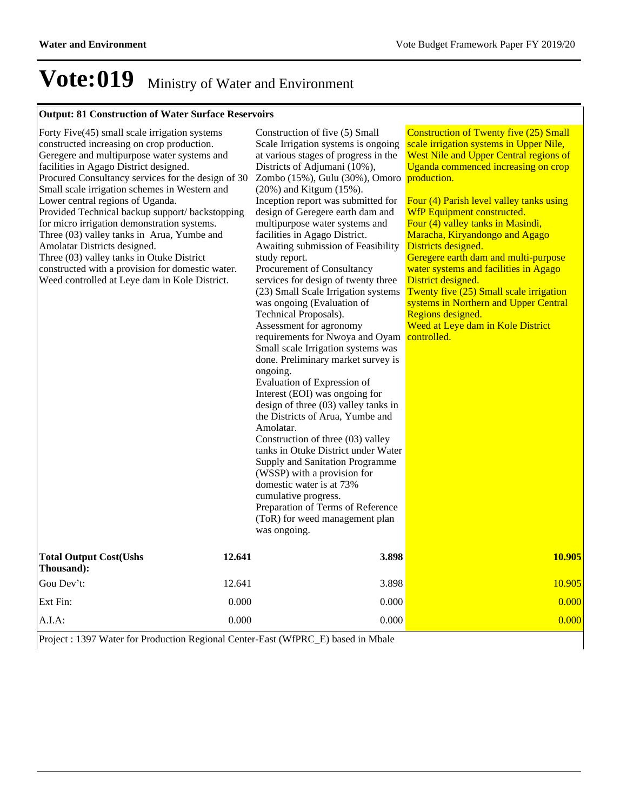### **Output: 81 Construction of Water Surface Reservoirs**

| Forty Five(45) small scale irrigation systems<br>constructed increasing on crop production.<br>Geregere and multipurpose water systems and<br>facilities in Agago District designed.<br>Procured Consultancy services for the design of 30<br>Small scale irrigation schemes in Western and<br>Lower central regions of Uganda.<br>Provided Technical backup support/ backstopping<br>for micro irrigation demonstration systems.<br>Three (03) valley tanks in Arua, Yumbe and<br>Amolatar Districts designed.<br>Three (03) valley tanks in Otuke District<br>constructed with a provision for domestic water.<br>Weed controlled at Leye dam in Kole District. | Construction of five (5) Small<br>Scale Irrigation systems is ongoing<br>at various stages of progress in the<br>Districts of Adjumani (10%),<br>Zombo (15%), Gulu (30%), Omoro<br>$(20\%)$ and Kitgum $(15\%)$ .<br>Inception report was submitted for<br>design of Geregere earth dam and<br>multipurpose water systems and<br>facilities in Agago District.<br>Awaiting submission of Feasibility<br>study report.<br>Procurement of Consultancy<br>services for design of twenty three<br>(23) Small Scale Irrigation systems<br>was ongoing (Evaluation of<br>Technical Proposals).<br>Assessment for agronomy<br>requirements for Nwoya and Oyam<br>Small scale Irrigation systems was<br>done. Preliminary market survey is<br>ongoing.<br>Evaluation of Expression of<br>Interest (EOI) was ongoing for<br>design of three $(03)$ valley tanks in<br>the Districts of Arua, Yumbe and<br>Amolatar.<br>Construction of three (03) valley<br>tanks in Otuke District under Water<br>Supply and Sanitation Programme<br>(WSSP) with a provision for<br>domestic water is at 73%<br>cumulative progress.<br>Preparation of Terms of Reference<br>(ToR) for weed management plan<br>was ongoing. | <b>Construction of Twenty five (25) Small</b><br>scale irrigation systems in Upper Nile,<br>West Nile and Upper Central regions of<br>Uganda commenced increasing on crop<br>production.<br>Four (4) Parish level valley tanks using<br>WfP Equipment constructed.<br>Four (4) valley tanks in Masindi,<br>Maracha, Kiryandongo and Agago<br>Districts designed.<br>Geregere earth dam and multi-purpose<br>water systems and facilities in Agago<br>District designed.<br>Twenty five (25) Small scale irrigation<br>systems in Northern and Upper Central<br>Regions designed.<br>Weed at Leye dam in Kole District<br>controlled. |
|-------------------------------------------------------------------------------------------------------------------------------------------------------------------------------------------------------------------------------------------------------------------------------------------------------------------------------------------------------------------------------------------------------------------------------------------------------------------------------------------------------------------------------------------------------------------------------------------------------------------------------------------------------------------|-----------------------------------------------------------------------------------------------------------------------------------------------------------------------------------------------------------------------------------------------------------------------------------------------------------------------------------------------------------------------------------------------------------------------------------------------------------------------------------------------------------------------------------------------------------------------------------------------------------------------------------------------------------------------------------------------------------------------------------------------------------------------------------------------------------------------------------------------------------------------------------------------------------------------------------------------------------------------------------------------------------------------------------------------------------------------------------------------------------------------------------------------------------------------------------------------------|--------------------------------------------------------------------------------------------------------------------------------------------------------------------------------------------------------------------------------------------------------------------------------------------------------------------------------------------------------------------------------------------------------------------------------------------------------------------------------------------------------------------------------------------------------------------------------------------------------------------------------------|
| 12.641<br><b>Total Output Cost(Ushs</b><br>Thousand):                                                                                                                                                                                                                                                                                                                                                                                                                                                                                                                                                                                                             | 3.898                                                                                                                                                                                                                                                                                                                                                                                                                                                                                                                                                                                                                                                                                                                                                                                                                                                                                                                                                                                                                                                                                                                                                                                               | 10.905                                                                                                                                                                                                                                                                                                                                                                                                                                                                                                                                                                                                                               |
| Gou Dev't:<br>12.641                                                                                                                                                                                                                                                                                                                                                                                                                                                                                                                                                                                                                                              | 3.898                                                                                                                                                                                                                                                                                                                                                                                                                                                                                                                                                                                                                                                                                                                                                                                                                                                                                                                                                                                                                                                                                                                                                                                               | 10.905                                                                                                                                                                                                                                                                                                                                                                                                                                                                                                                                                                                                                               |
| Ext Fin:<br>0.000                                                                                                                                                                                                                                                                                                                                                                                                                                                                                                                                                                                                                                                 | 0.000                                                                                                                                                                                                                                                                                                                                                                                                                                                                                                                                                                                                                                                                                                                                                                                                                                                                                                                                                                                                                                                                                                                                                                                               | 0.000                                                                                                                                                                                                                                                                                                                                                                                                                                                                                                                                                                                                                                |
| A.I.A.<br>0.000                                                                                                                                                                                                                                                                                                                                                                                                                                                                                                                                                                                                                                                   | 0.000                                                                                                                                                                                                                                                                                                                                                                                                                                                                                                                                                                                                                                                                                                                                                                                                                                                                                                                                                                                                                                                                                                                                                                                               | 0.000                                                                                                                                                                                                                                                                                                                                                                                                                                                                                                                                                                                                                                |

Project : 1397 Water for Production Regional Center-East (WfPRC\_E) based in Mbale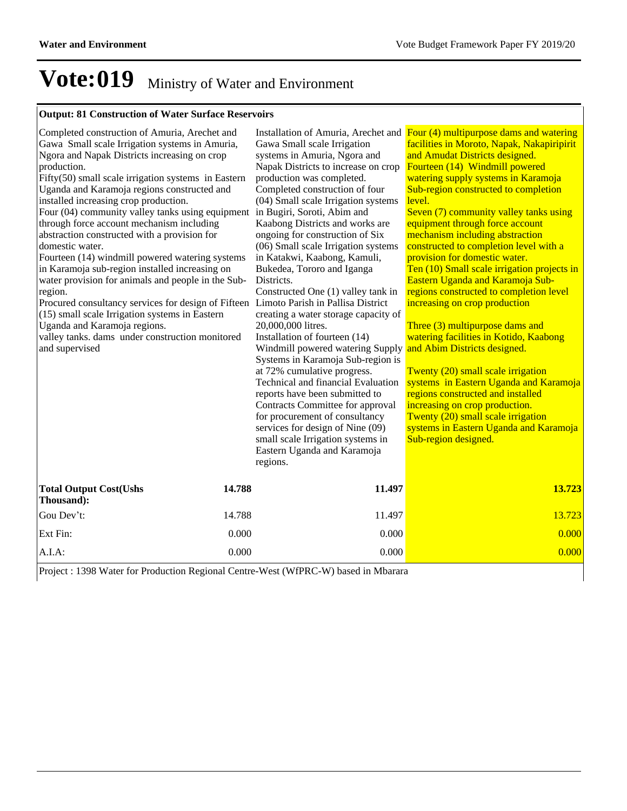### **Output: 81 Construction of Water Surface Reservoirs**

| Completed construction of Amuria, Arechet and                                         |        |                                      | Installation of Amuria, Arechet and Four (4) multipurpose dams and watering |
|---------------------------------------------------------------------------------------|--------|--------------------------------------|-----------------------------------------------------------------------------|
| Gawa Small scale Irrigation systems in Amuria,                                        |        | Gawa Small scale Irrigation          | facilities in Moroto, Napak, Nakapiripirit                                  |
| Ngora and Napak Districts increasing on crop                                          |        | systems in Amuria, Ngora and         | and Amudat Districts designed.                                              |
| production.                                                                           |        | Napak Districts to increase on crop  | Fourteen (14) Windmill powered                                              |
| Fifty(50) small scale irrigation systems in Eastern                                   |        | production was completed.            | watering supply systems in Karamoja                                         |
| Uganda and Karamoja regions constructed and                                           |        | Completed construction of four       | Sub-region constructed to completion                                        |
| installed increasing crop production.                                                 |        | (04) Small scale Irrigation systems  | level.                                                                      |
| Four (04) community valley tanks using equipment in Bugiri, Soroti, Abim and          |        |                                      | Seven (7) community valley tanks using                                      |
| through force account mechanism including                                             |        | Kaabong Districts and works are      | equipment through force account                                             |
| abstraction constructed with a provision for                                          |        | ongoing for construction of Six      | mechanism including abstraction                                             |
| domestic water.                                                                       |        | (06) Small scale Irrigation systems  | constructed to completion level with a                                      |
| Fourteen (14) windmill powered watering systems                                       |        | in Katakwi, Kaabong, Kamuli,         | provision for domestic water.                                               |
| in Karamoja sub-region installed increasing on                                        |        | Bukedea, Tororo and Iganga           | Ten (10) Small scale irrigation projects in                                 |
| water provision for animals and people in the Sub-                                    |        | Districts.                           | Eastern Uganda and Karamoja Sub-                                            |
| region.                                                                               |        | Constructed One (1) valley tank in   | regions constructed to completion level                                     |
| Procured consultancy services for design of Fifteen Limoto Parish in Pallisa District |        |                                      | increasing on crop production                                               |
| (15) small scale Irrigation systems in Eastern                                        |        | creating a water storage capacity of |                                                                             |
| Uganda and Karamoja regions.                                                          |        | 20,000,000 litres.                   | Three (3) multipurpose dams and                                             |
| valley tanks. dams under construction monitored                                       |        | Installation of fourteen (14)        | watering facilities in Kotido, Kaabong                                      |
| and supervised                                                                        |        | Windmill powered watering Supply     | and Abim Districts designed.                                                |
|                                                                                       |        | Systems in Karamoja Sub-region is    |                                                                             |
|                                                                                       |        | at 72% cumulative progress.          | Twenty (20) small scale irrigation                                          |
|                                                                                       |        | Technical and financial Evaluation   | systems in Eastern Uganda and Karamoja                                      |
|                                                                                       |        | reports have been submitted to       | regions constructed and installed                                           |
|                                                                                       |        | Contracts Committee for approval     | increasing on crop production.                                              |
|                                                                                       |        | for procurement of consultancy       | Twenty (20) small scale irrigation                                          |
|                                                                                       |        | services for design of Nine (09)     | systems in Eastern Uganda and Karamoja                                      |
|                                                                                       |        | small scale Irrigation systems in    | Sub-region designed.                                                        |
|                                                                                       |        | Eastern Uganda and Karamoja          |                                                                             |
|                                                                                       |        | regions.                             |                                                                             |
|                                                                                       |        |                                      |                                                                             |
| <b>Total Output Cost(Ushs</b><br>Thousand):                                           | 14.788 | 11.497                               | 13.723                                                                      |
| Gou Dev't:                                                                            | 14.788 | 11.497                               | 13.723                                                                      |
| Ext Fin:                                                                              | 0.000  | 0.000                                | 0.000                                                                       |
| A.I.A:                                                                                | 0.000  | 0.000                                | 0.000                                                                       |

Project : 1398 Water for Production Regional Centre-West (WfPRC-W) based in Mbarara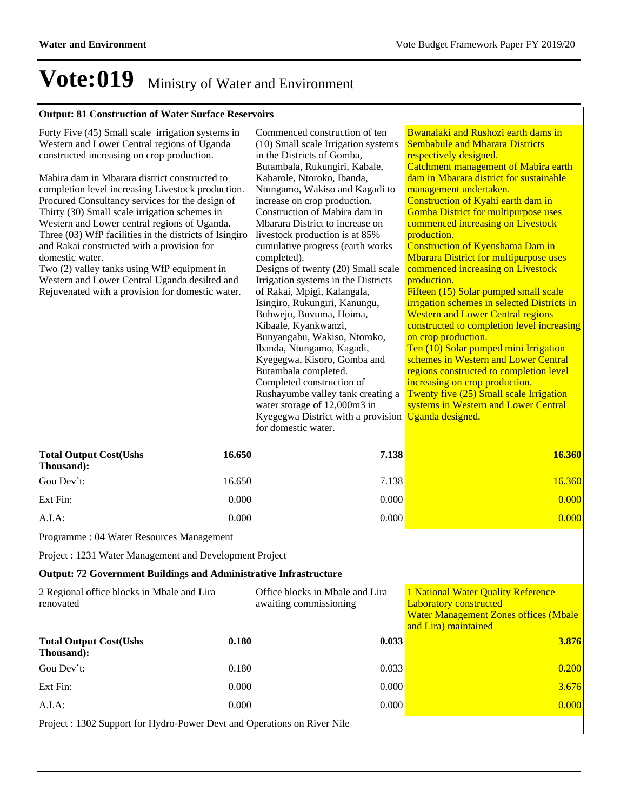### **Output: 81 Construction of Water Surface Reservoirs**

| Forty Five (45) Small scale irrigation systems in<br>Western and Lower Central regions of Uganda<br>constructed increasing on crop production.<br>Mabira dam in Mbarara district constructed to<br>completion level increasing Livestock production.<br>Procured Consultancy services for the design of<br>Thirty (30) Small scale irrigation schemes in<br>Western and Lower central regions of Uganda.<br>Three (03) WfP facilities in the districts of Isingiro<br>and Rakai constructed with a provision for<br>domestic water.<br>Two (2) valley tanks using WfP equipment in<br>Western and Lower Central Uganda desilted and<br>Rejuvenated with a provision for domestic water. |        | Commenced construction of ten<br>(10) Small scale Irrigation systems<br>in the Districts of Gomba,<br>Butambala, Rukungiri, Kabale,<br>Kabarole, Ntoroko, Ibanda,<br>Ntungamo, Wakiso and Kagadi to<br>increase on crop production.<br>Construction of Mabira dam in<br>Mbarara District to increase on<br>livestock production is at 85%<br>cumulative progress (earth works<br>completed).<br>Designs of twenty (20) Small scale<br>Irrigation systems in the Districts<br>of Rakai, Mpigi, Kalangala,<br>Isingiro, Rukungiri, Kanungu,<br>Buhweju, Buvuma, Hoima,<br>Kibaale, Kyankwanzi,<br>Bunyangabu, Wakiso, Ntoroko,<br>Ibanda, Ntungamo, Kagadi,<br>Kyegegwa, Kisoro, Gomba and<br>Butambala completed.<br>Completed construction of<br>Rushayumbe valley tank creating a<br>water storage of 12,000m3 in<br>Kyegegwa District with a provision Uganda designed.<br>for domestic water. | Bwanalaki and Rushozi earth dams in<br><b>Sembabule and Mbarara Districts</b><br>respectively designed.<br><b>Catchment management of Mabira earth</b><br>dam in Mbarara district for sustainable<br>management undertaken.<br>Construction of Kyahi earth dam in<br><b>Gomba District for multipurpose uses</b><br>commenced increasing on Livestock<br>production.<br><b>Construction of Kyenshama Dam in</b><br><b>Mbarara District for multipurpose uses</b><br>commenced increasing on Livestock<br>production.<br>Fifteen (15) Solar pumped small scale<br>irrigation schemes in selected Districts in<br><b>Western and Lower Central regions</b><br>constructed to completion level increasing<br>on crop production.<br>Ten (10) Solar pumped mini Irrigation<br>schemes in Western and Lower Central<br>regions constructed to completion level<br>increasing on crop production.<br>Twenty five (25) Small scale Irrigation<br>systems in Western and Lower Central |
|-----------------------------------------------------------------------------------------------------------------------------------------------------------------------------------------------------------------------------------------------------------------------------------------------------------------------------------------------------------------------------------------------------------------------------------------------------------------------------------------------------------------------------------------------------------------------------------------------------------------------------------------------------------------------------------------|--------|--------------------------------------------------------------------------------------------------------------------------------------------------------------------------------------------------------------------------------------------------------------------------------------------------------------------------------------------------------------------------------------------------------------------------------------------------------------------------------------------------------------------------------------------------------------------------------------------------------------------------------------------------------------------------------------------------------------------------------------------------------------------------------------------------------------------------------------------------------------------------------------------------|--------------------------------------------------------------------------------------------------------------------------------------------------------------------------------------------------------------------------------------------------------------------------------------------------------------------------------------------------------------------------------------------------------------------------------------------------------------------------------------------------------------------------------------------------------------------------------------------------------------------------------------------------------------------------------------------------------------------------------------------------------------------------------------------------------------------------------------------------------------------------------------------------------------------------------------------------------------------------------|
| <b>Total Output Cost(Ushs</b><br>Thousand):                                                                                                                                                                                                                                                                                                                                                                                                                                                                                                                                                                                                                                             | 16.650 | 7.138                                                                                                                                                                                                                                                                                                                                                                                                                                                                                                                                                                                                                                                                                                                                                                                                                                                                                            | 16.360                                                                                                                                                                                                                                                                                                                                                                                                                                                                                                                                                                                                                                                                                                                                                                                                                                                                                                                                                                         |
| Gou Dev't:                                                                                                                                                                                                                                                                                                                                                                                                                                                                                                                                                                                                                                                                              | 16.650 | 7.138                                                                                                                                                                                                                                                                                                                                                                                                                                                                                                                                                                                                                                                                                                                                                                                                                                                                                            | 16.360                                                                                                                                                                                                                                                                                                                                                                                                                                                                                                                                                                                                                                                                                                                                                                                                                                                                                                                                                                         |
| Ext Fin:                                                                                                                                                                                                                                                                                                                                                                                                                                                                                                                                                                                                                                                                                | 0.000  | 0.000                                                                                                                                                                                                                                                                                                                                                                                                                                                                                                                                                                                                                                                                                                                                                                                                                                                                                            | 0.000                                                                                                                                                                                                                                                                                                                                                                                                                                                                                                                                                                                                                                                                                                                                                                                                                                                                                                                                                                          |
| A.I.A:                                                                                                                                                                                                                                                                                                                                                                                                                                                                                                                                                                                                                                                                                  | 0.000  | 0.000                                                                                                                                                                                                                                                                                                                                                                                                                                                                                                                                                                                                                                                                                                                                                                                                                                                                                            | 0.000                                                                                                                                                                                                                                                                                                                                                                                                                                                                                                                                                                                                                                                                                                                                                                                                                                                                                                                                                                          |
| Programme: 04 Water Resources Management                                                                                                                                                                                                                                                                                                                                                                                                                                                                                                                                                                                                                                                |        |                                                                                                                                                                                                                                                                                                                                                                                                                                                                                                                                                                                                                                                                                                                                                                                                                                                                                                  |                                                                                                                                                                                                                                                                                                                                                                                                                                                                                                                                                                                                                                                                                                                                                                                                                                                                                                                                                                                |
| Project : 1231 Water Management and Development Project                                                                                                                                                                                                                                                                                                                                                                                                                                                                                                                                                                                                                                 |        |                                                                                                                                                                                                                                                                                                                                                                                                                                                                                                                                                                                                                                                                                                                                                                                                                                                                                                  |                                                                                                                                                                                                                                                                                                                                                                                                                                                                                                                                                                                                                                                                                                                                                                                                                                                                                                                                                                                |
| Output: 72 Government Buildings and Administrative Infrastructure                                                                                                                                                                                                                                                                                                                                                                                                                                                                                                                                                                                                                       |        |                                                                                                                                                                                                                                                                                                                                                                                                                                                                                                                                                                                                                                                                                                                                                                                                                                                                                                  |                                                                                                                                                                                                                                                                                                                                                                                                                                                                                                                                                                                                                                                                                                                                                                                                                                                                                                                                                                                |
| 2 Regional office blocks in Mbale and Lira<br>renovated                                                                                                                                                                                                                                                                                                                                                                                                                                                                                                                                                                                                                                 |        | Office blocks in Mbale and Lira<br>awaiting commissioning                                                                                                                                                                                                                                                                                                                                                                                                                                                                                                                                                                                                                                                                                                                                                                                                                                        | 1 National Water Quality Reference<br><b>Laboratory constructed</b><br><b>Water Management Zones offices (Mbale</b><br>and Lira) maintained                                                                                                                                                                                                                                                                                                                                                                                                                                                                                                                                                                                                                                                                                                                                                                                                                                    |
| <b>Total Output Cost(Ushs</b><br>Thousand):                                                                                                                                                                                                                                                                                                                                                                                                                                                                                                                                                                                                                                             | 0.180  | 0.033                                                                                                                                                                                                                                                                                                                                                                                                                                                                                                                                                                                                                                                                                                                                                                                                                                                                                            | 3.876                                                                                                                                                                                                                                                                                                                                                                                                                                                                                                                                                                                                                                                                                                                                                                                                                                                                                                                                                                          |
| Gou Dev't:                                                                                                                                                                                                                                                                                                                                                                                                                                                                                                                                                                                                                                                                              | 0.180  | 0.033                                                                                                                                                                                                                                                                                                                                                                                                                                                                                                                                                                                                                                                                                                                                                                                                                                                                                            | 0.200                                                                                                                                                                                                                                                                                                                                                                                                                                                                                                                                                                                                                                                                                                                                                                                                                                                                                                                                                                          |
| Ext Fin:                                                                                                                                                                                                                                                                                                                                                                                                                                                                                                                                                                                                                                                                                | 0.000  | 0.000                                                                                                                                                                                                                                                                                                                                                                                                                                                                                                                                                                                                                                                                                                                                                                                                                                                                                            | 3.676                                                                                                                                                                                                                                                                                                                                                                                                                                                                                                                                                                                                                                                                                                                                                                                                                                                                                                                                                                          |

A.I.A: 0.000 0.000 0.000

Project : 1302 Support for Hydro-Power Devt and Operations on River Nile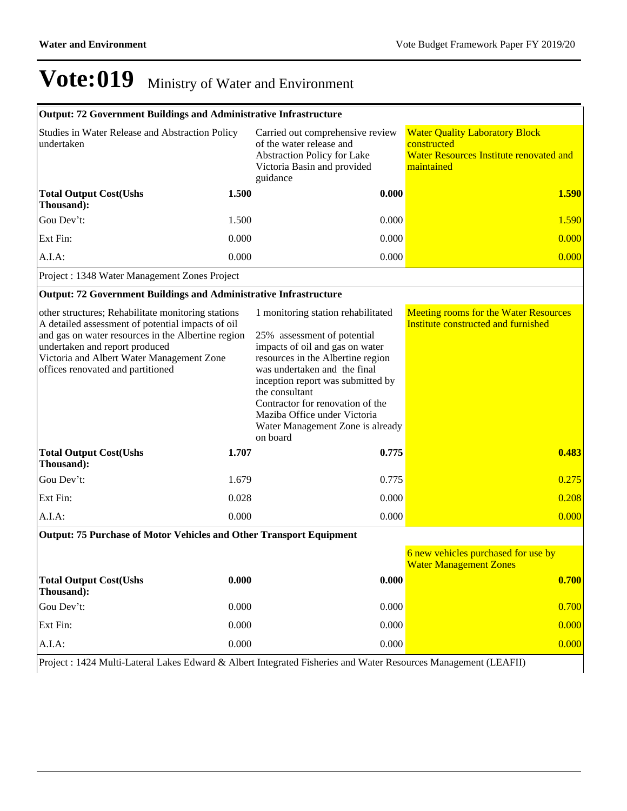| Output: 72 Government Buildings and Administrative Infrastructure                                                                                                                                                                                                                 |       |                                                                                                                                                                                                                                                                                                                                                      |                                                                                                               |
|-----------------------------------------------------------------------------------------------------------------------------------------------------------------------------------------------------------------------------------------------------------------------------------|-------|------------------------------------------------------------------------------------------------------------------------------------------------------------------------------------------------------------------------------------------------------------------------------------------------------------------------------------------------------|---------------------------------------------------------------------------------------------------------------|
| Studies in Water Release and Abstraction Policy<br>undertaken                                                                                                                                                                                                                     |       | Carried out comprehensive review<br>of the water release and<br>Abstraction Policy for Lake<br>Victoria Basin and provided<br>guidance                                                                                                                                                                                                               | <b>Water Quality Laboratory Block</b><br>constructed<br>Water Resources Institute renovated and<br>maintained |
| <b>Total Output Cost(Ushs</b><br>Thousand):                                                                                                                                                                                                                                       | 1.500 | 0.000                                                                                                                                                                                                                                                                                                                                                | 1.590                                                                                                         |
| Gou Dev't:                                                                                                                                                                                                                                                                        | 1.500 | 0.000                                                                                                                                                                                                                                                                                                                                                | 1.590                                                                                                         |
| Ext Fin:                                                                                                                                                                                                                                                                          | 0.000 | 0.000                                                                                                                                                                                                                                                                                                                                                | 0.000                                                                                                         |
| A.I.A:                                                                                                                                                                                                                                                                            | 0.000 | 0.000                                                                                                                                                                                                                                                                                                                                                | 0.000                                                                                                         |
| Project : 1348 Water Management Zones Project                                                                                                                                                                                                                                     |       |                                                                                                                                                                                                                                                                                                                                                      |                                                                                                               |
| <b>Output: 72 Government Buildings and Administrative Infrastructure</b>                                                                                                                                                                                                          |       |                                                                                                                                                                                                                                                                                                                                                      |                                                                                                               |
| other structures; Rehabilitate monitoring stations<br>A detailed assessment of potential impacts of oil<br>and gas on water resources in the Albertine region<br>undertaken and report produced<br>Victoria and Albert Water Management Zone<br>offices renovated and partitioned |       | 1 monitoring station rehabilitated<br>25% assessment of potential<br>impacts of oil and gas on water<br>resources in the Albertine region<br>was undertaken and the final<br>inception report was submitted by<br>the consultant<br>Contractor for renovation of the<br>Maziba Office under Victoria<br>Water Management Zone is already<br>on board | <b>Meeting rooms for the Water Resources</b><br>Institute constructed and furnished                           |
| <b>Total Output Cost(Ushs</b><br>Thousand):                                                                                                                                                                                                                                       | 1.707 | 0.775                                                                                                                                                                                                                                                                                                                                                | 0.483                                                                                                         |
| Gou Dev't:                                                                                                                                                                                                                                                                        | 1.679 | 0.775                                                                                                                                                                                                                                                                                                                                                | 0.275                                                                                                         |
| Ext Fin:                                                                                                                                                                                                                                                                          | 0.028 | 0.000                                                                                                                                                                                                                                                                                                                                                | 0.208                                                                                                         |
| A.I.A:                                                                                                                                                                                                                                                                            | 0.000 | 0.000                                                                                                                                                                                                                                                                                                                                                | 0.000                                                                                                         |
| Output: 75 Purchase of Motor Vehicles and Other Transport Equipment                                                                                                                                                                                                               |       |                                                                                                                                                                                                                                                                                                                                                      |                                                                                                               |
|                                                                                                                                                                                                                                                                                   |       |                                                                                                                                                                                                                                                                                                                                                      | 6 new vehicles purchased for use by                                                                           |

|                                             |       |       | <b>Water Management Zones</b> |
|---------------------------------------------|-------|-------|-------------------------------|
| <b>Total Output Cost(Ushs</b><br>Thousand): | 0.000 | 0.000 | $\boxed{0.700}$               |
| Gou Dev't:                                  | 0.000 | 0.000 | 0.700                         |
| Ext Fin:                                    | 0.000 | 0.000 | 0.000                         |
| $A.I.A$ :                                   | 0.000 | 0.000 | 0.000                         |

Project : 1424 Multi-Lateral Lakes Edward & Albert Integrated Fisheries and Water Resources Management (LEAFII)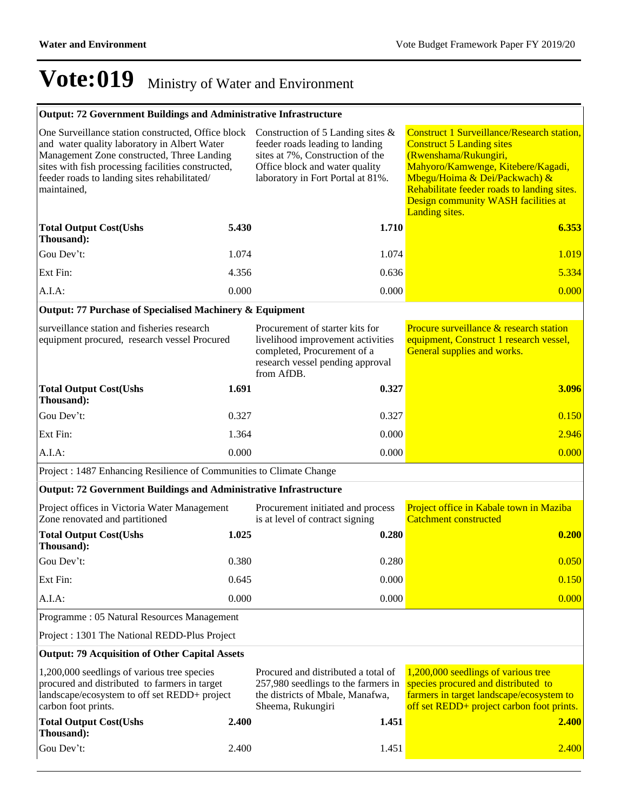### **Output: 72 Government Buildings and Administrative Infrastructure**

| One Surveillance station constructed, Office block<br>and water quality laboratory in Albert Water<br>Management Zone constructed, Three Landing<br>sites with fish processing facilities constructed,<br>feeder roads to landing sites rehabilitated/<br>maintained, |       | Construction of 5 Landing sites $\&$<br>feeder roads leading to landing<br>sites at 7%, Construction of the<br>Office block and water quality<br>laboratory in Fort Portal at 81%. | <b>Construct 1 Surveillance/Research station,</b><br><b>Construct 5 Landing sites</b><br>(Rwenshama/Rukungiri,<br>Mahyoro/Kamwenge, Kitebere/Kagadi,<br>Mbegu/Hoima & Dei/Packwach) &<br>Rehabilitate feeder roads to landing sites.<br>Design community WASH facilities at<br>Landing sites. |  |
|-----------------------------------------------------------------------------------------------------------------------------------------------------------------------------------------------------------------------------------------------------------------------|-------|------------------------------------------------------------------------------------------------------------------------------------------------------------------------------------|-----------------------------------------------------------------------------------------------------------------------------------------------------------------------------------------------------------------------------------------------------------------------------------------------|--|
| <b>Total Output Cost(Ushs</b><br>Thousand):                                                                                                                                                                                                                           | 5.430 | 1.710                                                                                                                                                                              | 6.353                                                                                                                                                                                                                                                                                         |  |
| Gou Dev't:                                                                                                                                                                                                                                                            | 1.074 | 1.074                                                                                                                                                                              | 1.019                                                                                                                                                                                                                                                                                         |  |
| Ext Fin:                                                                                                                                                                                                                                                              | 4.356 | 0.636                                                                                                                                                                              | 5.334                                                                                                                                                                                                                                                                                         |  |
| A.I.A:                                                                                                                                                                                                                                                                | 0.000 | 0.000                                                                                                                                                                              | 0.000                                                                                                                                                                                                                                                                                         |  |
| Output: 77 Purchase of Specialised Machinery & Equipment                                                                                                                                                                                                              |       |                                                                                                                                                                                    |                                                                                                                                                                                                                                                                                               |  |
| surveillance station and fisheries research<br>equipment procured, research vessel Procured                                                                                                                                                                           |       | Procurement of starter kits for<br>livelihood improvement activities<br>completed, Procurement of a<br>research vessel pending approval<br>from AfDB.                              | Procure surveillance & research station<br>equipment, Construct 1 research vessel,<br>General supplies and works.                                                                                                                                                                             |  |
| <b>Total Output Cost(Ushs</b><br>Thousand):                                                                                                                                                                                                                           | 1.691 | 0.327                                                                                                                                                                              | 3.096                                                                                                                                                                                                                                                                                         |  |
| Gou Dev't:                                                                                                                                                                                                                                                            | 0.327 | 0.327                                                                                                                                                                              | 0.150                                                                                                                                                                                                                                                                                         |  |
| Ext Fin:                                                                                                                                                                                                                                                              | 1.364 | 0.000                                                                                                                                                                              | 2.946                                                                                                                                                                                                                                                                                         |  |
| A.I.A:                                                                                                                                                                                                                                                                | 0.000 | 0.000                                                                                                                                                                              | 0.000                                                                                                                                                                                                                                                                                         |  |
| Project : 1487 Enhancing Resilience of Communities to Climate Change                                                                                                                                                                                                  |       |                                                                                                                                                                                    |                                                                                                                                                                                                                                                                                               |  |
| <b>Output: 72 Government Buildings and Administrative Infrastructure</b>                                                                                                                                                                                              |       |                                                                                                                                                                                    |                                                                                                                                                                                                                                                                                               |  |
| Project offices in Victoria Water Management<br>Zone renovated and partitioned                                                                                                                                                                                        |       | Procurement initiated and process<br>is at level of contract signing                                                                                                               | Project office in Kabale town in Maziba<br><b>Catchment constructed</b>                                                                                                                                                                                                                       |  |
| <b>Total Output Cost(Ushs</b><br>Thousand):                                                                                                                                                                                                                           | 1.025 | 0.280                                                                                                                                                                              | 0.200                                                                                                                                                                                                                                                                                         |  |
| Gou Dev't:                                                                                                                                                                                                                                                            | 0.380 | 0.280                                                                                                                                                                              | 0.050                                                                                                                                                                                                                                                                                         |  |
| Ext Fin:                                                                                                                                                                                                                                                              | 0.645 | 0.000                                                                                                                                                                              | 0.150                                                                                                                                                                                                                                                                                         |  |
| $A.I.A$ :                                                                                                                                                                                                                                                             | 0.000 | 0.000                                                                                                                                                                              | 0.000                                                                                                                                                                                                                                                                                         |  |
| Programme: 05 Natural Resources Management                                                                                                                                                                                                                            |       |                                                                                                                                                                                    |                                                                                                                                                                                                                                                                                               |  |
| Project : 1301 The National REDD-Plus Project                                                                                                                                                                                                                         |       |                                                                                                                                                                                    |                                                                                                                                                                                                                                                                                               |  |
| <b>Output: 79 Acquisition of Other Capital Assets</b>                                                                                                                                                                                                                 |       |                                                                                                                                                                                    |                                                                                                                                                                                                                                                                                               |  |
| 1,200,000 seedlings of various tree species<br>procured and distributed to farmers in target<br>landscape/ecosystem to off set REDD+ project<br>carbon foot prints.                                                                                                   |       | Procured and distributed a total of<br>257,980 seedlings to the farmers in<br>the districts of Mbale, Manafwa,<br>Sheema, Rukungiri                                                | 1,200,000 seedlings of various tree<br>species procured and distributed to<br>farmers in target landscape/ecosystem to<br>off set REDD+ project carbon foot prints.                                                                                                                           |  |
| <b>Total Output Cost(Ushs</b><br>Thousand):                                                                                                                                                                                                                           | 2.400 | 1.451                                                                                                                                                                              | 2.400                                                                                                                                                                                                                                                                                         |  |
| Gou Dev't:                                                                                                                                                                                                                                                            | 2.400 | 1.451                                                                                                                                                                              | 2.400                                                                                                                                                                                                                                                                                         |  |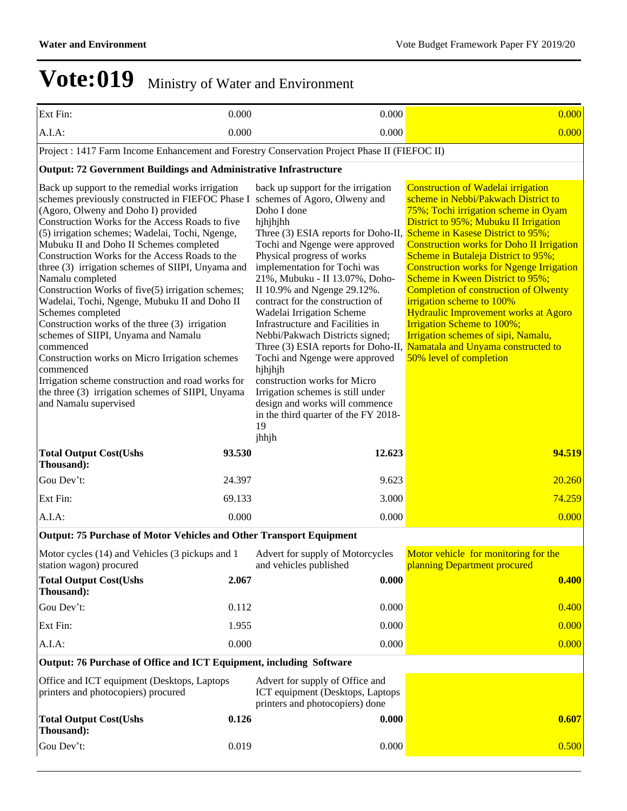| Ext Fin:                                                                                                                                                                                                                                                                                                                                                                                                                                                                                                                                                                                                                                                                                                                                                                                                                                                                                | 0.000          | 0.000                                                                                                                                                                                                                                                                                                                                                                                                                                                                                                                                                                                                                    | 0.000                                                                                                                                                                                                                                                                                                                                                                                                                                                                                                                                                                                                                                                                                                 |
|-----------------------------------------------------------------------------------------------------------------------------------------------------------------------------------------------------------------------------------------------------------------------------------------------------------------------------------------------------------------------------------------------------------------------------------------------------------------------------------------------------------------------------------------------------------------------------------------------------------------------------------------------------------------------------------------------------------------------------------------------------------------------------------------------------------------------------------------------------------------------------------------|----------------|--------------------------------------------------------------------------------------------------------------------------------------------------------------------------------------------------------------------------------------------------------------------------------------------------------------------------------------------------------------------------------------------------------------------------------------------------------------------------------------------------------------------------------------------------------------------------------------------------------------------------|-------------------------------------------------------------------------------------------------------------------------------------------------------------------------------------------------------------------------------------------------------------------------------------------------------------------------------------------------------------------------------------------------------------------------------------------------------------------------------------------------------------------------------------------------------------------------------------------------------------------------------------------------------------------------------------------------------|
| A.I.A:                                                                                                                                                                                                                                                                                                                                                                                                                                                                                                                                                                                                                                                                                                                                                                                                                                                                                  | 0.000          | 0.000                                                                                                                                                                                                                                                                                                                                                                                                                                                                                                                                                                                                                    | 0.000                                                                                                                                                                                                                                                                                                                                                                                                                                                                                                                                                                                                                                                                                                 |
| Project : 1417 Farm Income Enhancement and Forestry Conservation Project Phase II (FIEFOC II)                                                                                                                                                                                                                                                                                                                                                                                                                                                                                                                                                                                                                                                                                                                                                                                           |                |                                                                                                                                                                                                                                                                                                                                                                                                                                                                                                                                                                                                                          |                                                                                                                                                                                                                                                                                                                                                                                                                                                                                                                                                                                                                                                                                                       |
| <b>Output: 72 Government Buildings and Administrative Infrastructure</b>                                                                                                                                                                                                                                                                                                                                                                                                                                                                                                                                                                                                                                                                                                                                                                                                                |                |                                                                                                                                                                                                                                                                                                                                                                                                                                                                                                                                                                                                                          |                                                                                                                                                                                                                                                                                                                                                                                                                                                                                                                                                                                                                                                                                                       |
| Back up support to the remedial works irrigation<br>schemes previously constructed in FIEFOC Phase I schemes of Agoro, Olweny and<br>(Agoro, Olweny and Doho I) provided<br>Construction Works for the Access Roads to five<br>(5) irrigation schemes; Wadelai, Tochi, Ngenge,<br>Mubuku II and Doho II Schemes completed<br>Construction Works for the Access Roads to the<br>three (3) irrigation schemes of SIIPI, Unyama and<br>Namalu completed<br>Construction Works of five(5) irrigation schemes;<br>Wadelai, Tochi, Ngenge, Mubuku II and Doho II<br>Schemes completed<br>Construction works of the three (3) irrigation<br>schemes of SIIPI, Unyama and Namalu<br>commenced<br>Construction works on Micro Irrigation schemes<br>commenced<br>Irrigation scheme construction and road works for<br>the three (3) irrigation schemes of SIIPI, Unyama<br>and Namalu supervised |                | back up support for the irrigation<br>Doho I done<br>hjhjhjhh<br>Three (3) ESIA reports for Doho-II,<br>Tochi and Ngenge were approved<br>Physical progress of works<br>implementation for Tochi was<br>21%, Mubuku - II 13.07%, Doho-<br>II 10.9% and Ngenge 29.12%.<br>contract for the construction of<br>Wadelai Irrigation Scheme<br>Infrastructure and Facilities in<br>Nebbi/Pakwach Districts signed;<br>Tochi and Ngenge were approved<br>hjhjhjh<br>construction works for Micro<br>Irrigation schemes is still under<br>design and works will commence<br>in the third quarter of the FY 2018-<br>19<br>jhhjh | <b>Construction of Wadelai irrigation</b><br>scheme in Nebbi/Pakwach District to<br>75%; Tochi irrigation scheme in Oyam<br>District to 95%; Mubuku II Irrigation<br>Scheme in Kasese District to 95%;<br><b>Construction works for Doho II Irrigation</b><br>Scheme in Butaleja District to 95%;<br><b>Construction works for Ngenge Irrigation</b><br>Scheme in Kween District to 95%;<br><b>Completion of construction of Olwenty</b><br>irrigation scheme to 100%<br><b>Hydraulic Improvement works at Agoro</b><br><b>Irrigation Scheme to 100%;</b><br>Irrigation schemes of sipi, Namalu,<br>Three (3) ESIA reports for Doho-II, Namatala and Unyama constructed to<br>50% level of completion |
| <b>Total Output Cost(Ushs</b><br>Thousand):                                                                                                                                                                                                                                                                                                                                                                                                                                                                                                                                                                                                                                                                                                                                                                                                                                             | 93.530         | 12.623                                                                                                                                                                                                                                                                                                                                                                                                                                                                                                                                                                                                                   | 94.519                                                                                                                                                                                                                                                                                                                                                                                                                                                                                                                                                                                                                                                                                                |
| Gou Dev't:                                                                                                                                                                                                                                                                                                                                                                                                                                                                                                                                                                                                                                                                                                                                                                                                                                                                              | 24.397         | 9.623                                                                                                                                                                                                                                                                                                                                                                                                                                                                                                                                                                                                                    | 20.260                                                                                                                                                                                                                                                                                                                                                                                                                                                                                                                                                                                                                                                                                                |
| Ext Fin:                                                                                                                                                                                                                                                                                                                                                                                                                                                                                                                                                                                                                                                                                                                                                                                                                                                                                | 69.133         | 3.000                                                                                                                                                                                                                                                                                                                                                                                                                                                                                                                                                                                                                    | 74.259                                                                                                                                                                                                                                                                                                                                                                                                                                                                                                                                                                                                                                                                                                |
| A.I.A:                                                                                                                                                                                                                                                                                                                                                                                                                                                                                                                                                                                                                                                                                                                                                                                                                                                                                  | 0.000          | 0.000                                                                                                                                                                                                                                                                                                                                                                                                                                                                                                                                                                                                                    | 0.000                                                                                                                                                                                                                                                                                                                                                                                                                                                                                                                                                                                                                                                                                                 |
| <b>Output: 75 Purchase of Motor Vehicles and Other Transport Equipment</b>                                                                                                                                                                                                                                                                                                                                                                                                                                                                                                                                                                                                                                                                                                                                                                                                              |                |                                                                                                                                                                                                                                                                                                                                                                                                                                                                                                                                                                                                                          |                                                                                                                                                                                                                                                                                                                                                                                                                                                                                                                                                                                                                                                                                                       |
| Motor cycles (14) and Vehicles (3 pickups and 1<br>station wagon) procured<br><b>Total Output Cost(Ushs</b>                                                                                                                                                                                                                                                                                                                                                                                                                                                                                                                                                                                                                                                                                                                                                                             | 2.067          | Advert for supply of Motorcycles<br>and vehicles published<br>0.000                                                                                                                                                                                                                                                                                                                                                                                                                                                                                                                                                      | Motor vehicle for monitoring for the<br>planning Department procured<br>0.400                                                                                                                                                                                                                                                                                                                                                                                                                                                                                                                                                                                                                         |
| Thousand):                                                                                                                                                                                                                                                                                                                                                                                                                                                                                                                                                                                                                                                                                                                                                                                                                                                                              |                |                                                                                                                                                                                                                                                                                                                                                                                                                                                                                                                                                                                                                          |                                                                                                                                                                                                                                                                                                                                                                                                                                                                                                                                                                                                                                                                                                       |
| Gou Dev't:                                                                                                                                                                                                                                                                                                                                                                                                                                                                                                                                                                                                                                                                                                                                                                                                                                                                              | 0.112          | 0.000                                                                                                                                                                                                                                                                                                                                                                                                                                                                                                                                                                                                                    | 0.400                                                                                                                                                                                                                                                                                                                                                                                                                                                                                                                                                                                                                                                                                                 |
| Ext Fin:                                                                                                                                                                                                                                                                                                                                                                                                                                                                                                                                                                                                                                                                                                                                                                                                                                                                                | 1.955<br>0.000 | 0.000<br>0.000                                                                                                                                                                                                                                                                                                                                                                                                                                                                                                                                                                                                           | 0.000<br>0.000                                                                                                                                                                                                                                                                                                                                                                                                                                                                                                                                                                                                                                                                                        |
| A.I.A:<br>Output: 76 Purchase of Office and ICT Equipment, including Software                                                                                                                                                                                                                                                                                                                                                                                                                                                                                                                                                                                                                                                                                                                                                                                                           |                |                                                                                                                                                                                                                                                                                                                                                                                                                                                                                                                                                                                                                          |                                                                                                                                                                                                                                                                                                                                                                                                                                                                                                                                                                                                                                                                                                       |
| Office and ICT equipment (Desktops, Laptops<br>printers and photocopiers) procured                                                                                                                                                                                                                                                                                                                                                                                                                                                                                                                                                                                                                                                                                                                                                                                                      |                | Advert for supply of Office and<br>ICT equipment (Desktops, Laptops<br>printers and photocopiers) done                                                                                                                                                                                                                                                                                                                                                                                                                                                                                                                   |                                                                                                                                                                                                                                                                                                                                                                                                                                                                                                                                                                                                                                                                                                       |
| <b>Total Output Cost(Ushs</b><br>Thousand):                                                                                                                                                                                                                                                                                                                                                                                                                                                                                                                                                                                                                                                                                                                                                                                                                                             | 0.126          | 0.000                                                                                                                                                                                                                                                                                                                                                                                                                                                                                                                                                                                                                    | 0.607                                                                                                                                                                                                                                                                                                                                                                                                                                                                                                                                                                                                                                                                                                 |

Gou Dev't: 0.019 0.000 0.000 0.000 0.000 0.500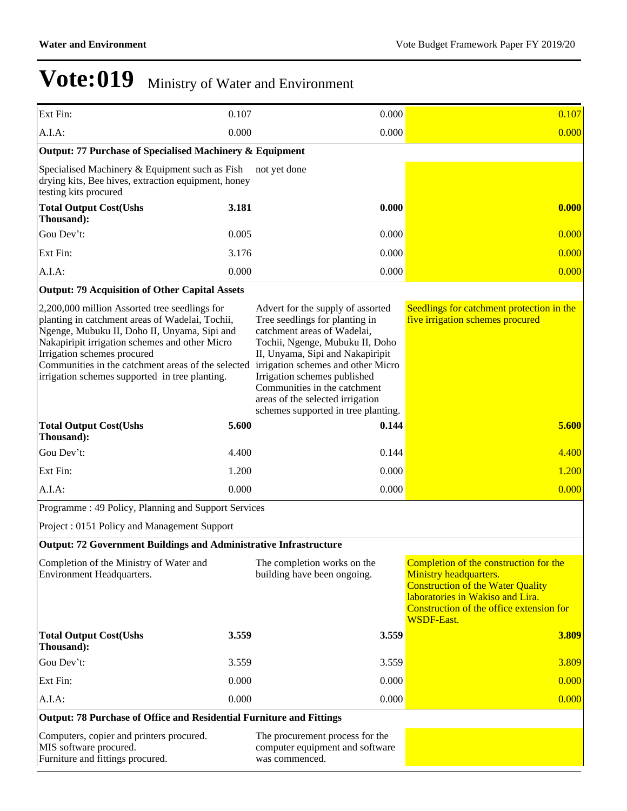| Ext Fin:                                                                                                                                                                                                                                                                                                                                  | 0.107 | 0.000                                                                                                                                                                                                                                                                                                                                                      |       | 0.107                                                                                                                                                                                                             |  |
|-------------------------------------------------------------------------------------------------------------------------------------------------------------------------------------------------------------------------------------------------------------------------------------------------------------------------------------------|-------|------------------------------------------------------------------------------------------------------------------------------------------------------------------------------------------------------------------------------------------------------------------------------------------------------------------------------------------------------------|-------|-------------------------------------------------------------------------------------------------------------------------------------------------------------------------------------------------------------------|--|
| A.I.A:                                                                                                                                                                                                                                                                                                                                    | 0.000 | 0.000                                                                                                                                                                                                                                                                                                                                                      |       | 0.000                                                                                                                                                                                                             |  |
| Output: 77 Purchase of Specialised Machinery & Equipment                                                                                                                                                                                                                                                                                  |       |                                                                                                                                                                                                                                                                                                                                                            |       |                                                                                                                                                                                                                   |  |
| Specialised Machinery & Equipment such as Fish<br>drying kits, Bee hives, extraction equipment, honey<br>testing kits procured                                                                                                                                                                                                            |       | not yet done                                                                                                                                                                                                                                                                                                                                               |       |                                                                                                                                                                                                                   |  |
| <b>Total Output Cost(Ushs</b><br>Thousand):                                                                                                                                                                                                                                                                                               | 3.181 | 0.000                                                                                                                                                                                                                                                                                                                                                      |       | 0.000                                                                                                                                                                                                             |  |
| Gou Dev't:                                                                                                                                                                                                                                                                                                                                | 0.005 | 0.000                                                                                                                                                                                                                                                                                                                                                      |       | 0.000                                                                                                                                                                                                             |  |
| Ext Fin:                                                                                                                                                                                                                                                                                                                                  | 3.176 | 0.000                                                                                                                                                                                                                                                                                                                                                      |       | 0.000                                                                                                                                                                                                             |  |
| A.I.A:                                                                                                                                                                                                                                                                                                                                    | 0.000 | 0.000                                                                                                                                                                                                                                                                                                                                                      |       | 0.000                                                                                                                                                                                                             |  |
| <b>Output: 79 Acquisition of Other Capital Assets</b>                                                                                                                                                                                                                                                                                     |       |                                                                                                                                                                                                                                                                                                                                                            |       |                                                                                                                                                                                                                   |  |
| 2,200,000 million Assorted tree seedlings for<br>planting in catchment areas of Wadelai, Tochii,<br>Ngenge, Mubuku II, Doho II, Unyama, Sipi and<br>Nakapiripit irrigation schemes and other Micro<br>Irrigation schemes procured<br>Communities in the catchment areas of the selected<br>irrigation schemes supported in tree planting. |       | Advert for the supply of assorted<br>Tree seedlings for planting in<br>catchment areas of Wadelai,<br>Tochii, Ngenge, Mubuku II, Doho<br>II, Unyama, Sipi and Nakapiripit<br>irrigation schemes and other Micro<br>Irrigation schemes published<br>Communities in the catchment<br>areas of the selected irrigation<br>schemes supported in tree planting. |       | Seedlings for catchment protection in the<br>five irrigation schemes procured                                                                                                                                     |  |
| <b>Total Output Cost(Ushs</b><br>Thousand):                                                                                                                                                                                                                                                                                               | 5.600 | 0.144                                                                                                                                                                                                                                                                                                                                                      |       | 5.600                                                                                                                                                                                                             |  |
| Gou Dev't:                                                                                                                                                                                                                                                                                                                                | 4.400 | 0.144                                                                                                                                                                                                                                                                                                                                                      |       | 4.400                                                                                                                                                                                                             |  |
| Ext Fin:                                                                                                                                                                                                                                                                                                                                  | 1.200 | 0.000                                                                                                                                                                                                                                                                                                                                                      |       | 1.200                                                                                                                                                                                                             |  |
| A.I.A:                                                                                                                                                                                                                                                                                                                                    | 0.000 | 0.000                                                                                                                                                                                                                                                                                                                                                      |       | 0.000                                                                                                                                                                                                             |  |
| Programme: 49 Policy, Planning and Support Services                                                                                                                                                                                                                                                                                       |       |                                                                                                                                                                                                                                                                                                                                                            |       |                                                                                                                                                                                                                   |  |
| Project: 0151 Policy and Management Support                                                                                                                                                                                                                                                                                               |       |                                                                                                                                                                                                                                                                                                                                                            |       |                                                                                                                                                                                                                   |  |
| <b>Output: 72 Government Buildings and Administrative Infrastructure</b>                                                                                                                                                                                                                                                                  |       |                                                                                                                                                                                                                                                                                                                                                            |       |                                                                                                                                                                                                                   |  |
| Completion of the Ministry of Water and<br>Environment Headquarters.                                                                                                                                                                                                                                                                      |       | The completion works on the<br>building have been ongoing.                                                                                                                                                                                                                                                                                                 |       | Completion of the construction for the<br>Ministry headquarters.<br><b>Construction of the Water Quality</b><br>laboratories in Wakiso and Lira.<br>Construction of the office extension for<br><b>WSDF-East.</b> |  |
| <b>Total Output Cost(Ushs</b><br>Thousand):                                                                                                                                                                                                                                                                                               | 3.559 | 3.559                                                                                                                                                                                                                                                                                                                                                      |       | 3.809                                                                                                                                                                                                             |  |
| Gou Dev't:                                                                                                                                                                                                                                                                                                                                | 3.559 |                                                                                                                                                                                                                                                                                                                                                            | 3.559 | 3.809                                                                                                                                                                                                             |  |
| Ext Fin:                                                                                                                                                                                                                                                                                                                                  | 0.000 | 0.000                                                                                                                                                                                                                                                                                                                                                      |       | 0.000                                                                                                                                                                                                             |  |
| A.I.A.                                                                                                                                                                                                                                                                                                                                    | 0.000 | 0.000                                                                                                                                                                                                                                                                                                                                                      |       | 0.000                                                                                                                                                                                                             |  |
| Output: 78 Purchase of Office and Residential Furniture and Fittings                                                                                                                                                                                                                                                                      |       |                                                                                                                                                                                                                                                                                                                                                            |       |                                                                                                                                                                                                                   |  |
| Computers, copier and printers procured.<br>MIS software procured.<br>Furniture and fittings procured.                                                                                                                                                                                                                                    |       | The procurement process for the<br>computer equipment and software<br>was commenced.                                                                                                                                                                                                                                                                       |       |                                                                                                                                                                                                                   |  |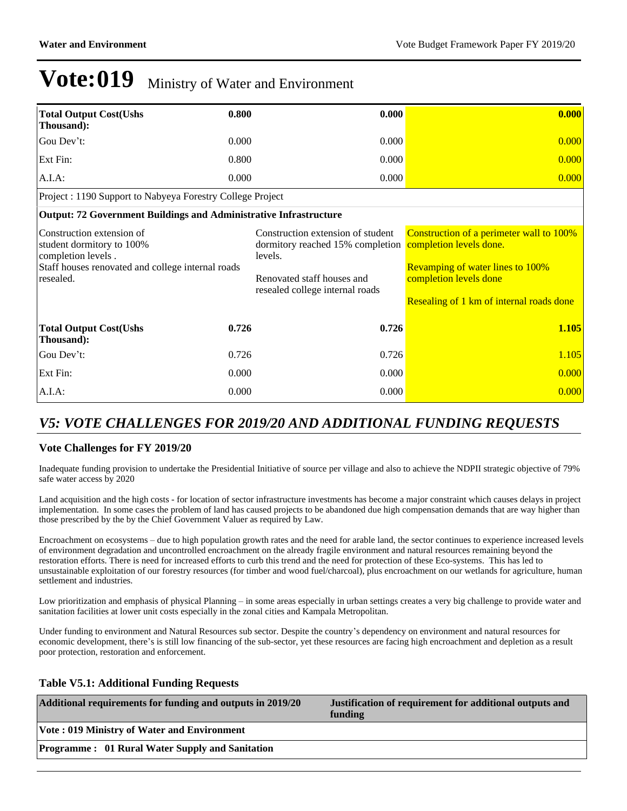| <b>Total Output Cost(Ushs</b><br>Thousand):                                                                                                    | 0.800 | 0.000                                                                                                                                             | 0.000                                                                                                                                                                                |
|------------------------------------------------------------------------------------------------------------------------------------------------|-------|---------------------------------------------------------------------------------------------------------------------------------------------------|--------------------------------------------------------------------------------------------------------------------------------------------------------------------------------------|
| Gou Dev't:                                                                                                                                     | 0.000 | 0.000                                                                                                                                             | 0.000                                                                                                                                                                                |
| Ext Fin:                                                                                                                                       | 0.800 | 0.000                                                                                                                                             | 0.000                                                                                                                                                                                |
| A.I.A.                                                                                                                                         | 0.000 | 0.000                                                                                                                                             | 0.000                                                                                                                                                                                |
| Project : 1190 Support to Nabyeya Forestry College Project                                                                                     |       |                                                                                                                                                   |                                                                                                                                                                                      |
| Output: 72 Government Buildings and Administrative Infrastructure                                                                              |       |                                                                                                                                                   |                                                                                                                                                                                      |
| Construction extension of<br>student dormitory to 100%<br>completion levels.<br>Staff houses renovated and college internal roads<br>resealed. |       | Construction extension of student<br>dormitory reached 15% completion<br>levels.<br>Renovated staff houses and<br>resealed college internal roads | Construction of a perimeter wall to 100%<br>completion levels done.<br><b>Revamping of water lines to 100%</b><br>completion levels done<br>Resealing of 1 km of internal roads done |
| <b>Total Output Cost(Ushs)</b><br>Thousand):                                                                                                   | 0.726 | 0.726                                                                                                                                             | 1.105                                                                                                                                                                                |
| Gou Dev't:                                                                                                                                     | 0.726 | 0.726                                                                                                                                             | 1.105                                                                                                                                                                                |
| Ext Fin:                                                                                                                                       | 0.000 | 0.000                                                                                                                                             | 0.000                                                                                                                                                                                |
| $A.I.A$ :                                                                                                                                      | 0.000 | 0.000                                                                                                                                             | 0.000                                                                                                                                                                                |

### *V5: VOTE CHALLENGES FOR 2019/20 AND ADDITIONAL FUNDING REQUESTS*

### **Vote Challenges for FY 2019/20**

Inadequate funding provision to undertake the Presidential Initiative of source per village and also to achieve the NDPII strategic objective of 79% safe water access by 2020

Land acquisition and the high costs - for location of sector infrastructure investments has become a major constraint which causes delays in project implementation. In some cases the problem of land has caused projects to be abandoned due high compensation demands that are way higher than those prescribed by the by the Chief Government Valuer as required by Law.

Encroachment on ecosystems - due to high population growth rates and the need for arable land, the sector continues to experience increased levels of environment degradation and uncontrolled encroachment on the already fragile environment and natural resources remaining beyond the restoration efforts. There is need for increased efforts to curb this trend and the need for protection of these Eco-systems. This has led to unsustainable exploitation of our forestry resources (for timber and wood fuel/charcoal), plus encroachment on our wetlands for agriculture, human settlement and industries.

Low prioritization and emphasis of physical Planning - in some areas especially in urban settings creates a very big challenge to provide water and sanitation facilities at lower unit costs especially in the zonal cities and Kampala Metropolitan.

Under funding to environment and Natural Resources sub sector. Despite the country's dependency on environment and natural resources for economic development, there's is still low financing of the sub-sector, yet these resources are facing high encroachment and depletion as a result poor protection, restoration and enforcement.

### **Table V5.1: Additional Funding Requests**

| Additional requirements for funding and outputs in 2019/20 | Justification of requirement for additional outputs and<br>funding |
|------------------------------------------------------------|--------------------------------------------------------------------|
| Vote: 019 Ministry of Water and Environment                |                                                                    |
| <b>Programme: 01 Rural Water Supply and Sanitation</b>     |                                                                    |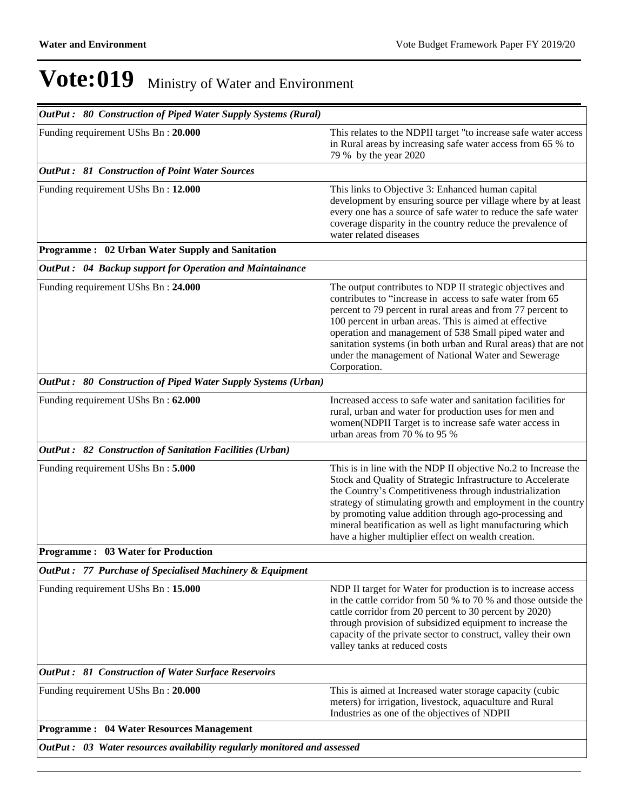| OutPut: 80 Construction of Piped Water Supply Systems (Rural)            |                                                                                                                                                                                                                                                                                                                                                                                                                                                   |
|--------------------------------------------------------------------------|---------------------------------------------------------------------------------------------------------------------------------------------------------------------------------------------------------------------------------------------------------------------------------------------------------------------------------------------------------------------------------------------------------------------------------------------------|
| Funding requirement UShs Bn: 20.000                                      | This relates to the NDPII target "to increase safe water access<br>in Rural areas by increasing safe water access from 65 % to<br>79 % by the year 2020                                                                                                                                                                                                                                                                                           |
| <b>OutPut: 81 Construction of Point Water Sources</b>                    |                                                                                                                                                                                                                                                                                                                                                                                                                                                   |
| Funding requirement UShs Bn: 12.000                                      | This links to Objective 3: Enhanced human capital<br>development by ensuring source per village where by at least<br>every one has a source of safe water to reduce the safe water<br>coverage disparity in the country reduce the prevalence of<br>water related diseases                                                                                                                                                                        |
| Programme: 02 Urban Water Supply and Sanitation                          |                                                                                                                                                                                                                                                                                                                                                                                                                                                   |
| OutPut: 04 Backup support for Operation and Maintainance                 |                                                                                                                                                                                                                                                                                                                                                                                                                                                   |
| Funding requirement UShs Bn: 24.000                                      | The output contributes to NDP II strategic objectives and<br>contributes to "increase in access to safe water from 65<br>percent to 79 percent in rural areas and from 77 percent to<br>100 percent in urban areas. This is aimed at effective<br>operation and management of 538 Small piped water and<br>sanitation systems (in both urban and Rural areas) that are not<br>under the management of National Water and Sewerage<br>Corporation. |
| OutPut: 80 Construction of Piped Water Supply Systems (Urban)            |                                                                                                                                                                                                                                                                                                                                                                                                                                                   |
| Funding requirement UShs Bn: 62.000                                      | Increased access to safe water and sanitation facilities for<br>rural, urban and water for production uses for men and<br>women(NDPII Target is to increase safe water access in<br>urban areas from $70%$ to 95%                                                                                                                                                                                                                                 |
| OutPut: 82 Construction of Sanitation Facilities (Urban)                 |                                                                                                                                                                                                                                                                                                                                                                                                                                                   |
| Funding requirement UShs Bn: 5.000                                       | This is in line with the NDP II objective No.2 to Increase the<br>Stock and Quality of Strategic Infrastructure to Accelerate<br>the Country's Competitiveness through industrialization<br>strategy of stimulating growth and employment in the country<br>by promoting value addition through ago-processing and<br>mineral beatification as well as light manufacturing which<br>have a higher multiplier effect on wealth creation.           |
| <b>Programme: 03 Water for Production</b>                                |                                                                                                                                                                                                                                                                                                                                                                                                                                                   |
| OutPut: 77 Purchase of Specialised Machinery & Equipment                 |                                                                                                                                                                                                                                                                                                                                                                                                                                                   |
| Funding requirement UShs Bn: 15.000                                      | NDP II target for Water for production is to increase access<br>in the cattle corridor from 50 % to 70 % and those outside the<br>cattle corridor from 20 percent to 30 percent by 2020)<br>through provision of subsidized equipment to increase the<br>capacity of the private sector to construct, valley their own<br>valley tanks at reduced costs                                                                                           |
| OutPut: 81 Construction of Water Surface Reservoirs                      |                                                                                                                                                                                                                                                                                                                                                                                                                                                   |
| Funding requirement UShs Bn: 20.000                                      | This is aimed at Increased water storage capacity (cubic<br>meters) for irrigation, livestock, aquaculture and Rural<br>Industries as one of the objectives of NDPII                                                                                                                                                                                                                                                                              |
| <b>Programme: 04 Water Resources Management</b>                          |                                                                                                                                                                                                                                                                                                                                                                                                                                                   |
| OutPut: 03 Water resources availability regularly monitored and assessed |                                                                                                                                                                                                                                                                                                                                                                                                                                                   |